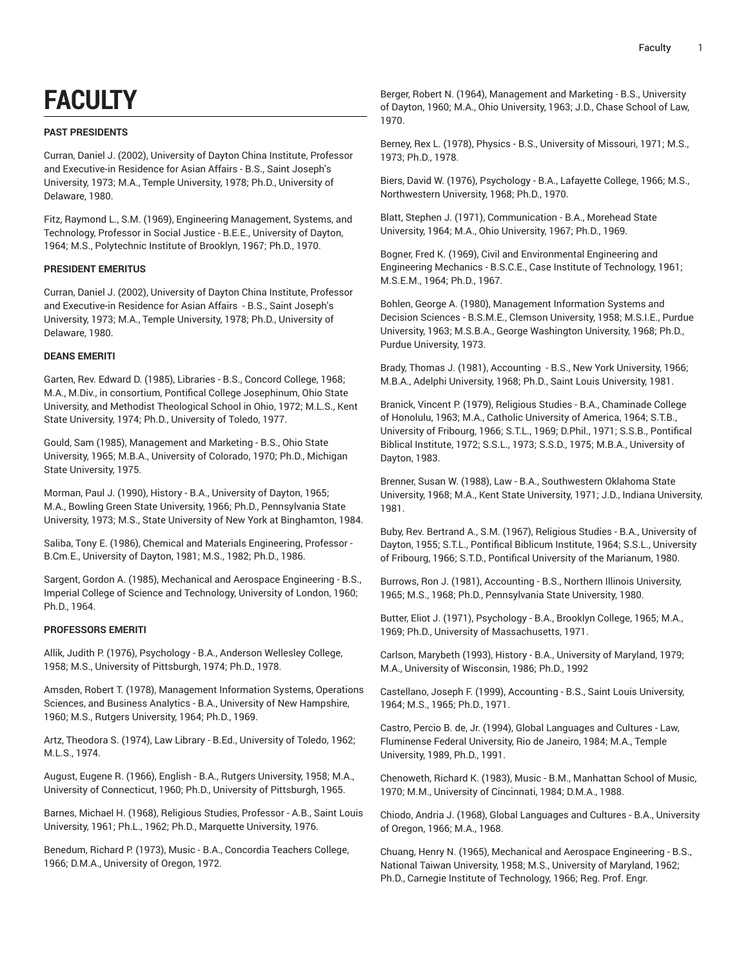# **FACULTY**

# **PAST PRESIDENTS**

Curran, Daniel J. (2002), University of Dayton China Institute, Professor and Executive-in Residence for Asian Affairs - B.S., Saint Joseph's University, 1973; M.A., Temple University, 1978; Ph.D., University of Delaware, 1980.

Fitz, Raymond L., S.M. (1969), Engineering Management, Systems, and Technology, Professor in Social Justice - B.E.E., University of Dayton, 1964; M.S., Polytechnic Institute of Brooklyn, 1967; Ph.D., 1970.

# **PRESIDENT EMERITUS**

Curran, Daniel J. (2002), University of Dayton China Institute, Professor and Executive-in Residence for Asian Affairs - B.S., Saint Joseph's University, 1973; M.A., Temple University, 1978; Ph.D., University of Delaware, 1980.

# **DEANS EMERITI**

Garten, Rev. Edward D. (1985), Libraries - B.S., Concord College, 1968; M.A., M.Div., in consortium, Pontifical College Josephinum, Ohio State University, and Methodist Theological School in Ohio, 1972; M.L.S., Kent State University, 1974; Ph.D., University of Toledo, 1977.

Gould, Sam (1985), Management and Marketing - B.S., Ohio State University, 1965; M.B.A., University of Colorado, 1970; Ph.D., Michigan State University, 1975.

Morman, Paul J. (1990), History - B.A., University of Dayton, 1965; M.A., Bowling Green State University, 1966; Ph.D., Pennsylvania State University, 1973; M.S., State University of New York at Binghamton, 1984.

Saliba, Tony E. (1986), Chemical and Materials Engineering, Professor - B.Cm.E., University of Dayton, 1981; M.S., 1982; Ph.D., 1986.

Sargent, Gordon A. (1985), Mechanical and Aerospace Engineering - B.S., Imperial College of Science and Technology, University of London, 1960; Ph.D., 1964.

# **PROFESSORS EMERITI**

Allik, Judith P. (1976), Psychology - B.A., Anderson Wellesley College, 1958; M.S., University of Pittsburgh, 1974; Ph.D., 1978.

Amsden, Robert T. (1978), Management Information Systems, Operations Sciences, and Business Analytics - B.A., University of New Hampshire, 1960; M.S., Rutgers University, 1964; Ph.D., 1969.

Artz, Theodora S. (1974), Law Library - B.Ed., University of Toledo, 1962; M.L.S., 1974.

August, Eugene R. (1966), English - B.A., Rutgers University, 1958; M.A., University of Connecticut, 1960; Ph.D., University of Pittsburgh, 1965.

Barnes, Michael H. (1968), Religious Studies, Professor - A.B., Saint Louis University, 1961; Ph.L., 1962; Ph.D., Marquette University, 1976.

Benedum, Richard P. (1973), Music - B.A., Concordia Teachers College, 1966; D.M.A., University of Oregon, 1972.

Berger, Robert N. (1964), Management and Marketing - B.S., University of Dayton, 1960; M.A., Ohio University, 1963; J.D., Chase School of Law, 1970.

Berney, Rex L. (1978), Physics - B.S., University of Missouri, 1971; M.S., 1973; Ph.D., 1978.

Biers, David W. (1976), Psychology - B.A., Lafayette College, 1966; M.S., Northwestern University, 1968; Ph.D., 1970.

Blatt, Stephen J. (1971), Communication - B.A., Morehead State University, 1964; M.A., Ohio University, 1967; Ph.D., 1969.

Bogner, Fred K. (1969), Civil and Environmental Engineering and Engineering Mechanics - B.S.C.E., Case Institute of Technology, 1961; M.S.E.M., 1964; Ph.D., 1967.

Bohlen, George A. (1980), Management Information Systems and Decision Sciences - B.S.M.E., Clemson University, 1958; M.S.I.E., Purdue University, 1963; M.S.B.A., George Washington University, 1968; Ph.D., Purdue University, 1973.

Brady, Thomas J. (1981), Accounting - B.S., New York University, 1966; M.B.A., Adelphi University, 1968; Ph.D., Saint Louis University, 1981.

Branick, Vincent P. (1979), Religious Studies - B.A., Chaminade College of Honolulu, 1963; M.A., Catholic University of America, 1964; S.T.B., University of Fribourg, 1966; S.T.L., 1969; D.Phil., 1971; S.S.B., Pontifical Biblical Institute, 1972; S.S.L., 1973; S.S.D., 1975; M.B.A., University of Dayton, 1983.

Brenner, Susan W. (1988), Law - B.A., Southwestern Oklahoma State University, 1968; M.A., Kent State University, 1971; J.D., Indiana University, 1981.

Buby, Rev. Bertrand A., S.M. (1967), Religious Studies - B.A., University of Dayton, 1955; S.T.L., Pontifical Biblicum Institute, 1964; S.S.L., University of Fribourg, 1966; S.T.D., Pontifical University of the Marianum, 1980.

Burrows, Ron J. (1981), Accounting - B.S., Northern Illinois University, 1965; M.S., 1968; Ph.D., Pennsylvania State University, 1980.

Butter, Eliot J. (1971), Psychology - B.A., Brooklyn College, 1965; M.A., 1969; Ph.D., University of Massachusetts, 1971.

Carlson, Marybeth (1993), History - B.A., University of Maryland, 1979; M.A., University of Wisconsin, 1986; Ph.D., 1992

Castellano, Joseph F. (1999), Accounting - B.S., Saint Louis University, 1964; M.S., 1965; Ph.D., 1971.

Castro, Percio B. de, Jr. (1994), Global Languages and Cultures - Law, Fluminense Federal University, Rio de Janeiro, 1984; M.A., Temple University, 1989, Ph.D., 1991.

Chenoweth, Richard K. (1983), Music - B.M., Manhattan School of Music, 1970; M.M., University of Cincinnati, 1984; D.M.A., 1988.

Chiodo, Andria J. (1968), Global Languages and Cultures - B.A., University of Oregon, 1966; M.A., 1968.

Chuang, Henry N. (1965), Mechanical and Aerospace Engineering - B.S., National Taiwan University, 1958; M.S., University of Maryland, 1962; Ph.D., Carnegie Institute of Technology, 1966; Reg. Prof. Engr.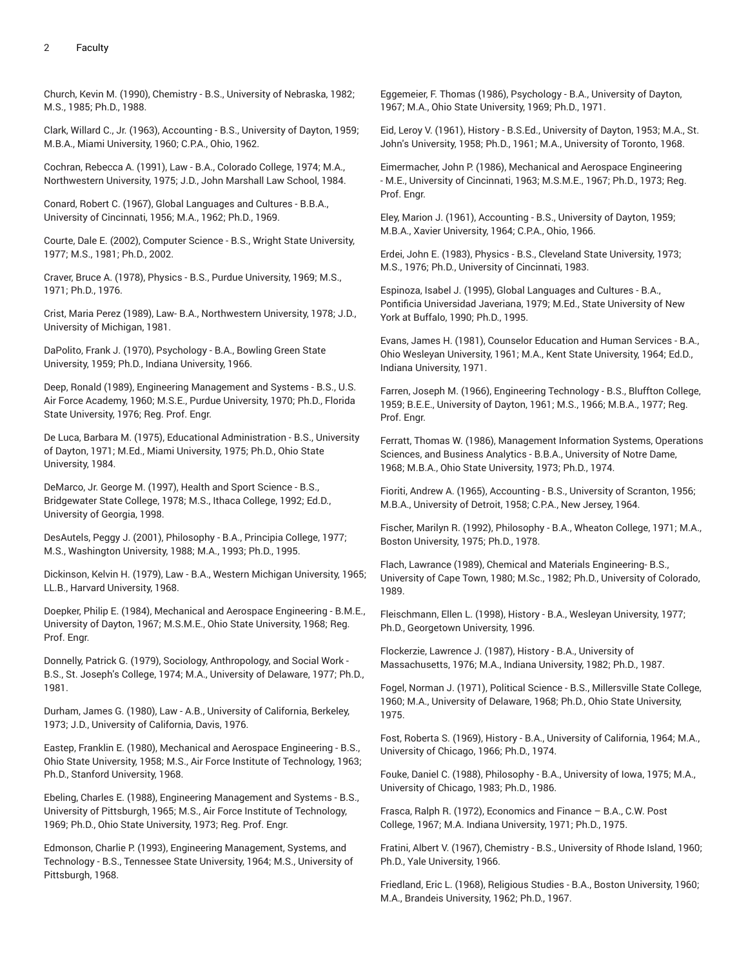Church, Kevin M. (1990), Chemistry - B.S., University of Nebraska, 1982; M.S., 1985; Ph.D., 1988.

Clark, Willard C., Jr. (1963), Accounting - B.S., University of Dayton, 1959; M.B.A., Miami University, 1960; C.P.A., Ohio, 1962.

Cochran, Rebecca A. (1991), Law - B.A., Colorado College, 1974; M.A., Northwestern University, 1975; J.D., John Marshall Law School, 1984.

Conard, Robert C. (1967), Global Languages and Cultures - B.B.A., University of Cincinnati, 1956; M.A., 1962; Ph.D., 1969.

Courte, Dale E. (2002), Computer Science - B.S., Wright State University, 1977; M.S., 1981; Ph.D., 2002.

Craver, Bruce A. (1978), Physics - B.S., Purdue University, 1969; M.S., 1971; Ph.D., 1976.

Crist, Maria Perez (1989), Law- B.A., Northwestern University, 1978; J.D., University of Michigan, 1981.

DaPolito, Frank J. (1970), Psychology - B.A., Bowling Green State University, 1959; Ph.D., Indiana University, 1966.

Deep, Ronald (1989), Engineering Management and Systems - B.S., U.S. Air Force Academy, 1960; M.S.E., Purdue University, 1970; Ph.D., Florida State University, 1976; Reg. Prof. Engr.

De Luca, Barbara M. (1975), Educational Administration - B.S., University of Dayton, 1971; M.Ed., Miami University, 1975; Ph.D., Ohio State University, 1984.

DeMarco, Jr. George M. (1997), Health and Sport Science - B.S., Bridgewater State College, 1978; M.S., Ithaca College, 1992; Ed.D., University of Georgia, 1998.

DesAutels, Peggy J. (2001), Philosophy - B.A., Principia College, 1977; M.S., Washington University, 1988; M.A., 1993; Ph.D., 1995.

Dickinson, Kelvin H. (1979), Law - B.A., Western Michigan University, 1965; LL.B., Harvard University, 1968.

Doepker, Philip E. (1984), Mechanical and Aerospace Engineering - B.M.E., University of Dayton, 1967; M.S.M.E., Ohio State University, 1968; Reg. Prof. Engr.

Donnelly, Patrick G. (1979), Sociology, Anthropology, and Social Work - B.S., St. Joseph's College, 1974; M.A., University of Delaware, 1977; Ph.D., 1981.

Durham, James G. (1980), Law - A.B., University of California, Berkeley, 1973; J.D., University of California, Davis, 1976.

Eastep, Franklin E. (1980), Mechanical and Aerospace Engineering - B.S., Ohio State University, 1958; M.S., Air Force Institute of Technology, 1963; Ph.D., Stanford University, 1968.

Ebeling, Charles E. (1988), Engineering Management and Systems - B.S., University of Pittsburgh, 1965; M.S., Air Force Institute of Technology, 1969; Ph.D., Ohio State University, 1973; Reg. Prof. Engr.

Edmonson, Charlie P. (1993), Engineering Management, Systems, and Technology - B.S., Tennessee State University, 1964; M.S., University of Pittsburgh, 1968.

Eggemeier, F. Thomas (1986), Psychology - B.A., University of Dayton, 1967; M.A., Ohio State University, 1969; Ph.D., 1971.

Eid, Leroy V. (1961), History - B.S.Ed., University of Dayton, 1953; M.A., St. John's University, 1958; Ph.D., 1961; M.A., University of Toronto, 1968.

Eimermacher, John P. (1986), Mechanical and Aerospace Engineering - M.E., University of Cincinnati, 1963; M.S.M.E., 1967; Ph.D., 1973; Reg. Prof. Engr.

Eley, Marion J. (1961), Accounting - B.S., University of Dayton, 1959; M.B.A., Xavier University, 1964; C.P.A., Ohio, 1966.

Erdei, John E. (1983), Physics - B.S., Cleveland State University, 1973; M.S., 1976; Ph.D., University of Cincinnati, 1983.

Espinoza, Isabel J. (1995), Global Languages and Cultures - B.A., Pontificia Universidad Javeriana, 1979; M.Ed., State University of New York at Buffalo, 1990; Ph.D., 1995.

Evans, James H. (1981), Counselor Education and Human Services - B.A., Ohio Wesleyan University, 1961; M.A., Kent State University, 1964; Ed.D., Indiana University, 1971.

Farren, Joseph M. (1966), Engineering Technology - B.S., Bluffton College, 1959; B.E.E., University of Dayton, 1961; M.S., 1966; M.B.A., 1977; Reg. Prof. Engr.

Ferratt, Thomas W. (1986), Management Information Systems, Operations Sciences, and Business Analytics - B.B.A., University of Notre Dame, 1968; M.B.A., Ohio State University, 1973; Ph.D., 1974.

Fioriti, Andrew A. (1965), Accounting - B.S., University of Scranton, 1956; M.B.A., University of Detroit, 1958; C.P.A., New Jersey, 1964.

Fischer, Marilyn R. (1992), Philosophy - B.A., Wheaton College, 1971; M.A., Boston University, 1975; Ph.D., 1978.

Flach, Lawrance (1989), Chemical and Materials Engineering- B.S., University of Cape Town, 1980; M.Sc., 1982; Ph.D., University of Colorado, 1989.

Fleischmann, Ellen L. (1998), History - B.A., Wesleyan University, 1977; Ph.D., Georgetown University, 1996.

Flockerzie, Lawrence J. (1987), History - B.A., University of Massachusetts, 1976; M.A., Indiana University, 1982; Ph.D., 1987.

Fogel, Norman J. (1971), Political Science - B.S., Millersville State College, 1960; M.A., University of Delaware, 1968; Ph.D., Ohio State University, 1975.

Fost, Roberta S. (1969), History - B.A., University of California, 1964; M.A., University of Chicago, 1966; Ph.D., 1974.

Fouke, Daniel C. (1988), Philosophy - B.A., University of Iowa, 1975; M.A., University of Chicago, 1983; Ph.D., 1986.

Frasca, Ralph R. (1972), Economics and Finance – B.A., C.W. Post College, 1967; M.A. Indiana University, 1971; Ph.D., 1975.

Fratini, Albert V. (1967), Chemistry - B.S., University of Rhode Island, 1960; Ph.D., Yale University, 1966.

Friedland, Eric L. (1968), Religious Studies - B.A., Boston University, 1960; M.A., Brandeis University, 1962; Ph.D., 1967.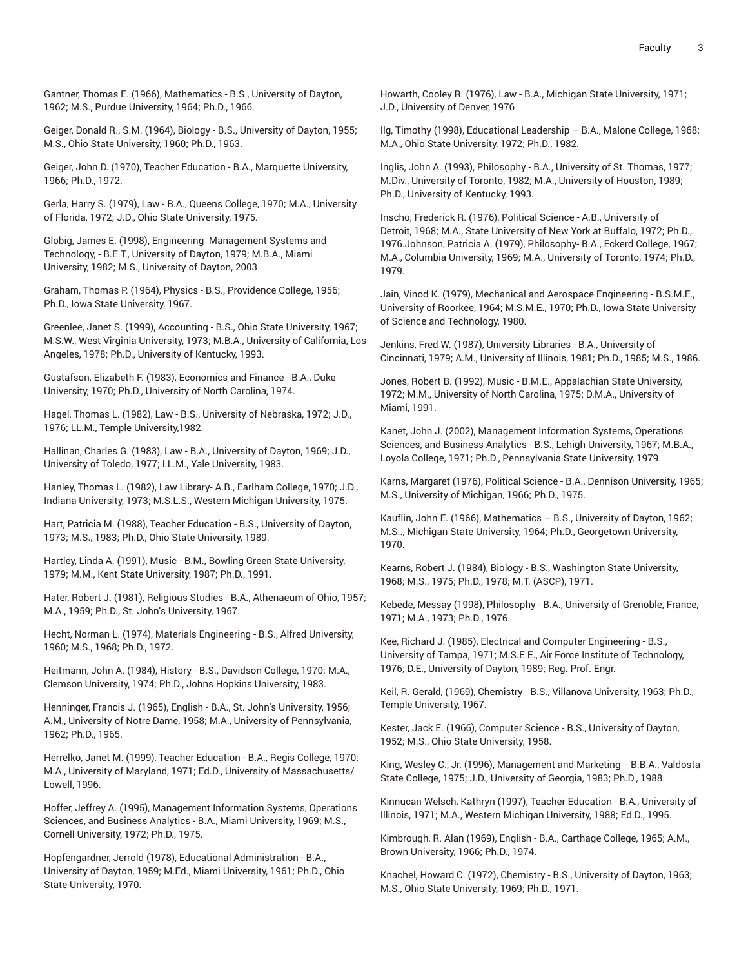Gantner, Thomas E. (1966), Mathematics - B.S., University of Dayton, 1962; M.S., Purdue University, 1964; Ph.D., 1966.

Geiger, Donald R., S.M. (1964), Biology - B.S., University of Dayton, 1955; M.S., Ohio State University, 1960; Ph.D., 1963.

Geiger, John D. (1970), Teacher Education - B.A., Marquette University, 1966; Ph.D., 1972.

Gerla, Harry S. (1979), Law - B.A., Queens College, 1970; M.A., University of Florida, 1972; J.D., Ohio State University, 1975.

Globig, James E. (1998), Engineering Management Systems and Technology, - B.E.T., University of Dayton, 1979; M.B.A., Miami University, 1982; M.S., University of Dayton, 2003

Graham, Thomas P. (1964), Physics - B.S., Providence College, 1956; Ph.D., Iowa State University, 1967.

Greenlee, Janet S. (1999), Accounting - B.S., Ohio State University, 1967; M.S.W., West Virginia University, 1973; M.B.A., University of California, Los Angeles, 1978; Ph.D., University of Kentucky, 1993.

Gustafson, Elizabeth F. (1983), Economics and Finance - B.A., Duke University, 1970; Ph.D., University of North Carolina, 1974.

Hagel, Thomas L. (1982), Law - B.S., University of Nebraska, 1972; J.D., 1976; LL.M., Temple University,1982.

Hallinan, Charles G. (1983), Law - B.A., University of Dayton, 1969; J.D., University of Toledo, 1977; LL.M., Yale University, 1983.

Hanley, Thomas L. (1982), Law Library- A.B., Earlham College, 1970; J.D., Indiana University, 1973; M.S.L.S., Western Michigan University, 1975.

Hart, Patricia M. (1988), Teacher Education - B.S., University of Dayton, 1973; M.S., 1983; Ph.D., Ohio State University, 1989.

Hartley, Linda A. (1991), Music - B.M., Bowling Green State University, 1979; M.M., Kent State University, 1987; Ph.D., 1991.

Hater, Robert J. (1981), Religious Studies - B.A., Athenaeum of Ohio, 1957; M.A., 1959; Ph.D., St. John's University, 1967.

Hecht, Norman L. (1974), Materials Engineering - B.S., Alfred University, 1960; M.S., 1968; Ph.D., 1972.

Heitmann, John A. (1984), History - B.S., Davidson College, 1970; M.A., Clemson University, 1974; Ph.D., Johns Hopkins University, 1983.

Henninger, Francis J. (1965), English - B.A., St. John's University, 1956; A.M., University of Notre Dame, 1958; M.A., University of Pennsylvania, 1962; Ph.D., 1965.

Herrelko, Janet M. (1999), Teacher Education - B.A., Regis College, 1970; M.A., University of Maryland, 1971; Ed.D., University of Massachusetts/ Lowell, 1996.

Hoffer, Jeffrey A. (1995), Management Information Systems, Operations Sciences, and Business Analytics - B.A., Miami University, 1969; M.S., Cornell University, 1972; Ph.D., 1975.

Hopfengardner, Jerrold (1978), Educational Administration - B.A., University of Dayton, 1959; M.Ed., Miami University, 1961; Ph.D., Ohio State University, 1970.

Howarth, Cooley R. (1976), Law - B.A., Michigan State University, 1971; J.D., University of Denver, 1976

Ilg, Timothy (1998), Educational Leadership – B.A., Malone College, 1968; M.A., Ohio State University, 1972; Ph.D., 1982.

Inglis, John A. (1993), Philosophy - B.A., University of St. Thomas, 1977; M.Div., University of Toronto, 1982; M.A., University of Houston, 1989; Ph.D., University of Kentucky, 1993.

Inscho, Frederick R. (1976), Political Science - A.B., University of Detroit, 1968; M.A., State University of New York at Buffalo, 1972; Ph.D., 1976.Johnson, Patricia A. (1979), Philosophy- B.A., Eckerd College, 1967; M.A., Columbia University, 1969; M.A., University of Toronto, 1974; Ph.D., 1979.

Jain, Vinod K. (1979), Mechanical and Aerospace Engineering - B.S.M.E., University of Roorkee, 1964; M.S.M.E., 1970; Ph.D., Iowa State University of Science and Technology, 1980.

Jenkins, Fred W. (1987), University Libraries - B.A., University of Cincinnati, 1979; A.M., University of Illinois, 1981; Ph.D., 1985; M.S., 1986.

Jones, Robert B. (1992), Music - B.M.E., Appalachian State University, 1972; M.M., University of North Carolina, 1975; D.M.A., University of Miami, 1991.

Kanet, John J. (2002), Management Information Systems, Operations Sciences, and Business Analytics - B.S., Lehigh University, 1967; M.B.A., Loyola College, 1971; Ph.D., Pennsylvania State University, 1979.

Karns, Margaret (1976), Political Science - B.A., Dennison University, 1965; M.S., University of Michigan, 1966; Ph.D., 1975.

Kauflin, John E. (1966), Mathematics – B.S., University of Dayton, 1962; M.S.., Michigan State University, 1964; Ph.D., Georgetown University, 1970.

Kearns, Robert J. (1984), Biology - B.S., Washington State University, 1968; M.S., 1975; Ph.D., 1978; M.T. (ASCP), 1971.

Kebede, Messay (1998), Philosophy - B.A., University of Grenoble, France, 1971; M.A., 1973; Ph.D., 1976.

Kee, Richard J. (1985), Electrical and Computer Engineering - B.S., University of Tampa, 1971; M.S.E.E., Air Force Institute of Technology, 1976; D.E., University of Dayton, 1989; Reg. Prof. Engr.

Keil, R. Gerald, (1969), Chemistry - B.S., Villanova University, 1963; Ph.D., Temple University, 1967.

Kester, Jack E. (1966), Computer Science - B.S., University of Dayton, 1952; M.S., Ohio State University, 1958.

King, Wesley C., Jr. (1996), Management and Marketing - B.B.A., Valdosta State College, 1975; J.D., University of Georgia, 1983; Ph.D., 1988.

Kinnucan-Welsch, Kathryn (1997), Teacher Education - B.A., University of Illinois, 1971; M.A., Western Michigan University, 1988; Ed.D., 1995.

Kimbrough, R. Alan (1969), English - B.A., Carthage College, 1965; A.M., Brown University, 1966; Ph.D., 1974.

Knachel, Howard C. (1972), Chemistry - B.S., University of Dayton, 1963; M.S., Ohio State University, 1969; Ph.D., 1971.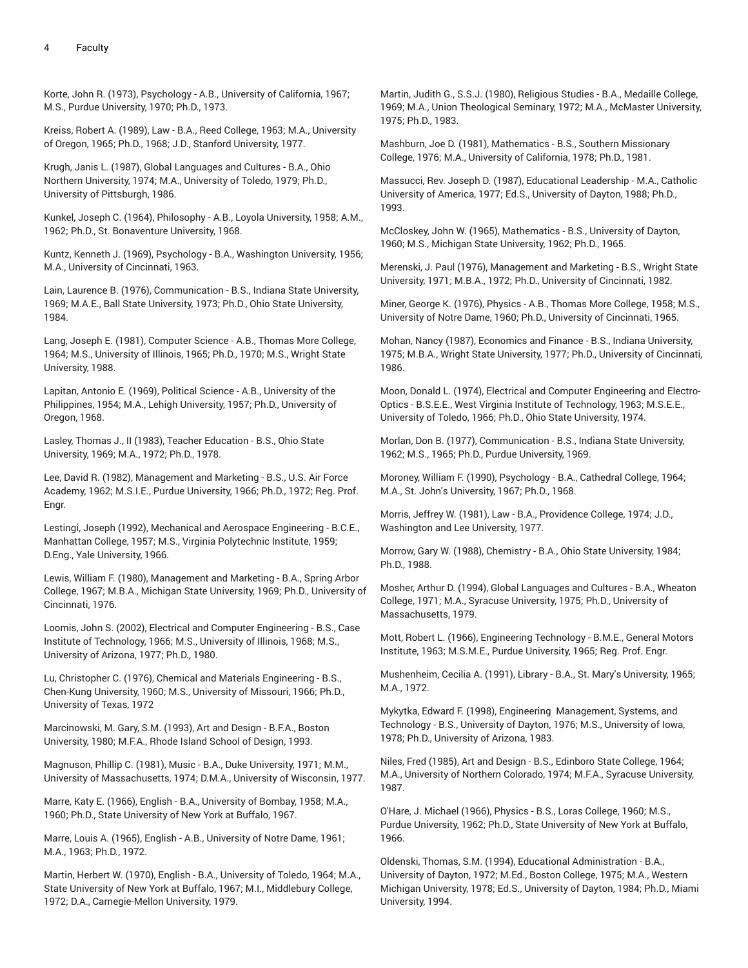Korte, John R. (1973), Psychology - A.B., University of California, 1967; M.S., Purdue University, 1970; Ph.D., 1973.

Kreiss, Robert A. (1989), Law - B.A., Reed College, 1963; M.A., University of Oregon, 1965; Ph.D., 1968; J.D., Stanford University, 1977.

Krugh, Janis L. (1987), Global Languages and Cultures - B.A., Ohio Northern University, 1974; M.A., University of Toledo, 1979; Ph.D., University of Pittsburgh, 1986.

Kunkel, Joseph C. (1964), Philosophy - A.B., Loyola University, 1958; A.M., 1962; Ph.D., St. Bonaventure University, 1968.

Kuntz, Kenneth J. (1969), Psychology - B.A., Washington University, 1956; M.A., University of Cincinnati, 1963.

Lain, Laurence B. (1976), Communication - B.S., Indiana State University, 1969; M.A.E., Ball State University, 1973; Ph.D., Ohio State University, 1984.

Lang, Joseph E. (1981), Computer Science - A.B., Thomas More College, 1964; M.S., University of Illinois, 1965; Ph.D., 1970; M.S., Wright State University, 1988.

Lapitan, Antonio E. (1969), Political Science - A.B., University of the Philippines, 1954; M.A., Lehigh University, 1957; Ph.D., University of Oregon, 1968.

Lasley, Thomas J., II (1983), Teacher Education - B.S., Ohio State University, 1969; M.A., 1972; Ph.D., 1978.

Lee, David R. (1982), Management and Marketing - B.S., U.S. Air Force Academy, 1962; M.S.I.E., Purdue University, 1966; Ph.D., 1972; Reg. Prof. Engr.

Lestingi, Joseph (1992), Mechanical and Aerospace Engineering - B.C.E., Manhattan College, 1957; M.S., Virginia Polytechnic Institute, 1959; D.Eng., Yale University, 1966.

Lewis, William F. (1980), Management and Marketing - B.A., Spring Arbor College, 1967; M.B.A., Michigan State University, 1969; Ph.D., University of Cincinnati, 1976.

Loomis, John S. (2002), Electrical and Computer Engineering - B.S., Case Institute of Technology, 1966; M.S., University of Illinois, 1968; M.S., University of Arizona, 1977; Ph.D., 1980.

Lu, Christopher C. (1976), Chemical and Materials Engineering - B.S., Chen-Kung University, 1960; M.S., University of Missouri, 1966; Ph.D., University of Texas, 1972

Marcinowski, M. Gary, S.M. (1993), Art and Design - B.F.A., Boston University, 1980; M.F.A., Rhode Island School of Design, 1993.

Magnuson, Phillip C. (1981), Music - B.A., Duke University, 1971; M.M., University of Massachusetts, 1974; D.M.A., University of Wisconsin, 1977.

Marre, Katy E. (1966), English - B.A., University of Bombay, 1958; M.A., 1960; Ph.D., State University of New York at Buffalo, 1967.

Marre, Louis A. (1965), English - A.B., University of Notre Dame, 1961; M.A., 1963; Ph.D., 1972.

Martin, Herbert W. (1970), English - B.A., University of Toledo, 1964; M.A., State University of New York at Buffalo, 1967; M.I., Middlebury College, 1972; D.A., Carnegie-Mellon University, 1979.

Martin, Judith G., S.S.J. (1980), Religious Studies - B.A., Medaille College, 1969; M.A., Union Theological Seminary, 1972; M.A., McMaster University, 1975; Ph.D., 1983.

Mashburn, Joe D. (1981), Mathematics - B.S., Southern Missionary College, 1976; M.A., University of California, 1978; Ph.D., 1981.

Massucci, Rev. Joseph D. (1987), Educational Leadership - M.A., Catholic University of America, 1977; Ed.S., University of Dayton, 1988; Ph.D., 1993.

McCloskey, John W. (1965), Mathematics - B.S., University of Dayton, 1960; M.S., Michigan State University, 1962; Ph.D., 1965.

Merenski, J. Paul (1976), Management and Marketing - B.S., Wright State University, 1971; M.B.A., 1972; Ph.D., University of Cincinnati, 1982.

Miner, George K. (1976), Physics - A.B., Thomas More College, 1958; M.S., University of Notre Dame, 1960; Ph.D., University of Cincinnati, 1965.

Mohan, Nancy (1987), Economics and Finance - B.S., Indiana University, 1975; M.B.A., Wright State University, 1977; Ph.D., University of Cincinnati, 1986.

Moon, Donald L. (1974), Electrical and Computer Engineering and Electro-Optics - B.S.E.E., West Virginia Institute of Technology, 1963; M.S.E.E., University of Toledo, 1966; Ph.D., Ohio State University, 1974.

Morlan, Don B. (1977), Communication - B.S., Indiana State University, 1962; M.S., 1965; Ph.D., Purdue University, 1969.

Moroney, William F. (1990), Psychology - B.A., Cathedral College, 1964; M.A., St. John's University, 1967; Ph.D., 1968.

Morris, Jeffrey W. (1981), Law - B.A., Providence College, 1974; J.D., Washington and Lee University, 1977.

Morrow, Gary W. (1988), Chemistry - B.A., Ohio State University, 1984; Ph.D., 1988.

Mosher, Arthur D. (1994), Global Languages and Cultures - B.A., Wheaton College, 1971; M.A., Syracuse University, 1975; Ph.D., University of Massachusetts, 1979.

Mott, Robert L. (1966), Engineering Technology - B.M.E., General Motors Institute, 1963; M.S.M.E., Purdue University, 1965; Reg. Prof. Engr.

Mushenheim, Cecilia A. (1991), Library - B.A., St. Mary's University, 1965; M.A., 1972.

Mykytka, Edward F. (1998), Engineering Management, Systems, and Technology - B.S., University of Dayton, 1976; M.S., University of Iowa, 1978; Ph.D., University of Arizona, 1983.

Niles, Fred (1985), Art and Design - B.S., Edinboro State College, 1964; M.A., University of Northern Colorado, 1974; M.F.A., Syracuse University, 1987.

O'Hare, J. Michael (1966), Physics - B.S., Loras College, 1960; M.S., Purdue University, 1962; Ph.D., State University of New York at Buffalo, 1966.

Oldenski, Thomas, S.M. (1994), Educational Administration - B.A., University of Dayton, 1972; M.Ed., Boston College, 1975; M.A., Western Michigan University, 1978; Ed.S., University of Dayton, 1984; Ph.D., Miami University, 1994.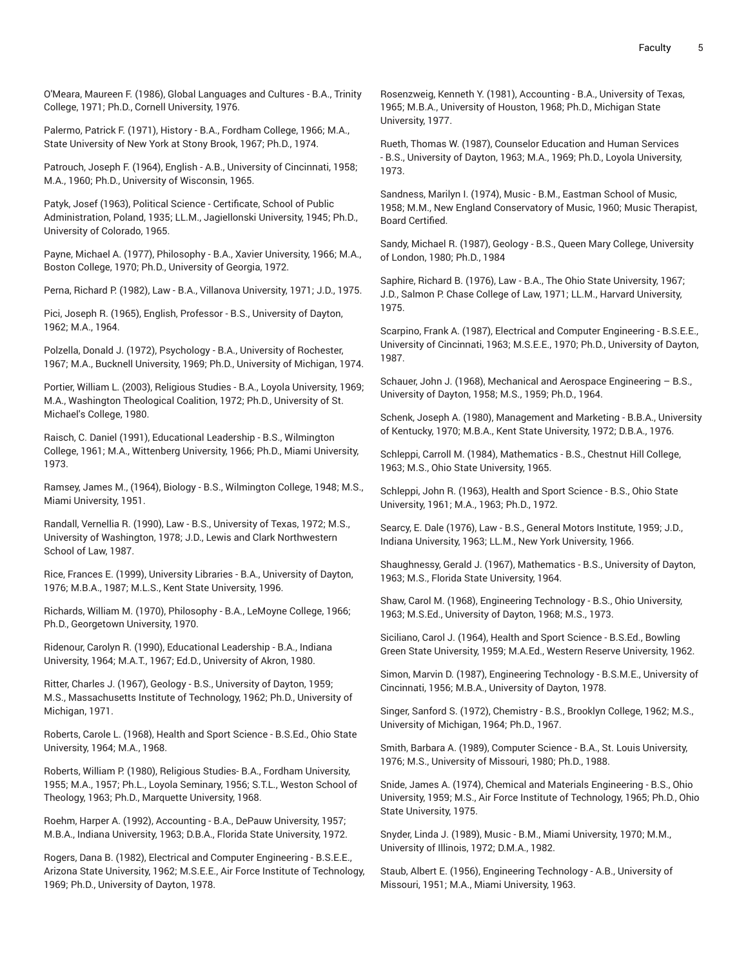O'Meara, Maureen F. (1986), Global Languages and Cultures - B.A., Trinity College, 1971; Ph.D., Cornell University, 1976.

Palermo, Patrick F. (1971), History - B.A., Fordham College, 1966; M.A., State University of New York at Stony Brook, 1967; Ph.D., 1974.

Patrouch, Joseph F. (1964), English - A.B., University of Cincinnati, 1958; M.A., 1960; Ph.D., University of Wisconsin, 1965.

Patyk, Josef (1963), Political Science - Certificate, School of Public Administration, Poland, 1935; LL.M., Jagiellonski University, 1945; Ph.D., University of Colorado, 1965.

Payne, Michael A. (1977), Philosophy - B.A., Xavier University, 1966; M.A., Boston College, 1970; Ph.D., University of Georgia, 1972.

Perna, Richard P. (1982), Law - B.A., Villanova University, 1971; J.D., 1975.

Pici, Joseph R. (1965), English, Professor - B.S., University of Dayton, 1962; M.A., 1964.

Polzella, Donald J. (1972), Psychology - B.A., University of Rochester, 1967; M.A., Bucknell University, 1969; Ph.D., University of Michigan, 1974.

Portier, William L. (2003), Religious Studies - B.A., Loyola University, 1969; M.A., Washington Theological Coalition, 1972; Ph.D., University of St. Michael's College, 1980.

Raisch, C. Daniel (1991), Educational Leadership - B.S., Wilmington College, 1961; M.A., Wittenberg University, 1966; Ph.D., Miami University, 1973.

Ramsey, James M., (1964), Biology - B.S., Wilmington College, 1948; M.S., Miami University, 1951.

Randall, Vernellia R. (1990), Law - B.S., University of Texas, 1972; M.S., University of Washington, 1978; J.D., Lewis and Clark Northwestern School of Law, 1987.

Rice, Frances E. (1999), University Libraries - B.A., University of Dayton, 1976; M.B.A., 1987; M.L.S., Kent State University, 1996.

Richards, William M. (1970), Philosophy - B.A., LeMoyne College, 1966; Ph.D., Georgetown University, 1970.

Ridenour, Carolyn R. (1990), Educational Leadership - B.A., Indiana University, 1964; M.A.T., 1967; Ed.D., University of Akron, 1980.

Ritter, Charles J. (1967), Geology - B.S., University of Dayton, 1959; M.S., Massachusetts Institute of Technology, 1962; Ph.D., University of Michigan, 1971.

Roberts, Carole L. (1968), Health and Sport Science - B.S.Ed., Ohio State University, 1964; M.A., 1968.

Roberts, William P. (1980), Religious Studies- B.A., Fordham University, 1955; M.A., 1957; Ph.L., Loyola Seminary, 1956; S.T.L., Weston School of Theology, 1963; Ph.D., Marquette University, 1968.

Roehm, Harper A. (1992), Accounting - B.A., DePauw University, 1957; M.B.A., Indiana University, 1963; D.B.A., Florida State University, 1972.

Rogers, Dana B. (1982), Electrical and Computer Engineering - B.S.E.E., Arizona State University, 1962; M.S.E.E., Air Force Institute of Technology, 1969; Ph.D., University of Dayton, 1978.

Rosenzweig, Kenneth Y. (1981), Accounting - B.A., University of Texas, 1965; M.B.A., University of Houston, 1968; Ph.D., Michigan State University, 1977.

Rueth, Thomas W. (1987), Counselor Education and Human Services - B.S., University of Dayton, 1963; M.A., 1969; Ph.D., Loyola University, 1973.

Sandness, Marilyn I. (1974), Music - B.M., Eastman School of Music, 1958; M.M., New England Conservatory of Music, 1960; Music Therapist, Board Certified.

Sandy, Michael R. (1987), Geology - B.S., Queen Mary College, University of London, 1980; Ph.D., 1984

Saphire, Richard B. (1976), Law - B.A., The Ohio State University, 1967; J.D., Salmon P. Chase College of Law, 1971; LL.M., Harvard University, 1975.

Scarpino, Frank A. (1987), Electrical and Computer Engineering - B.S.E.E., University of Cincinnati, 1963; M.S.E.E., 1970; Ph.D., University of Dayton, 1987.

Schauer, John J. (1968), Mechanical and Aerospace Engineering – B.S., University of Dayton, 1958; M.S., 1959; Ph.D., 1964.

Schenk, Joseph A. (1980), Management and Marketing - B.B.A., University of Kentucky, 1970; M.B.A., Kent State University, 1972; D.B.A., 1976.

Schleppi, Carroll M. (1984), Mathematics - B.S., Chestnut Hill College, 1963; M.S., Ohio State University, 1965.

Schleppi, John R. (1963), Health and Sport Science - B.S., Ohio State University, 1961; M.A., 1963; Ph.D., 1972.

Searcy, E. Dale (1976), Law - B.S., General Motors Institute, 1959; J.D., Indiana University, 1963; LL.M., New York University, 1966.

Shaughnessy, Gerald J. (1967), Mathematics - B.S., University of Dayton, 1963; M.S., Florida State University, 1964.

Shaw, Carol M. (1968), Engineering Technology - B.S., Ohio University, 1963; M.S.Ed., University of Dayton, 1968; M.S., 1973.

Siciliano, Carol J. (1964), Health and Sport Science - B.S.Ed., Bowling Green State University, 1959; M.A.Ed., Western Reserve University, 1962.

Simon, Marvin D. (1987), Engineering Technology - B.S.M.E., University of Cincinnati, 1956; M.B.A., University of Dayton, 1978.

Singer, Sanford S. (1972), Chemistry - B.S., Brooklyn College, 1962; M.S., University of Michigan, 1964; Ph.D., 1967.

Smith, Barbara A. (1989), Computer Science - B.A., St. Louis University, 1976; M.S., University of Missouri, 1980; Ph.D., 1988.

Snide, James A. (1974), Chemical and Materials Engineering - B.S., Ohio University, 1959; M.S., Air Force Institute of Technology, 1965; Ph.D., Ohio State University, 1975.

Snyder, Linda J. (1989), Music - B.M., Miami University, 1970; M.M., University of Illinois, 1972; D.M.A., 1982.

Staub, Albert E. (1956), Engineering Technology - A.B., University of Missouri, 1951; M.A., Miami University, 1963.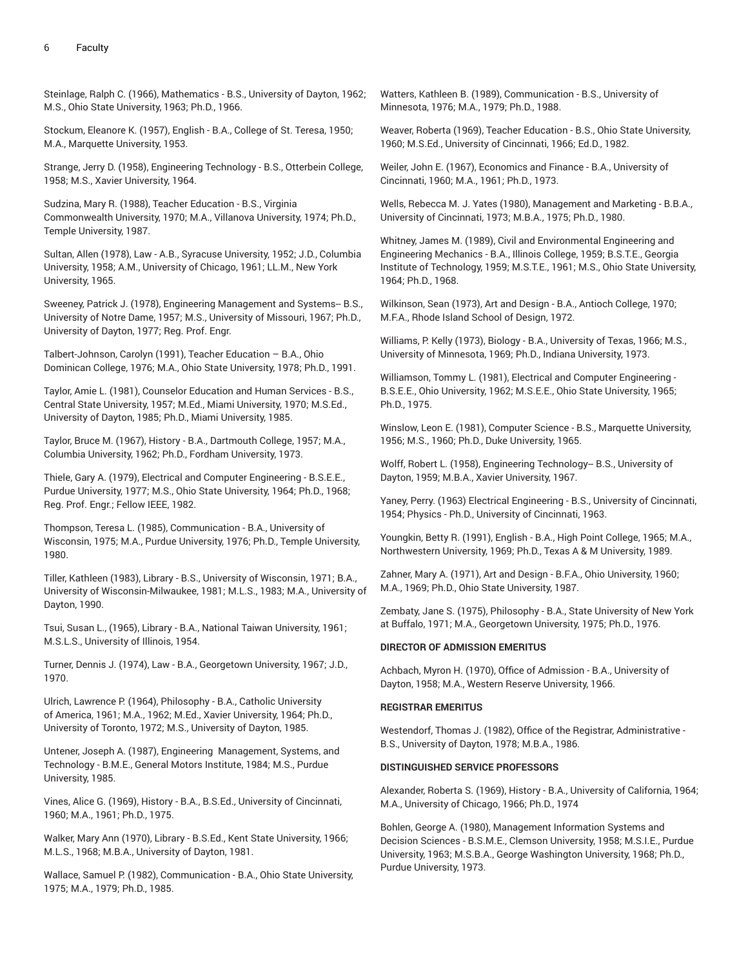Steinlage, Ralph C. (1966), Mathematics - B.S., University of Dayton, 1962; M.S., Ohio State University, 1963; Ph.D., 1966.

Stockum, Eleanore K. (1957), English - B.A., College of St. Teresa, 1950; M.A., Marquette University, 1953.

Strange, Jerry D. (1958), Engineering Technology - B.S., Otterbein College, 1958; M.S., Xavier University, 1964.

Sudzina, Mary R. (1988), Teacher Education - B.S., Virginia Commonwealth University, 1970; M.A., Villanova University, 1974; Ph.D., Temple University, 1987.

Sultan, Allen (1978), Law - A.B., Syracuse University, 1952; J.D., Columbia University, 1958; A.M., University of Chicago, 1961; LL.M., New York University, 1965.

Sweeney, Patrick J. (1978), Engineering Management and Systems-- B.S., University of Notre Dame, 1957; M.S., University of Missouri, 1967; Ph.D., University of Dayton, 1977; Reg. Prof. Engr.

Talbert-Johnson, Carolyn (1991), Teacher Education – B.A., Ohio Dominican College, 1976; M.A., Ohio State University, 1978; Ph.D., 1991.

Taylor, Amie L. (1981), Counselor Education and Human Services - B.S., Central State University, 1957; M.Ed., Miami University, 1970; M.S.Ed., University of Dayton, 1985; Ph.D., Miami University, 1985.

Taylor, Bruce M. (1967), History - B.A., Dartmouth College, 1957; M.A., Columbia University, 1962; Ph.D., Fordham University, 1973.

Thiele, Gary A. (1979), Electrical and Computer Engineering - B.S.E.E., Purdue University, 1977; M.S., Ohio State University, 1964; Ph.D., 1968; Reg. Prof. Engr.; Fellow IEEE, 1982.

Thompson, Teresa L. (1985), Communication - B.A., University of Wisconsin, 1975; M.A., Purdue University, 1976; Ph.D., Temple University, 1980.

Tiller, Kathleen (1983), Library - B.S., University of Wisconsin, 1971; B.A., University of Wisconsin-Milwaukee, 1981; M.L.S., 1983; M.A., University of Dayton, 1990.

Tsui, Susan L., (1965), Library - B.A., National Taiwan University, 1961; M.S.L.S., University of Illinois, 1954.

Turner, Dennis J. (1974), Law - B.A., Georgetown University, 1967; J.D., 1970.

Ulrich, Lawrence P. (1964), Philosophy - B.A., Catholic University of America, 1961; M.A., 1962; M.Ed., Xavier University, 1964; Ph.D., University of Toronto, 1972; M.S., University of Dayton, 1985.

Untener, Joseph A. (1987), Engineering Management, Systems, and Technology - B.M.E., General Motors Institute, 1984; M.S., Purdue University, 1985.

Vines, Alice G. (1969), History - B.A., B.S.Ed., University of Cincinnati, 1960; M.A., 1961; Ph.D., 1975.

Walker, Mary Ann (1970), Library - B.S.Ed., Kent State University, 1966; M.L.S., 1968; M.B.A., University of Dayton, 1981.

Wallace, Samuel P. (1982), Communication - B.A., Ohio State University, 1975; M.A., 1979; Ph.D., 1985.

Watters, Kathleen B. (1989), Communication - B.S., University of Minnesota, 1976; M.A., 1979; Ph.D., 1988.

Weaver, Roberta (1969), Teacher Education - B.S., Ohio State University, 1960; M.S.Ed., University of Cincinnati, 1966; Ed.D., 1982.

Weiler, John E. (1967), Economics and Finance - B.A., University of Cincinnati, 1960; M.A., 1961; Ph.D., 1973.

Wells, Rebecca M. J. Yates (1980), Management and Marketing - B.B.A., University of Cincinnati, 1973; M.B.A., 1975; Ph.D., 1980.

Whitney, James M. (1989), Civil and Environmental Engineering and Engineering Mechanics - B.A., Illinois College, 1959; B.S.T.E., Georgia Institute of Technology, 1959; M.S.T.E., 1961; M.S., Ohio State University, 1964; Ph.D., 1968.

Wilkinson, Sean (1973), Art and Design - B.A., Antioch College, 1970; M.F.A., Rhode Island School of Design, 1972.

Williams, P. Kelly (1973), Biology - B.A., University of Texas, 1966; M.S., University of Minnesota, 1969; Ph.D., Indiana University, 1973.

Williamson, Tommy L. (1981), Electrical and Computer Engineering - B.S.E.E., Ohio University, 1962; M.S.E.E., Ohio State University, 1965; Ph.D., 1975.

Winslow, Leon E. (1981), Computer Science - B.S., Marquette University, 1956; M.S., 1960; Ph.D., Duke University, 1965.

Wolff, Robert L. (1958), Engineering Technology-- B.S., University of Dayton, 1959; M.B.A., Xavier University, 1967.

Yaney, Perry. (1963) Electrical Engineering - B.S., University of Cincinnati, 1954; Physics - Ph.D., University of Cincinnati, 1963.

Youngkin, Betty R. (1991), English - B.A., High Point College, 1965; M.A., Northwestern University, 1969; Ph.D., Texas A & M University, 1989.

Zahner, Mary A. (1971), Art and Design - B.F.A., Ohio University, 1960; M.A., 1969; Ph.D., Ohio State University, 1987.

Zembaty, Jane S. (1975), Philosophy - B.A., State University of New York at Buffalo, 1971; M.A., Georgetown University, 1975; Ph.D., 1976.

#### **DIRECTOR OF ADMISSION EMERITUS**

Achbach, Myron H. (1970), Office of Admission - B.A., University of Dayton, 1958; M.A., Western Reserve University, 1966.

## **REGISTRAR EMERITUS**

Westendorf, Thomas J. (1982), Office of the Registrar, Administrative - B.S., University of Dayton, 1978; M.B.A., 1986.

## **DISTINGUISHED SERVICE PROFESSORS**

Alexander, Roberta S. (1969), History - B.A., University of California, 1964; M.A., University of Chicago, 1966; Ph.D., 1974

Bohlen, George A. (1980), Management Information Systems and Decision Sciences - B.S.M.E., Clemson University, 1958; M.S.I.E., Purdue University, 1963; M.S.B.A., George Washington University, 1968; Ph.D., Purdue University, 1973.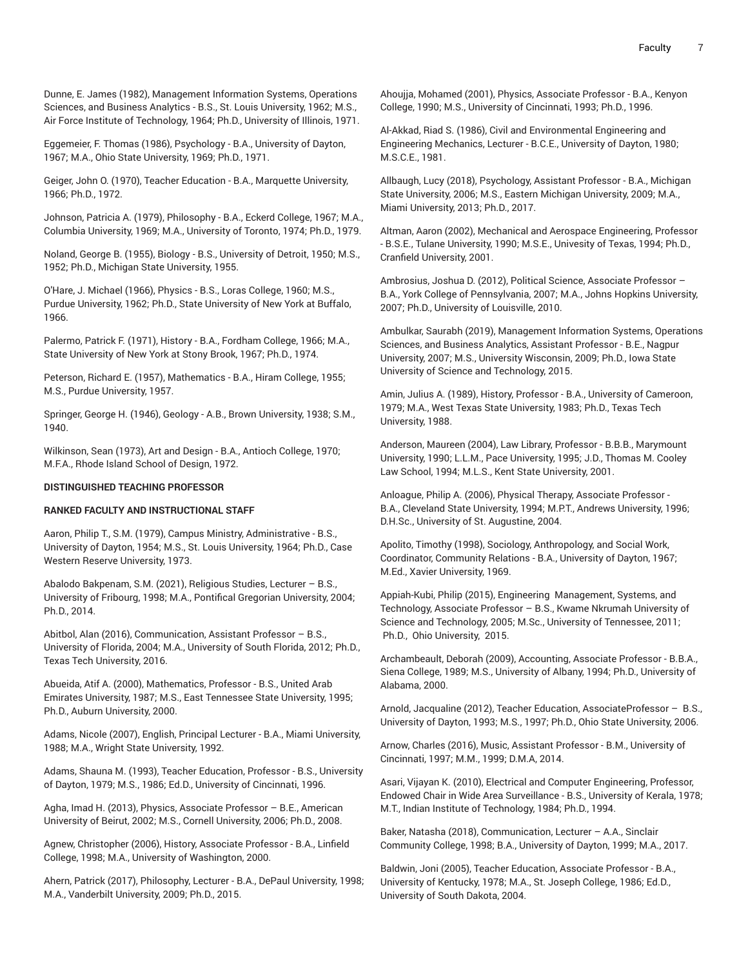Dunne, E. James (1982), Management Information Systems, Operations Sciences, and Business Analytics - B.S., St. Louis University, 1962; M.S., Air Force Institute of Technology, 1964; Ph.D., University of Illinois, 1971.

Eggemeier, F. Thomas (1986), Psychology - B.A., University of Dayton, 1967; M.A., Ohio State University, 1969; Ph.D., 1971.

Geiger, John O. (1970), Teacher Education - B.A., Marquette University, 1966; Ph.D., 1972.

Johnson, Patricia A. (1979), Philosophy - B.A., Eckerd College, 1967; M.A., Columbia University, 1969; M.A., University of Toronto, 1974; Ph.D., 1979.

Noland, George B. (1955), Biology - B.S., University of Detroit, 1950; M.S., 1952; Ph.D., Michigan State University, 1955.

O'Hare, J. Michael (1966), Physics - B.S., Loras College, 1960; M.S., Purdue University, 1962; Ph.D., State University of New York at Buffalo, 1966.

Palermo, Patrick F. (1971), History - B.A., Fordham College, 1966; M.A., State University of New York at Stony Brook, 1967; Ph.D., 1974.

Peterson, Richard E. (1957), Mathematics - B.A., Hiram College, 1955; M.S., Purdue University, 1957.

Springer, George H. (1946), Geology - A.B., Brown University, 1938; S.M., 1940.

Wilkinson, Sean (1973), Art and Design - B.A., Antioch College, 1970; M.F.A., Rhode Island School of Design, 1972.

# **DISTINGUISHED TEACHING PROFESSOR**

## **RANKED FACULTY AND INSTRUCTIONAL STAFF**

Aaron, Philip T., S.M. (1979), Campus Ministry, Administrative - B.S., University of Dayton, 1954; M.S., St. Louis University, 1964; Ph.D., Case Western Reserve University, 1973.

Abalodo Bakpenam, S.M. (2021), Religious Studies, Lecturer – B.S., University of Fribourg, 1998; M.A., Pontifical Gregorian University, 2004; Ph.D., 2014.

Abitbol, Alan (2016), Communication, Assistant Professor – B.S., University of Florida, 2004; M.A., University of South Florida, 2012; Ph.D., Texas Tech University, 2016.

Abueida, Atif A. (2000), Mathematics, Professor - B.S., United Arab Emirates University, 1987; M.S., East Tennessee State University, 1995; Ph.D., Auburn University, 2000.

Adams, Nicole (2007), English, Principal Lecturer - B.A., Miami University, 1988; M.A., Wright State University, 1992.

Adams, Shauna M. (1993), Teacher Education, Professor - B.S., University of Dayton, 1979; M.S., 1986; Ed.D., University of Cincinnati, 1996.

Agha, Imad H. (2013), Physics, Associate Professor – B.E., American University of Beirut, 2002; M.S., Cornell University, 2006; Ph.D., 2008.

Agnew, Christopher (2006), History, Associate Professor - B.A., Linfield College, 1998; M.A., University of Washington, 2000.

Ahern, Patrick (2017), Philosophy, Lecturer - B.A., DePaul University, 1998; M.A., Vanderbilt University, 2009; Ph.D., 2015.

Ahoujja, Mohamed (2001), Physics, Associate Professor - B.A., Kenyon College, 1990; M.S., University of Cincinnati, 1993; Ph.D., 1996.

Al-Akkad, Riad S. (1986), Civil and Environmental Engineering and Engineering Mechanics, Lecturer - B.C.E., University of Dayton, 1980; M.S.C.E., 1981.

Allbaugh, Lucy (2018), Psychology, Assistant Professor - B.A., Michigan State University, 2006; M.S., Eastern Michigan University, 2009; M.A., Miami University, 2013; Ph.D., 2017.

Altman, Aaron (2002), Mechanical and Aerospace Engineering, Professor - B.S.E., Tulane University, 1990; M.S.E., Univesity of Texas, 1994; Ph.D., Cranfield University, 2001.

Ambrosius, Joshua D. (2012), Political Science, Associate Professor – B.A., York College of Pennsylvania, 2007; M.A., Johns Hopkins University, 2007; Ph.D., University of Louisville, 2010.

Ambulkar, Saurabh (2019), Management Information Systems, Operations Sciences, and Business Analytics, Assistant Professor - B.E., Nagpur University, 2007; M.S., University Wisconsin, 2009; Ph.D., Iowa State University of Science and Technology, 2015.

Amin, Julius A. (1989), History, Professor - B.A., University of Cameroon, 1979; M.A., West Texas State University, 1983; Ph.D., Texas Tech University, 1988.

Anderson, Maureen (2004), Law Library, Professor - B.B.B., Marymount University, 1990; L.L.M., Pace University, 1995; J.D., Thomas M. Cooley Law School, 1994; M.L.S., Kent State University, 2001.

Anloague, Philip A. (2006), Physical Therapy, Associate Professor - B.A., Cleveland State University, 1994; M.P.T., Andrews University, 1996; D.H.Sc., University of St. Augustine, 2004.

Apolito, Timothy (1998), Sociology, Anthropology, and Social Work, Coordinator, Community Relations - B.A., University of Dayton, 1967; M.Ed., Xavier University, 1969.

Appiah-Kubi, Philip (2015), Engineering Management, Systems, and Technology, Associate Professor – B.S., Kwame Nkrumah University of Science and Technology, 2005; M.Sc., University of Tennessee, 2011; Ph.D., Ohio University, 2015.

Archambeault, Deborah (2009), Accounting, Associate Professor - B.B.A., Siena College, 1989; M.S., University of Albany, 1994; Ph.D., University of Alabama, 2000.

Arnold, Jacqualine (2012), Teacher Education, AssociateProfessor – B.S., University of Dayton, 1993; M.S., 1997; Ph.D., Ohio State University, 2006.

Arnow, Charles (2016), Music, Assistant Professor - B.M., University of Cincinnati, 1997; M.M., 1999; D.M.A, 2014.

Asari, Vijayan K. (2010), Electrical and Computer Engineering, Professor, Endowed Chair in Wide Area Surveillance - B.S., University of Kerala, 1978; M.T., Indian Institute of Technology, 1984; Ph.D., 1994.

Baker, Natasha (2018), Communication, Lecturer – A.A., Sinclair Community College, 1998; B.A., University of Dayton, 1999; M.A., 2017.

Baldwin, Joni (2005), Teacher Education, Associate Professor - B.A., University of Kentucky, 1978; M.A., St. Joseph College, 1986; Ed.D., University of South Dakota, 2004.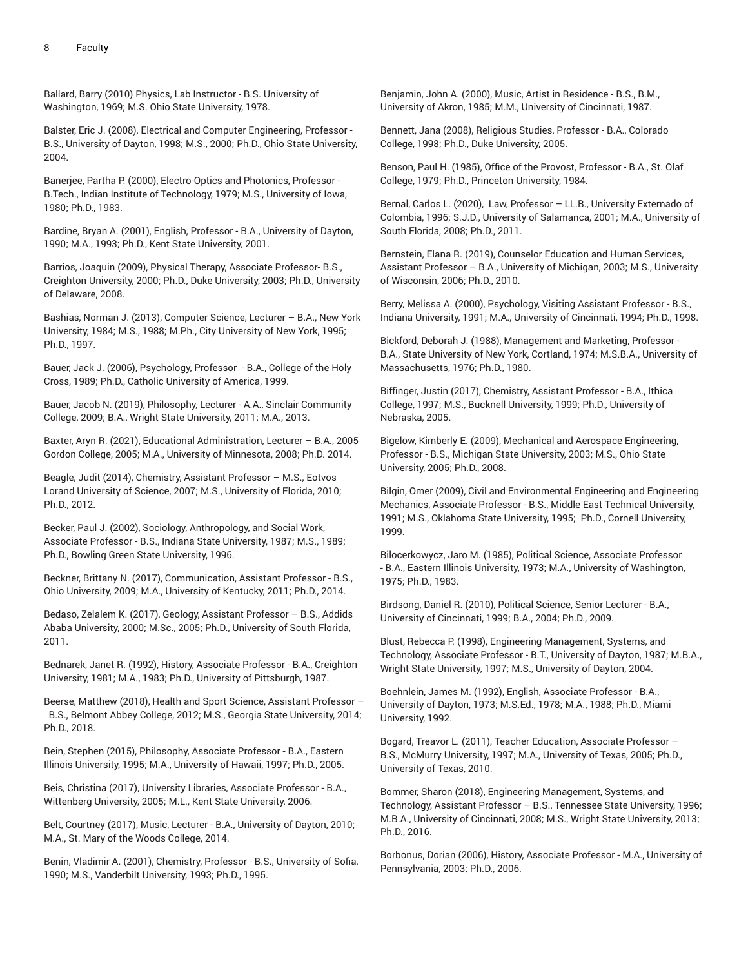Ballard, Barry (2010) Physics, Lab Instructor - B.S. University of Washington, 1969; M.S. Ohio State University, 1978.

Balster, Eric J. (2008), Electrical and Computer Engineering, Professor - B.S., University of Dayton, 1998; M.S., 2000; Ph.D., Ohio State University, 2004.

Banerjee, Partha P. (2000), Electro-Optics and Photonics, Professor - B.Tech., Indian Institute of Technology, 1979; M.S., University of Iowa, 1980; Ph.D., 1983.

Bardine, Bryan A. (2001), English, Professor - B.A., University of Dayton, 1990; M.A., 1993; Ph.D., Kent State University, 2001.

Barrios, Joaquin (2009), Physical Therapy, Associate Professor- B.S., Creighton University, 2000; Ph.D., Duke University, 2003; Ph.D., University of Delaware, 2008.

Bashias, Norman J. (2013), Computer Science, Lecturer – B.A., New York University, 1984; M.S., 1988; M.Ph., City University of New York, 1995; Ph.D., 1997.

Bauer, Jack J. (2006), Psychology, Professor - B.A., College of the Holy Cross, 1989; Ph.D., Catholic University of America, 1999.

Bauer, Jacob N. (2019), Philosophy, Lecturer - A.A., Sinclair Community College, 2009; B.A., Wright State University, 2011; M.A., 2013.

Baxter, Aryn R. (2021), Educational Administration, Lecturer – B.A., 2005 Gordon College, 2005; M.A., University of Minnesota, 2008; Ph.D. 2014.

Beagle, Judit (2014), Chemistry, Assistant Professor – M.S., Eotvos Lorand University of Science, 2007; M.S., University of Florida, 2010; Ph.D., 2012.

Becker, Paul J. (2002), Sociology, Anthropology, and Social Work, Associate Professor - B.S., Indiana State University, 1987; M.S., 1989; Ph.D., Bowling Green State University, 1996.

Beckner, Brittany N. (2017), Communication, Assistant Professor - B.S., Ohio University, 2009; M.A., University of Kentucky, 2011; Ph.D., 2014.

Bedaso, Zelalem K. (2017), Geology, Assistant Professor – B.S., Addids Ababa University, 2000; M.Sc., 2005; Ph.D., University of South Florida, 2011.

Bednarek, Janet R. (1992), History, Associate Professor - B.A., Creighton University, 1981; M.A., 1983; Ph.D., University of Pittsburgh, 1987.

Beerse, Matthew (2018), Health and Sport Science, Assistant Professor – B.S., Belmont Abbey College, 2012; M.S., Georgia State University, 2014; Ph.D., 2018.

Bein, Stephen (2015), Philosophy, Associate Professor - B.A., Eastern Illinois University, 1995; M.A., University of Hawaii, 1997; Ph.D., 2005.

Beis, Christina (2017), University Libraries, Associate Professor - B.A., Wittenberg University, 2005; M.L., Kent State University, 2006.

Belt, Courtney (2017), Music, Lecturer - B.A., University of Dayton, 2010; M.A., St. Mary of the Woods College, 2014.

Benin, Vladimir A. (2001), Chemistry, Professor - B.S., University of Sofia, 1990; M.S., Vanderbilt University, 1993; Ph.D., 1995.

Benjamin, John A. (2000), Music, Artist in Residence - B.S., B.M., University of Akron, 1985; M.M., University of Cincinnati, 1987.

Bennett, Jana (2008), Religious Studies, Professor - B.A., Colorado College, 1998; Ph.D., Duke University, 2005.

Benson, Paul H. (1985), Office of the Provost, Professor - B.A., St. Olaf College, 1979; Ph.D., Princeton University, 1984.

Bernal, Carlos L. (2020), Law, Professor – LL.B., University Externado of Colombia, 1996; S.J.D., University of Salamanca, 2001; M.A., University of South Florida, 2008; Ph.D., 2011.

Bernstein, Elana R. (2019), Counselor Education and Human Services, Assistant Professor – B.A., University of Michigan, 2003; M.S., University of Wisconsin, 2006; Ph.D., 2010.

Berry, Melissa A. (2000), Psychology, Visiting Assistant Professor - B.S., Indiana University, 1991; M.A., University of Cincinnati, 1994; Ph.D., 1998.

Bickford, Deborah J. (1988), Management and Marketing, Professor - B.A., State University of New York, Cortland, 1974; M.S.B.A., University of Massachusetts, 1976; Ph.D., 1980.

Biffinger, Justin (2017), Chemistry, Assistant Professor - B.A., Ithica College, 1997; M.S., Bucknell University, 1999; Ph.D., University of Nebraska, 2005.

Bigelow, Kimberly E. (2009), Mechanical and Aerospace Engineering, Professor - B.S., Michigan State University, 2003; M.S., Ohio State University, 2005; Ph.D., 2008.

Bilgin, Omer (2009), Civil and Environmental Engineering and Engineering Mechanics, Associate Professor - B.S., Middle East Technical University, 1991; M.S., Oklahoma State University, 1995; Ph.D., Cornell University, 1999.

Bilocerkowycz, Jaro M. (1985), Political Science, Associate Professor - B.A., Eastern Illinois University, 1973; M.A., University of Washington, 1975; Ph.D., 1983.

Birdsong, Daniel R. (2010), Political Science, Senior Lecturer - B.A., University of Cincinnati, 1999; B.A., 2004; Ph.D., 2009.

Blust, Rebecca P. (1998), Engineering Management, Systems, and Technology, Associate Professor - B.T., University of Dayton, 1987; M.B.A., Wright State University, 1997; M.S., University of Dayton, 2004.

Boehnlein, James M. (1992), English, Associate Professor - B.A., University of Dayton, 1973; M.S.Ed., 1978; M.A., 1988; Ph.D., Miami University, 1992.

Bogard, Treavor L. (2011), Teacher Education, Associate Professor – B.S., McMurry University, 1997; M.A., University of Texas, 2005; Ph.D., University of Texas, 2010.

Bommer, Sharon (2018), Engineering Management, Systems, and Technology, Assistant Professor – B.S., Tennessee State University, 1996; M.B.A., University of Cincinnati, 2008; M.S., Wright State University, 2013; Ph.D., 2016.

Borbonus, Dorian (2006), History, Associate Professor - M.A., University of Pennsylvania, 2003; Ph.D., 2006.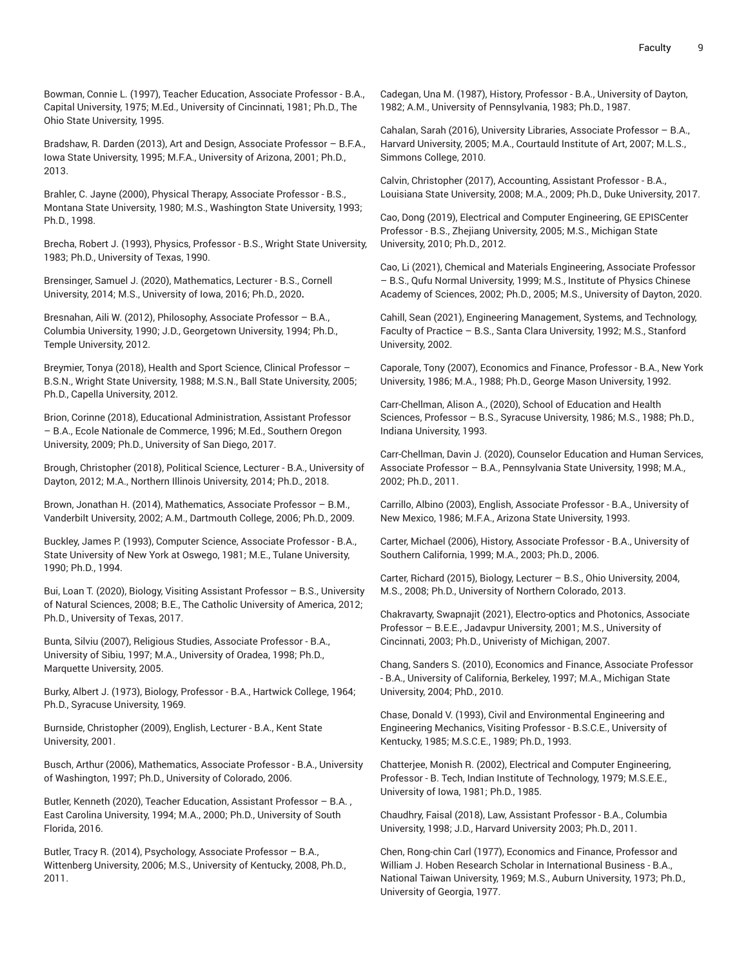Bowman, Connie L. (1997), Teacher Education, Associate Professor - B.A., Capital University, 1975; M.Ed., University of Cincinnati, 1981; Ph.D., The Ohio State University, 1995.

Bradshaw, R. Darden (2013), Art and Design, Associate Professor – B.F.A., Iowa State University, 1995; M.F.A., University of Arizona, 2001; Ph.D., 2013.

Brahler, C. Jayne (2000), Physical Therapy, Associate Professor - B.S., Montana State University, 1980; M.S., Washington State University, 1993; Ph.D., 1998.

Brecha, Robert J. (1993), Physics, Professor - B.S., Wright State University, 1983; Ph.D., University of Texas, 1990.

Brensinger, Samuel J. (2020), Mathematics, Lecturer - B.S., Cornell University, 2014; M.S., University of Iowa, 2016; Ph.D., 2020**.**

Bresnahan, Aili W. (2012), Philosophy, Associate Professor – B.A., Columbia University, 1990; J.D., Georgetown University, 1994; Ph.D., Temple University, 2012.

Breymier, Tonya (2018), Health and Sport Science, Clinical Professor – B.S.N., Wright State University, 1988; M.S.N., Ball State University, 2005; Ph.D., Capella University, 2012.

Brion, Corinne (2018), Educational Administration, Assistant Professor – B.A., Ecole Nationale de Commerce, 1996; M.Ed., Southern Oregon University, 2009; Ph.D., University of San Diego, 2017.

Brough, Christopher (2018), Political Science, Lecturer - B.A., University of Dayton, 2012; M.A., Northern Illinois University, 2014; Ph.D., 2018.

Brown, Jonathan H. (2014), Mathematics, Associate Professor – B.M., Vanderbilt University, 2002; A.M., Dartmouth College, 2006; Ph.D., 2009.

Buckley, James P. (1993), Computer Science, Associate Professor - B.A., State University of New York at Oswego, 1981; M.E., Tulane University, 1990; Ph.D., 1994.

Bui, Loan T. (2020), Biology, Visiting Assistant Professor – B.S., University of Natural Sciences, 2008; B.E., The Catholic University of America, 2012; Ph.D., University of Texas, 2017.

Bunta, Silviu (2007), Religious Studies, Associate Professor - B.A., University of Sibiu, 1997; M.A., University of Oradea, 1998; Ph.D., Marquette University, 2005.

Burky, Albert J. (1973), Biology, Professor - B.A., Hartwick College, 1964; Ph.D., Syracuse University, 1969.

Burnside, Christopher (2009), English, Lecturer - B.A., Kent State University, 2001.

Busch, Arthur (2006), Mathematics, Associate Professor - B.A., University of Washington, 1997; Ph.D., University of Colorado, 2006.

Butler, Kenneth (2020), Teacher Education, Assistant Professor – B.A. , East Carolina University, 1994; M.A., 2000; Ph.D., University of South Florida, 2016.

Butler, Tracy R. (2014), Psychology, Associate Professor – B.A., Wittenberg University, 2006; M.S., University of Kentucky, 2008, Ph.D., 2011.

Cadegan, Una M. (1987), History, Professor - B.A., University of Dayton, 1982; A.M., University of Pennsylvania, 1983; Ph.D., 1987.

Cahalan, Sarah (2016), University Libraries, Associate Professor – B.A., Harvard University, 2005; M.A., Courtauld Institute of Art, 2007; M.L.S., Simmons College, 2010.

Calvin, Christopher (2017), Accounting, Assistant Professor - B.A., Louisiana State University, 2008; M.A., 2009; Ph.D., Duke University, 2017.

Cao, Dong (2019), Electrical and Computer Engineering, GE EPISCenter Professor - B.S., Zhejiang University, 2005; M.S., Michigan State University, 2010; Ph.D., 2012.

Cao, Li (2021), Chemical and Materials Engineering, Associate Professor – B.S., Qufu Normal University, 1999; M.S., Institute of Physics Chinese Academy of Sciences, 2002; Ph.D., 2005; M.S., University of Dayton, 2020.

Cahill, Sean (2021), Engineering Management, Systems, and Technology, Faculty of Practice – B.S., Santa Clara University, 1992; M.S., Stanford University, 2002.

Caporale, Tony (2007), Economics and Finance, Professor - B.A., New York University, 1986; M.A., 1988; Ph.D., George Mason University, 1992.

Carr-Chellman, Alison A., (2020), School of Education and Health Sciences, Professor – B.S., Syracuse University, 1986; M.S., 1988; Ph.D., Indiana University, 1993.

Carr-Chellman, Davin J. (2020), Counselor Education and Human Services, Associate Professor – B.A., Pennsylvania State University, 1998; M.A., 2002; Ph.D., 2011.

Carrillo, Albino (2003), English, Associate Professor - B.A., University of New Mexico, 1986; M.F.A., Arizona State University, 1993.

Carter, Michael (2006), History, Associate Professor - B.A., University of Southern California, 1999; M.A., 2003; Ph.D., 2006.

Carter, Richard (2015), Biology, Lecturer – B.S., Ohio University, 2004, M.S., 2008; Ph.D., University of Northern Colorado, 2013.

Chakravarty, Swapnajit (2021), Electro-optics and Photonics, Associate Professor – B.E.E., Jadavpur University, 2001; M.S., University of Cincinnati, 2003; Ph.D., Univeristy of Michigan, 2007.

Chang, Sanders S. (2010), Economics and Finance, Associate Professor - B.A., University of California, Berkeley, 1997; M.A., Michigan State University, 2004; PhD., 2010.

Chase, Donald V. (1993), Civil and Environmental Engineering and Engineering Mechanics, Visiting Professor - B.S.C.E., University of Kentucky, 1985; M.S.C.E., 1989; Ph.D., 1993.

Chatterjee, Monish R. (2002), Electrical and Computer Engineering, Professor - B. Tech, Indian Institute of Technology, 1979; M.S.E.E., University of Iowa, 1981; Ph.D., 1985.

Chaudhry, Faisal (2018), Law, Assistant Professor - B.A., Columbia University, 1998; J.D., Harvard University 2003; Ph.D., 2011.

Chen, Rong-chin Carl (1977), Economics and Finance, Professor and William J. Hoben Research Scholar in International Business - B.A., National Taiwan University, 1969; M.S., Auburn University, 1973; Ph.D., University of Georgia, 1977.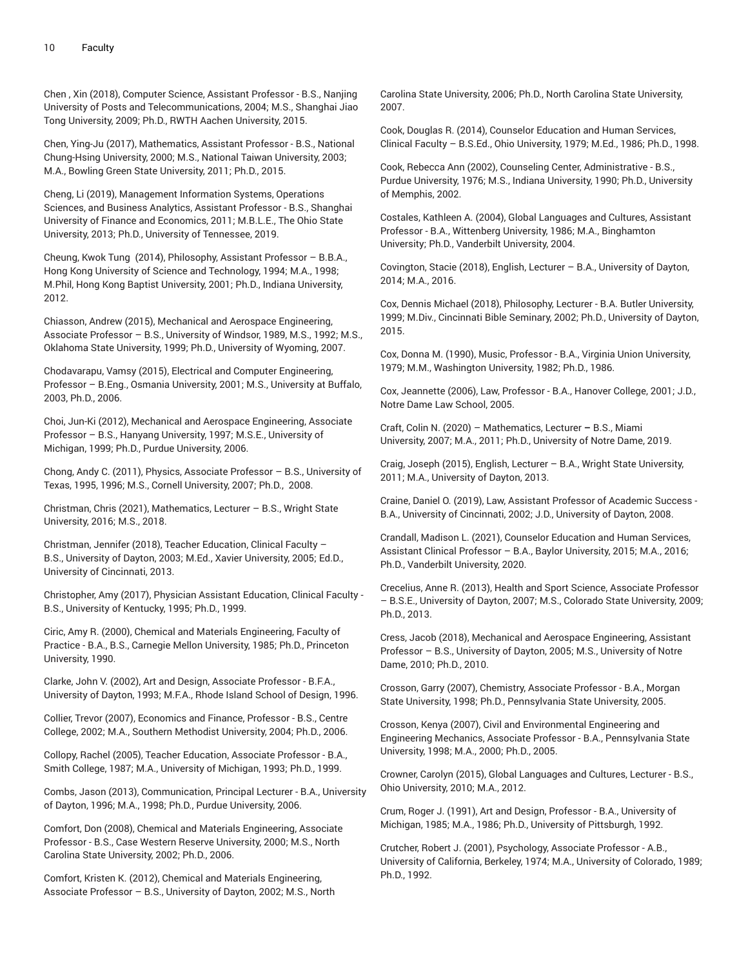Chen , Xin (2018), Computer Science, Assistant Professor - B.S., Nanjing University of Posts and Telecommunications, 2004; M.S., Shanghai Jiao Tong University, 2009; Ph.D., RWTH Aachen University, 2015.

Chen, Ying-Ju (2017), Mathematics, Assistant Professor - B.S., National Chung-Hsing University, 2000; M.S., National Taiwan University, 2003; M.A., Bowling Green State University, 2011; Ph.D., 2015.

Cheng, Li (2019), Management Information Systems, Operations Sciences, and Business Analytics, Assistant Professor - B.S., Shanghai University of Finance and Economics, 2011; M.B.L.E., The Ohio State University, 2013; Ph.D., University of Tennessee, 2019.

Cheung, Kwok Tung (2014), Philosophy, Assistant Professor – B.B.A., Hong Kong University of Science and Technology, 1994; M.A., 1998; M.Phil, Hong Kong Baptist University, 2001; Ph.D., Indiana University, 2012.

Chiasson, Andrew (2015), Mechanical and Aerospace Engineering, Associate Professor – B.S., University of Windsor, 1989, M.S., 1992; M.S., Oklahoma State University, 1999; Ph.D., University of Wyoming, 2007.

Chodavarapu, Vamsy (2015), Electrical and Computer Engineering, Professor – B.Eng., Osmania University, 2001; M.S., University at Buffalo, 2003, Ph.D., 2006.

Choi, Jun-Ki (2012), Mechanical and Aerospace Engineering, Associate Professor – B.S., Hanyang University, 1997; M.S.E., University of Michigan, 1999; Ph.D., Purdue University, 2006.

Chong, Andy C. (2011), Physics, Associate Professor – B.S., University of Texas, 1995, 1996; M.S., Cornell University, 2007; Ph.D., 2008.

Christman, Chris (2021), Mathematics, Lecturer – B.S., Wright State University, 2016; M.S., 2018.

Christman, Jennifer (2018), Teacher Education, Clinical Faculty – B.S., University of Dayton, 2003; M.Ed., Xavier University, 2005; Ed.D., University of Cincinnati, 2013.

Christopher, Amy (2017), Physician Assistant Education, Clinical Faculty - B.S., University of Kentucky, 1995; Ph.D., 1999.

Ciric, Amy R. (2000), Chemical and Materials Engineering, Faculty of Practice - B.A., B.S., Carnegie Mellon University, 1985; Ph.D., Princeton University, 1990.

Clarke, John V. (2002), Art and Design, Associate Professor - B.F.A., University of Dayton, 1993; M.F.A., Rhode Island School of Design, 1996.

Collier, Trevor (2007), Economics and Finance, Professor - B.S., Centre College, 2002; M.A., Southern Methodist University, 2004; Ph.D., 2006.

Collopy, Rachel (2005), Teacher Education, Associate Professor - B.A., Smith College, 1987; M.A., University of Michigan, 1993; Ph.D., 1999.

Combs, Jason (2013), Communication, Principal Lecturer - B.A., University of Dayton, 1996; M.A., 1998; Ph.D., Purdue University, 2006.

Comfort, Don (2008), Chemical and Materials Engineering, Associate Professor - B.S., Case Western Reserve University, 2000; M.S., North Carolina State University, 2002; Ph.D., 2006.

Comfort, Kristen K. (2012), Chemical and Materials Engineering, Associate Professor – B.S., University of Dayton, 2002; M.S., North Carolina State University, 2006; Ph.D., North Carolina State University, 2007.

Cook, Douglas R. (2014), Counselor Education and Human Services, Clinical Faculty – B.S.Ed., Ohio University, 1979; M.Ed., 1986; Ph.D., 1998.

Cook, Rebecca Ann (2002), Counseling Center, Administrative - B.S., Purdue University, 1976; M.S., Indiana University, 1990; Ph.D., University of Memphis, 2002.

Costales, Kathleen A. (2004), Global Languages and Cultures, Assistant Professor - B.A., Wittenberg University, 1986; M.A., Binghamton University; Ph.D., Vanderbilt University, 2004.

Covington, Stacie (2018), English, Lecturer – B.A., University of Dayton, 2014; M.A., 2016.

Cox, Dennis Michael (2018), Philosophy, Lecturer - B.A. Butler University, 1999; M.Div., Cincinnati Bible Seminary, 2002; Ph.D., University of Dayton, 2015.

Cox, Donna M. (1990), Music, Professor - B.A., Virginia Union University, 1979; M.M., Washington University, 1982; Ph.D., 1986.

Cox, Jeannette (2006), Law, Professor - B.A., Hanover College, 2001; J.D., Notre Dame Law School, 2005.

Craft, Colin N. (2020) – Mathematics, Lecturer **–** B.S., Miami University, 2007; M.A., 2011; Ph.D., University of Notre Dame, 2019.

Craig, Joseph (2015), English, Lecturer – B.A., Wright State University, 2011; M.A., University of Dayton, 2013.

Craine, Daniel O. (2019), Law, Assistant Professor of Academic Success - B.A., University of Cincinnati, 2002; J.D., University of Dayton, 2008.

Crandall, Madison L. (2021), Counselor Education and Human Services, Assistant Clinical Professor – B.A., Baylor University, 2015; M.A., 2016; Ph.D., Vanderbilt University, 2020.

Crecelius, Anne R. (2013), Health and Sport Science, Associate Professor – B.S.E., University of Dayton, 2007; M.S., Colorado State University, 2009; Ph.D., 2013.

Cress, Jacob (2018), Mechanical and Aerospace Engineering, Assistant Professor – B.S., University of Dayton, 2005; M.S., University of Notre Dame, 2010; Ph.D., 2010.

Crosson, Garry (2007), Chemistry, Associate Professor - B.A., Morgan State University, 1998; Ph.D., Pennsylvania State University, 2005.

Crosson, Kenya (2007), Civil and Environmental Engineering and Engineering Mechanics, Associate Professor - B.A., Pennsylvania State University, 1998; M.A., 2000; Ph.D., 2005.

Crowner, Carolyn (2015), Global Languages and Cultures, Lecturer - B.S., Ohio University, 2010; M.A., 2012.

Crum, Roger J. (1991), Art and Design, Professor - B.A., University of Michigan, 1985; M.A., 1986; Ph.D., University of Pittsburgh, 1992.

Crutcher, Robert J. (2001), Psychology, Associate Professor - A.B., University of California, Berkeley, 1974; M.A., University of Colorado, 1989; Ph.D., 1992.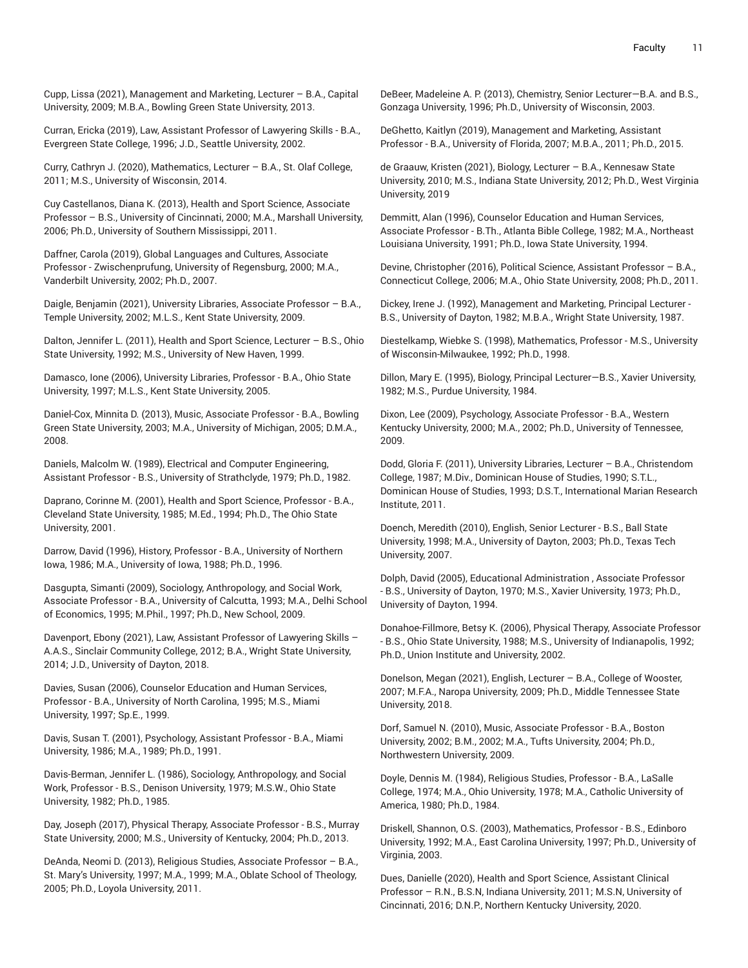Cupp, Lissa (2021), Management and Marketing, Lecturer – B.A., Capital University, 2009; M.B.A., Bowling Green State University, 2013.

Curran, Ericka (2019), Law, Assistant Professor of Lawyering Skills - B.A., Evergreen State College, 1996; J.D., Seattle University, 2002.

Curry, Cathryn J. (2020), Mathematics, Lecturer – B.A., St. Olaf College, 2011; M.S., University of Wisconsin, 2014.

Cuy Castellanos, Diana K. (2013), Health and Sport Science, Associate Professor – B.S., University of Cincinnati, 2000; M.A., Marshall University, 2006; Ph.D., University of Southern Mississippi, 2011.

Daffner, Carola (2019), Global Languages and Cultures, Associate Professor - Zwischenprufung, University of Regensburg, 2000; M.A., Vanderbilt University, 2002; Ph.D., 2007.

Daigle, Benjamin (2021), University Libraries, Associate Professor – B.A., Temple University, 2002; M.L.S., Kent State University, 2009.

Dalton, Jennifer L. (2011), Health and Sport Science, Lecturer – B.S., Ohio State University, 1992; M.S., University of New Haven, 1999.

Damasco, Ione (2006), University Libraries, Professor - B.A., Ohio State University, 1997; M.L.S., Kent State University, 2005.

Daniel-Cox, Minnita D. (2013), Music, Associate Professor - B.A., Bowling Green State University, 2003; M.A., University of Michigan, 2005; D.M.A., 2008.

Daniels, Malcolm W. (1989), Electrical and Computer Engineering, Assistant Professor - B.S., University of Strathclyde, 1979; Ph.D., 1982.

Daprano, Corinne M. (2001), Health and Sport Science, Professor - B.A., Cleveland State University, 1985; M.Ed., 1994; Ph.D., The Ohio State University, 2001.

Darrow, David (1996), History, Professor - B.A., University of Northern Iowa, 1986; M.A., University of Iowa, 1988; Ph.D., 1996.

Dasgupta, Simanti (2009), Sociology, Anthropology, and Social Work, Associate Professor - B.A., University of Calcutta, 1993; M.A., Delhi School of Economics, 1995; M.Phil., 1997; Ph.D., New School, 2009.

Davenport, Ebony (2021), Law, Assistant Professor of Lawyering Skills – A.A.S., Sinclair Community College, 2012; B.A., Wright State University, 2014; J.D., University of Dayton, 2018.

Davies, Susan (2006), Counselor Education and Human Services, Professor - B.A., University of North Carolina, 1995; M.S., Miami University, 1997; Sp.E., 1999.

Davis, Susan T. (2001), Psychology, Assistant Professor - B.A., Miami University, 1986; M.A., 1989; Ph.D., 1991.

Davis-Berman, Jennifer L. (1986), Sociology, Anthropology, and Social Work, Professor - B.S., Denison University, 1979; M.S.W., Ohio State University, 1982; Ph.D., 1985.

Day, Joseph (2017), Physical Therapy, Associate Professor - B.S., Murray State University, 2000; M.S., University of Kentucky, 2004; Ph.D., 2013.

DeAnda, Neomi D. (2013), Religious Studies, Associate Professor – B.A., St. Mary's University, 1997; M.A., 1999; M.A., Oblate School of Theology, 2005; Ph.D., Loyola University, 2011.

DeBeer, Madeleine A. P. (2013), Chemistry, Senior Lecturer—B.A. and B.S., Gonzaga University, 1996; Ph.D., University of Wisconsin, 2003.

DeGhetto, Kaitlyn (2019), Management and Marketing, Assistant Professor - B.A., University of Florida, 2007; M.B.A., 2011; Ph.D., 2015.

de Graauw, Kristen (2021), Biology, Lecturer – B.A., Kennesaw State University, 2010; M.S., Indiana State University, 2012; Ph.D., West Virginia University, 2019

Demmitt, Alan (1996), Counselor Education and Human Services, Associate Professor - B.Th., Atlanta Bible College, 1982; M.A., Northeast Louisiana University, 1991; Ph.D., Iowa State University, 1994.

Devine, Christopher (2016), Political Science, Assistant Professor – B.A., Connecticut College, 2006; M.A., Ohio State University, 2008; Ph.D., 2011.

Dickey, Irene J. (1992), Management and Marketing, Principal Lecturer - B.S., University of Dayton, 1982; M.B.A., Wright State University, 1987.

Diestelkamp, Wiebke S. (1998), Mathematics, Professor - M.S., University of Wisconsin-Milwaukee, 1992; Ph.D., 1998.

Dillon, Mary E. (1995), Biology, Principal Lecturer—B.S., Xavier University, 1982; M.S., Purdue University, 1984.

Dixon, Lee (2009), Psychology, Associate Professor - B.A., Western Kentucky University, 2000; M.A., 2002; Ph.D., University of Tennessee, 2009.

Dodd, Gloria F. (2011), University Libraries, Lecturer – B.A., Christendom College, 1987; M.Div., Dominican House of Studies, 1990; S.T.L., Dominican House of Studies, 1993; D.S.T., International Marian Research Institute, 2011.

Doench, Meredith (2010), English, Senior Lecturer - B.S., Ball State University, 1998; M.A., University of Dayton, 2003; Ph.D., Texas Tech University, 2007.

Dolph, David (2005), Educational Administration , Associate Professor - B.S., University of Dayton, 1970; M.S., Xavier University, 1973; Ph.D., University of Dayton, 1994.

Donahoe-Fillmore, Betsy K. (2006), Physical Therapy, Associate Professor - B.S., Ohio State University, 1988; M.S., University of Indianapolis, 1992; Ph.D., Union Institute and University, 2002.

Donelson, Megan (2021), English, Lecturer – B.A., College of Wooster, 2007; M.F.A., Naropa University, 2009; Ph.D., Middle Tennessee State University, 2018.

Dorf, Samuel N. (2010), Music, Associate Professor - B.A., Boston University, 2002; B.M., 2002; M.A., Tufts University, 2004; Ph.D., Northwestern University, 2009.

Doyle, Dennis M. (1984), Religious Studies, Professor - B.A., LaSalle College, 1974; M.A., Ohio University, 1978; M.A., Catholic University of America, 1980; Ph.D., 1984.

Driskell, Shannon, O.S. (2003), Mathematics, Professor - B.S., Edinboro University, 1992; M.A., East Carolina University, 1997; Ph.D., University of Virginia, 2003.

Dues, Danielle (2020), Health and Sport Science, Assistant Clinical Professor – R.N., B.S.N, Indiana University, 2011; M.S.N, University of Cincinnati, 2016; D.N.P., Northern Kentucky University, 2020.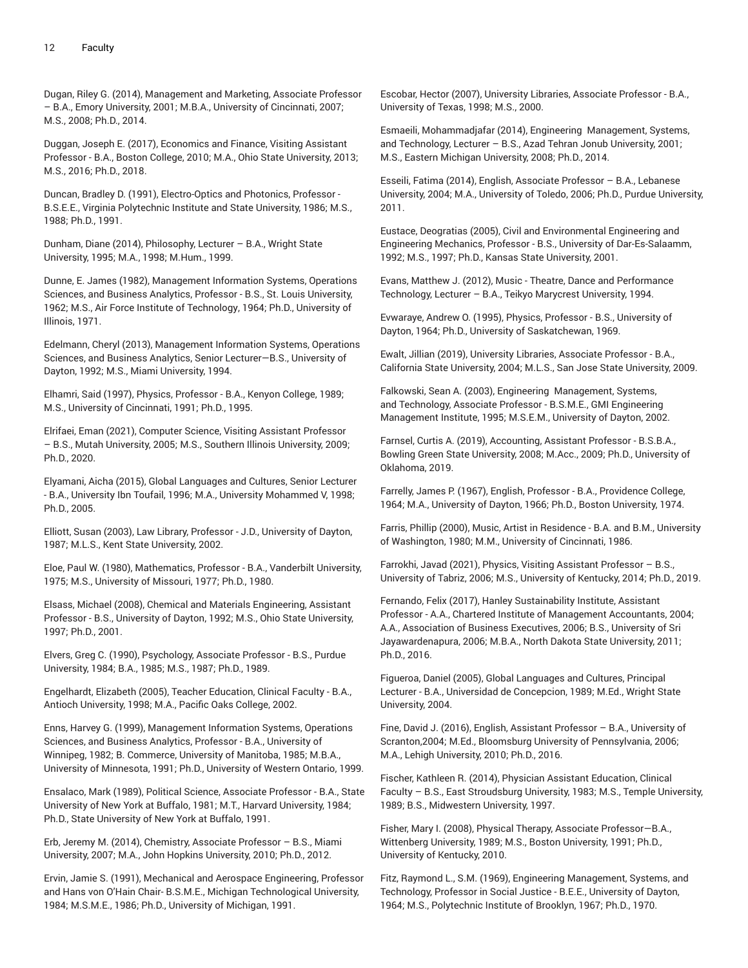Dugan, Riley G. (2014), Management and Marketing, Associate Professor – B.A., Emory University, 2001; M.B.A., University of Cincinnati, 2007; M.S., 2008; Ph.D., 2014.

Duggan, Joseph E. (2017), Economics and Finance, Visiting Assistant Professor - B.A., Boston College, 2010; M.A., Ohio State University, 2013; M.S., 2016; Ph.D., 2018.

Duncan, Bradley D. (1991), Electro-Optics and Photonics, Professor - B.S.E.E., Virginia Polytechnic Institute and State University, 1986; M.S., 1988; Ph.D., 1991.

Dunham, Diane (2014), Philosophy, Lecturer – B.A., Wright State University, 1995; M.A., 1998; M.Hum., 1999.

Dunne, E. James (1982), Management Information Systems, Operations Sciences, and Business Analytics, Professor - B.S., St. Louis University, 1962; M.S., Air Force Institute of Technology, 1964; Ph.D., University of Illinois, 1971.

Edelmann, Cheryl (2013), Management Information Systems, Operations Sciences, and Business Analytics, Senior Lecturer—B.S., University of Dayton, 1992; M.S., Miami University, 1994.

Elhamri, Said (1997), Physics, Professor - B.A., Kenyon College, 1989; M.S., University of Cincinnati, 1991; Ph.D., 1995.

Elrifaei, Eman (2021), Computer Science, Visiting Assistant Professor – B.S., Mutah University, 2005; M.S., Southern Illinois University, 2009; Ph.D., 2020.

Elyamani, Aicha (2015), Global Languages and Cultures, Senior Lecturer - B.A., University Ibn Toufail, 1996; M.A., University Mohammed V, 1998; Ph.D., 2005.

Elliott, Susan (2003), Law Library, Professor - J.D., University of Dayton, 1987; M.L.S., Kent State University, 2002.

Eloe, Paul W. (1980), Mathematics, Professor - B.A., Vanderbilt University, 1975; M.S., University of Missouri, 1977; Ph.D., 1980.

Elsass, Michael (2008), Chemical and Materials Engineering, Assistant Professor - B.S., University of Dayton, 1992; M.S., Ohio State University, 1997; Ph.D., 2001.

Elvers, Greg C. (1990), Psychology, Associate Professor - B.S., Purdue University, 1984; B.A., 1985; M.S., 1987; Ph.D., 1989.

Engelhardt, Elizabeth (2005), Teacher Education, Clinical Faculty - B.A., Antioch University, 1998; M.A., Pacific Oaks College, 2002.

Enns, Harvey G. (1999), Management Information Systems, Operations Sciences, and Business Analytics, Professor - B.A., University of Winnipeg, 1982; B. Commerce, University of Manitoba, 1985; M.B.A., University of Minnesota, 1991; Ph.D., University of Western Ontario, 1999.

Ensalaco, Mark (1989), Political Science, Associate Professor - B.A., State University of New York at Buffalo, 1981; M.T., Harvard University, 1984; Ph.D., State University of New York at Buffalo, 1991.

Erb, Jeremy M. (2014), Chemistry, Associate Professor – B.S., Miami University, 2007; M.A., John Hopkins University, 2010; Ph.D., 2012.

Ervin, Jamie S. (1991), Mechanical and Aerospace Engineering, Professor and Hans von O'Hain Chair- B.S.M.E., Michigan Technological University, 1984; M.S.M.E., 1986; Ph.D., University of Michigan, 1991.

Escobar, Hector (2007), University Libraries, Associate Professor - B.A., University of Texas, 1998; M.S., 2000.

Esmaeili, Mohammadjafar (2014), Engineering Management, Systems, and Technology, Lecturer – B.S., Azad Tehran Jonub University, 2001; M.S., Eastern Michigan University, 2008; Ph.D., 2014.

Esseili, Fatima (2014), English, Associate Professor – B.A., Lebanese University, 2004; M.A., University of Toledo, 2006; Ph.D., Purdue University, 2011.

Eustace, Deogratias (2005), Civil and Environmental Engineering and Engineering Mechanics, Professor - B.S., University of Dar-Es-Salaamm, 1992; M.S., 1997; Ph.D., Kansas State University, 2001.

Evans, Matthew J. (2012), Music - Theatre, Dance and Performance Technology, Lecturer – B.A., Teikyo Marycrest University, 1994.

Evwaraye, Andrew O. (1995), Physics, Professor - B.S., University of Dayton, 1964; Ph.D., University of Saskatchewan, 1969.

Ewalt, Jillian (2019), University Libraries, Associate Professor - B.A., California State University, 2004; M.L.S., San Jose State University, 2009.

Falkowski, Sean A. (2003), Engineering Management, Systems, and Technology, Associate Professor - B.S.M.E., GMI Engineering Management Institute, 1995; M.S.E.M., University of Dayton, 2002.

Farnsel, Curtis A. (2019), Accounting, Assistant Professor - B.S.B.A., Bowling Green State University, 2008; M.Acc., 2009; Ph.D., University of Oklahoma, 2019.

Farrelly, James P. (1967), English, Professor - B.A., Providence College, 1964; M.A., University of Dayton, 1966; Ph.D., Boston University, 1974.

Farris, Phillip (2000), Music, Artist in Residence - B.A. and B.M., University of Washington, 1980; M.M., University of Cincinnati, 1986.

Farrokhi, Javad (2021), Physics, Visiting Assistant Professor – B.S., University of Tabriz, 2006; M.S., University of Kentucky, 2014; Ph.D., 2019.

Fernando, Felix (2017), Hanley Sustainability Institute, Assistant Professor - A.A., Chartered Institute of Management Accountants, 2004; A.A., Association of Business Executives, 2006; B.S., University of Sri Jayawardenapura, 2006; M.B.A., North Dakota State University, 2011; Ph.D., 2016.

Figueroa, Daniel (2005), Global Languages and Cultures, Principal Lecturer - B.A., Universidad de Concepcion, 1989; M.Ed., Wright State University, 2004.

Fine, David J. (2016), English, Assistant Professor – B.A., University of Scranton,2004; M.Ed., Bloomsburg University of Pennsylvania, 2006; M.A., Lehigh University, 2010; Ph.D., 2016.

Fischer, Kathleen R. (2014), Physician Assistant Education, Clinical Faculty – B.S., East Stroudsburg University, 1983; M.S., Temple University, 1989; B.S., Midwestern University, 1997.

Fisher, Mary I. (2008), Physical Therapy, Associate Professor—B.A., Wittenberg University, 1989; M.S., Boston University, 1991; Ph.D., University of Kentucky, 2010.

Fitz, Raymond L., S.M. (1969), Engineering Management, Systems, and Technology, Professor in Social Justice - B.E.E., University of Dayton, 1964; M.S., Polytechnic Institute of Brooklyn, 1967; Ph.D., 1970.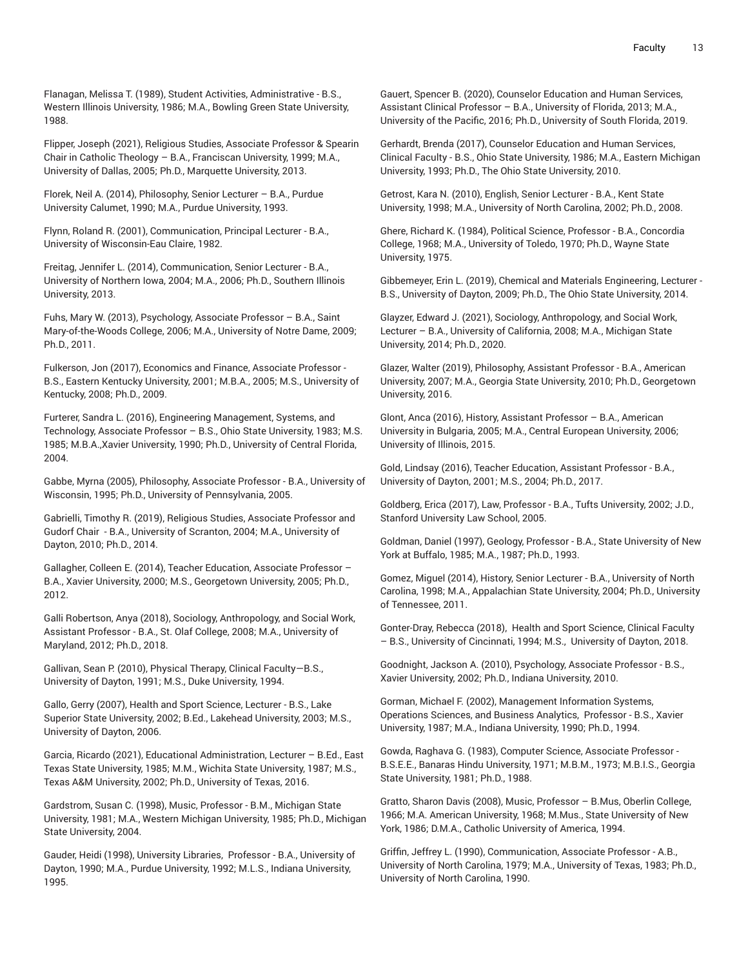Flanagan, Melissa T. (1989), Student Activities, Administrative - B.S., Western Illinois University, 1986; M.A., Bowling Green State University, 1988.

Flipper, Joseph (2021), Religious Studies, Associate Professor & Spearin Chair in Catholic Theology – B.A., Franciscan University, 1999; M.A., University of Dallas, 2005; Ph.D., Marquette University, 2013.

Florek, Neil A. (2014), Philosophy, Senior Lecturer – B.A., Purdue University Calumet, 1990; M.A., Purdue University, 1993.

Flynn, Roland R. (2001), Communication, Principal Lecturer - B.A., University of Wisconsin-Eau Claire, 1982.

Freitag, Jennifer L. (2014), Communication, Senior Lecturer - B.A., University of Northern Iowa, 2004; M.A., 2006; Ph.D., Southern Illinois University, 2013.

Fuhs, Mary W. (2013), Psychology, Associate Professor – B.A., Saint Mary-of-the-Woods College, 2006; M.A., University of Notre Dame, 2009; Ph.D., 2011.

Fulkerson, Jon (2017), Economics and Finance, Associate Professor - B.S., Eastern Kentucky University, 2001; M.B.A., 2005; M.S., University of Kentucky, 2008; Ph.D., 2009.

Furterer, Sandra L. (2016), Engineering Management, Systems, and Technology, Associate Professor – B.S., Ohio State University, 1983; M.S. 1985; M.B.A.,Xavier University, 1990; Ph.D., University of Central Florida, 2004.

Gabbe, Myrna (2005), Philosophy, Associate Professor - B.A., University of Wisconsin, 1995; Ph.D., University of Pennsylvania, 2005.

Gabrielli, Timothy R. (2019), Religious Studies, Associate Professor and Gudorf Chair - B.A., University of Scranton, 2004; M.A., University of Dayton, 2010; Ph.D., 2014.

Gallagher, Colleen E. (2014), Teacher Education, Associate Professor – B.A., Xavier University, 2000; M.S., Georgetown University, 2005; Ph.D., 2012.

Galli Robertson, Anya (2018), Sociology, Anthropology, and Social Work, Assistant Professor - B.A., St. Olaf College, 2008; M.A., University of Maryland, 2012; Ph.D., 2018.

Gallivan, Sean P. (2010), Physical Therapy, Clinical Faculty—B.S., University of Dayton, 1991; M.S., Duke University, 1994.

Gallo, Gerry (2007), Health and Sport Science, Lecturer - B.S., Lake Superior State University, 2002; B.Ed., Lakehead University, 2003; M.S., University of Dayton, 2006.

Garcia, Ricardo (2021), Educational Administration, Lecturer – B.Ed., East Texas State University, 1985; M.M., Wichita State University, 1987; M.S., Texas A&M University, 2002; Ph.D., University of Texas, 2016.

Gardstrom, Susan C. (1998), Music, Professor - B.M., Michigan State University, 1981; M.A., Western Michigan University, 1985; Ph.D., Michigan State University, 2004.

Gauder, Heidi (1998), University Libraries, Professor - B.A., University of Dayton, 1990; M.A., Purdue University, 1992; M.L.S., Indiana University, 1995.

Gauert, Spencer B. (2020), Counselor Education and Human Services, Assistant Clinical Professor – B.A., University of Florida, 2013; M.A., University of the Pacific, 2016; Ph.D., University of South Florida, 2019.

Gerhardt, Brenda (2017), Counselor Education and Human Services, Clinical Faculty - B.S., Ohio State University, 1986; M.A., Eastern Michigan University, 1993; Ph.D., The Ohio State University, 2010.

Getrost, Kara N. (2010), English, Senior Lecturer - B.A., Kent State University, 1998; M.A., University of North Carolina, 2002; Ph.D., 2008.

Ghere, Richard K. (1984), Political Science, Professor - B.A., Concordia College, 1968; M.A., University of Toledo, 1970; Ph.D., Wayne State University, 1975.

Gibbemeyer, Erin L. (2019), Chemical and Materials Engineering, Lecturer - B.S., University of Dayton, 2009; Ph.D., The Ohio State University, 2014.

Glayzer, Edward J. (2021), Sociology, Anthropology, and Social Work, Lecturer – B.A., University of California, 2008; M.A., Michigan State University, 2014; Ph.D., 2020.

Glazer, Walter (2019), Philosophy, Assistant Professor - B.A., American University, 2007; M.A., Georgia State University, 2010; Ph.D., Georgetown University, 2016.

Glont, Anca (2016), History, Assistant Professor – B.A., American University in Bulgaria, 2005; M.A., Central European University, 2006; University of Illinois, 2015.

Gold, Lindsay (2016), Teacher Education, Assistant Professor - B.A., University of Dayton, 2001; M.S., 2004; Ph.D., 2017.

Goldberg, Erica (2017), Law, Professor - B.A., Tufts University, 2002; J.D., Stanford University Law School, 2005.

Goldman, Daniel (1997), Geology, Professor - B.A., State University of New York at Buffalo, 1985; M.A., 1987; Ph.D., 1993.

Gomez, Miguel (2014), History, Senior Lecturer - B.A., University of North Carolina, 1998; M.A., Appalachian State University, 2004; Ph.D., University of Tennessee, 2011.

Gonter-Dray, Rebecca (2018), Health and Sport Science, Clinical Faculty – B.S., University of Cincinnati, 1994; M.S., University of Dayton, 2018.

Goodnight, Jackson A. (2010), Psychology, Associate Professor - B.S., Xavier University, 2002; Ph.D., Indiana University, 2010.

Gorman, Michael F. (2002), Management Information Systems, Operations Sciences, and Business Analytics, Professor - B.S., Xavier University, 1987; M.A., Indiana University, 1990; Ph.D., 1994.

Gowda, Raghava G. (1983), Computer Science, Associate Professor - B.S.E.E., Banaras Hindu University, 1971; M.B.M., 1973; M.B.I.S., Georgia State University, 1981; Ph.D., 1988.

Gratto, Sharon Davis (2008), Music, Professor – B.Mus, Oberlin College, 1966; M.A. American University, 1968; M.Mus., State University of New York, 1986; D.M.A., Catholic University of America, 1994.

Griffin, Jeffrey L. (1990), Communication, Associate Professor - A.B., University of North Carolina, 1979; M.A., University of Texas, 1983; Ph.D., University of North Carolina, 1990.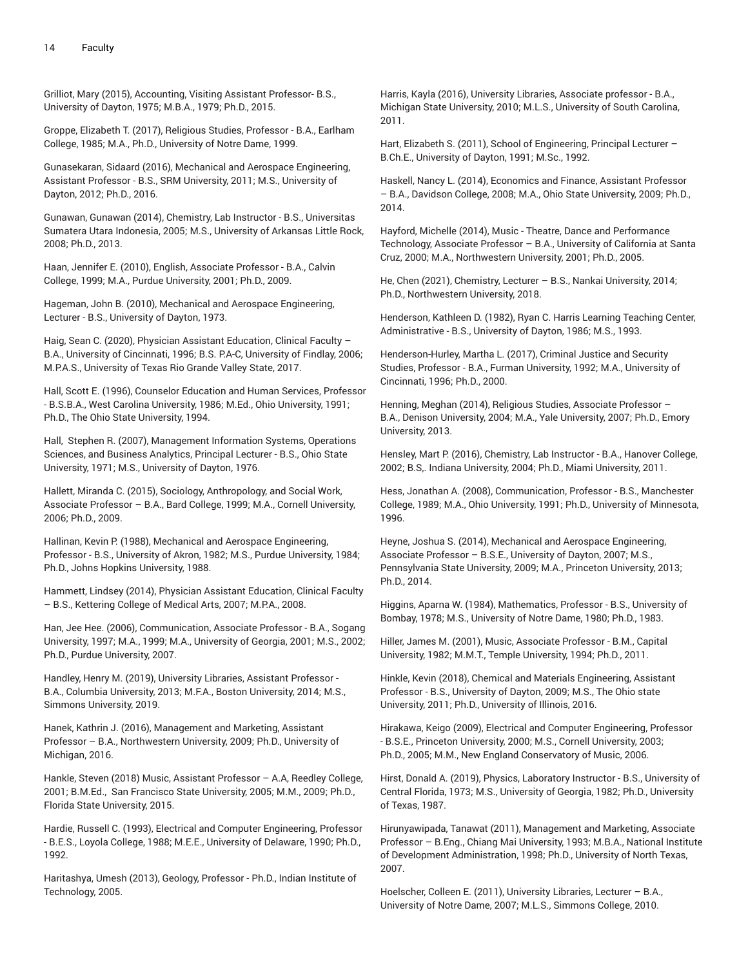Grilliot, Mary (2015), Accounting, Visiting Assistant Professor- B.S., University of Dayton, 1975; M.B.A., 1979; Ph.D., 2015.

Groppe, Elizabeth T. (2017), Religious Studies, Professor - B.A., Earlham College, 1985; M.A., Ph.D., University of Notre Dame, 1999.

Gunasekaran, Sidaard (2016), Mechanical and Aerospace Engineering, Assistant Professor - B.S., SRM University, 2011; M.S., University of Dayton, 2012; Ph.D., 2016.

Gunawan, Gunawan (2014), Chemistry, Lab Instructor - B.S., Universitas Sumatera Utara Indonesia, 2005; M.S., University of Arkansas Little Rock, 2008; Ph.D., 2013.

Haan, Jennifer E. (2010), English, Associate Professor - B.A., Calvin College, 1999; M.A., Purdue University, 2001; Ph.D., 2009.

Hageman, John B. (2010), Mechanical and Aerospace Engineering, Lecturer - B.S., University of Dayton, 1973.

Haig, Sean C. (2020), Physician Assistant Education, Clinical Faculty – B.A., University of Cincinnati, 1996; B.S. P.A-C, University of Findlay, 2006; M.P.A.S., University of Texas Rio Grande Valley State, 2017.

Hall, Scott E. (1996), Counselor Education and Human Services, Professor - B.S.B.A., West Carolina University, 1986; M.Ed., Ohio University, 1991; Ph.D., The Ohio State University, 1994.

Hall, Stephen R. (2007), Management Information Systems, Operations Sciences, and Business Analytics, Principal Lecturer - B.S., Ohio State University, 1971; M.S., University of Dayton, 1976.

Hallett, Miranda C. (2015), Sociology, Anthropology, and Social Work, Associate Professor – B.A., Bard College, 1999; M.A., Cornell University, 2006; Ph.D., 2009.

Hallinan, Kevin P. (1988), Mechanical and Aerospace Engineering, Professor - B.S., University of Akron, 1982; M.S., Purdue University, 1984; Ph.D., Johns Hopkins University, 1988.

Hammett, Lindsey (2014), Physician Assistant Education, Clinical Faculty – B.S., Kettering College of Medical Arts, 2007; M.P.A., 2008.

Han, Jee Hee. (2006), Communication, Associate Professor - B.A., Sogang University, 1997; M.A., 1999; M.A., University of Georgia, 2001; M.S., 2002; Ph.D., Purdue University, 2007.

Handley, Henry M. (2019), University Libraries, Assistant Professor - B.A., Columbia University, 2013; M.F.A., Boston University, 2014; M.S., Simmons University, 2019.

Hanek, Kathrin J. (2016), Management and Marketing, Assistant Professor – B.A., Northwestern University, 2009; Ph.D., University of Michigan, 2016.

Hankle, Steven (2018) Music, Assistant Professor – A.A, Reedley College, 2001; B.M.Ed., San Francisco State University, 2005; M.M., 2009; Ph.D., Florida State University, 2015.

Hardie, Russell C. (1993), Electrical and Computer Engineering, Professor - B.E.S., Loyola College, 1988; M.E.E., University of Delaware, 1990; Ph.D., 1992.

Haritashya, Umesh (2013), Geology, Professor - Ph.D., Indian Institute of Technology, 2005.

Harris, Kayla (2016), University Libraries, Associate professor - B.A., Michigan State University, 2010; M.L.S., University of South Carolina, 2011.

Hart, Elizabeth S. (2011), School of Engineering, Principal Lecturer -B.Ch.E., University of Dayton, 1991; M.Sc., 1992.

Haskell, Nancy L. (2014), Economics and Finance, Assistant Professor – B.A., Davidson College, 2008; M.A., Ohio State University, 2009; Ph.D., 2014.

Hayford, Michelle (2014), Music - Theatre, Dance and Performance Technology, Associate Professor – B.A., University of California at Santa Cruz, 2000; M.A., Northwestern University, 2001; Ph.D., 2005.

He, Chen (2021), Chemistry, Lecturer – B.S., Nankai University, 2014; Ph.D., Northwestern University, 2018.

Henderson, Kathleen D. (1982), Ryan C. Harris Learning Teaching Center, Administrative - B.S., University of Dayton, 1986; M.S., 1993.

Henderson-Hurley, Martha L. (2017), Criminal Justice and Security Studies, Professor - B.A., Furman University, 1992; M.A., University of Cincinnati, 1996; Ph.D., 2000.

Henning, Meghan (2014), Religious Studies, Associate Professor – B.A., Denison University, 2004; M.A., Yale University, 2007; Ph.D., Emory University, 2013.

Hensley, Mart P. (2016), Chemistry, Lab Instructor - B.A., Hanover College, 2002; B.S,. Indiana University, 2004; Ph.D., Miami University, 2011.

Hess, Jonathan A. (2008), Communication, Professor - B.S., Manchester College, 1989; M.A., Ohio University, 1991; Ph.D., University of Minnesota, 1996.

Heyne, Joshua S. (2014), Mechanical and Aerospace Engineering, Associate Professor – B.S.E., University of Dayton, 2007; M.S., Pennsylvania State University, 2009; M.A., Princeton University, 2013; Ph.D., 2014.

Higgins, Aparna W. (1984), Mathematics, Professor - B.S., University of Bombay, 1978; M.S., University of Notre Dame, 1980; Ph.D., 1983.

Hiller, James M. (2001), Music, Associate Professor - B.M., Capital University, 1982; M.M.T., Temple University, 1994; Ph.D., 2011.

Hinkle, Kevin (2018), Chemical and Materials Engineering, Assistant Professor - B.S., University of Dayton, 2009; M.S., The Ohio state University, 2011; Ph.D., University of Illinois, 2016.

Hirakawa, Keigo (2009), Electrical and Computer Engineering, Professor - B.S.E., Princeton University, 2000; M.S., Cornell University, 2003; Ph.D., 2005; M.M., New England Conservatory of Music, 2006.

Hirst, Donald A. (2019), Physics, Laboratory Instructor - B.S., University of Central Florida, 1973; M.S., University of Georgia, 1982; Ph.D., University of Texas, 1987.

Hirunyawipada, Tanawat (2011), Management and Marketing, Associate Professor – B.Eng., Chiang Mai University, 1993; M.B.A., National Institute of Development Administration, 1998; Ph.D., University of North Texas, 2007.

Hoelscher, Colleen E. (2011), University Libraries, Lecturer – B.A., University of Notre Dame, 2007; M.L.S., Simmons College, 2010.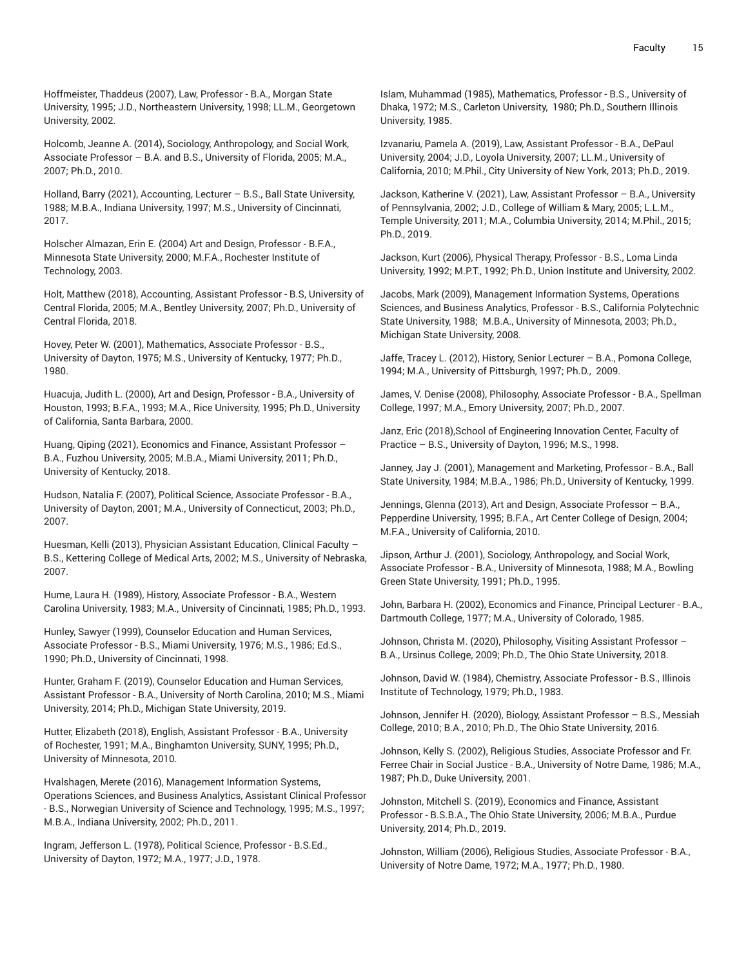Hoffmeister, Thaddeus (2007), Law, Professor - B.A., Morgan State University, 1995; J.D., Northeastern University, 1998; LL.M., Georgetown University, 2002.

Holcomb, Jeanne A. (2014), Sociology, Anthropology, and Social Work, Associate Professor – B.A. and B.S., University of Florida, 2005; M.A., 2007; Ph.D., 2010.

Holland, Barry (2021), Accounting, Lecturer - B.S., Ball State University, 1988; M.B.A., Indiana University, 1997; M.S., University of Cincinnati, 2017.

Holscher Almazan, Erin E. (2004) Art and Design, Professor - B.F.A., Minnesota State University, 2000; M.F.A., Rochester Institute of Technology, 2003.

Holt, Matthew (2018), Accounting, Assistant Professor - B.S, University of Central Florida, 2005; M.A., Bentley University, 2007; Ph.D., University of Central Florida, 2018.

Hovey, Peter W. (2001), Mathematics, Associate Professor - B.S., University of Dayton, 1975; M.S., University of Kentucky, 1977; Ph.D., 1980.

Huacuja, Judith L. (2000), Art and Design, Professor - B.A., University of Houston, 1993; B.F.A., 1993; M.A., Rice University, 1995; Ph.D., University of California, Santa Barbara, 2000.

Huang, Qiping (2021), Economics and Finance, Assistant Professor – B.A., Fuzhou University, 2005; M.B.A., Miami University, 2011; Ph.D., University of Kentucky, 2018.

Hudson, Natalia F. (2007), Political Science, Associate Professor - B.A., University of Dayton, 2001; M.A., University of Connecticut, 2003; Ph.D., 2007.

Huesman, Kelli (2013), Physician Assistant Education, Clinical Faculty – B.S., Kettering College of Medical Arts, 2002; M.S., University of Nebraska, 2007.

Hume, Laura H. (1989), History, Associate Professor - B.A., Western Carolina University, 1983; M.A., University of Cincinnati, 1985; Ph.D., 1993.

Hunley, Sawyer (1999), Counselor Education and Human Services, Associate Professor - B.S., Miami University, 1976; M.S., 1986; Ed.S., 1990; Ph.D., University of Cincinnati, 1998.

Hunter, Graham F. (2019), Counselor Education and Human Services, Assistant Professor - B.A., University of North Carolina, 2010; M.S., Miami University, 2014; Ph.D., Michigan State University, 2019.

Hutter, Elizabeth (2018), English, Assistant Professor - B.A., University of Rochester, 1991; M.A., Binghamton University, SUNY, 1995; Ph.D., University of Minnesota, 2010.

Hvalshagen, Merete (2016), Management Information Systems, Operations Sciences, and Business Analytics, Assistant Clinical Professor - B.S., Norwegian University of Science and Technology, 1995; M.S., 1997; M.B.A., Indiana University, 2002; Ph.D., 2011.

Ingram, Jefferson L. (1978), Political Science, Professor - B.S.Ed., University of Dayton, 1972; M.A., 1977; J.D., 1978.

Islam, Muhammad (1985), Mathematics, Professor - B.S., University of Dhaka, 1972; M.S., Carleton University, 1980; Ph.D., Southern Illinois University, 1985.

Izvanariu, Pamela A. (2019), Law, Assistant Professor - B.A., DePaul University, 2004; J.D., Loyola University, 2007; LL.M., University of California, 2010; M.Phil., City University of New York, 2013; Ph.D., 2019.

Jackson, Katherine V. (2021), Law, Assistant Professor – B.A., University of Pennsylvania, 2002; J.D., College of William & Mary, 2005; L.L.M., Temple University, 2011; M.A., Columbia University, 2014; M.Phil., 2015; Ph.D., 2019.

Jackson, Kurt (2006), Physical Therapy, Professor - B.S., Loma Linda University, 1992; M.P.T., 1992; Ph.D., Union Institute and University, 2002.

Jacobs, Mark (2009), Management Information Systems, Operations Sciences, and Business Analytics, Professor - B.S., California Polytechnic State University, 1988; M.B.A., University of Minnesota, 2003; Ph.D., Michigan State University, 2008.

Jaffe, Tracey L. (2012), History, Senior Lecturer – B.A., Pomona College, 1994; M.A., University of Pittsburgh, 1997; Ph.D., 2009.

James, V. Denise (2008), Philosophy, Associate Professor - B.A., Spellman College, 1997; M.A., Emory University, 2007; Ph.D., 2007.

Janz, Eric (2018),School of Engineering Innovation Center, Faculty of Practice – B.S., University of Dayton, 1996; M.S., 1998.

Janney, Jay J. (2001), Management and Marketing, Professor - B.A., Ball State University, 1984; M.B.A., 1986; Ph.D., University of Kentucky, 1999.

Jennings, Glenna (2013), Art and Design, Associate Professor – B.A., Pepperdine University, 1995; B.F.A., Art Center College of Design, 2004; M.F.A., University of California, 2010.

Jipson, Arthur J. (2001), Sociology, Anthropology, and Social Work, Associate Professor - B.A., University of Minnesota, 1988; M.A., Bowling Green State University, 1991; Ph.D., 1995.

John, Barbara H. (2002), Economics and Finance, Principal Lecturer - B.A., Dartmouth College, 1977; M.A., University of Colorado, 1985.

Johnson, Christa M. (2020), Philosophy, Visiting Assistant Professor – B.A., Ursinus College, 2009; Ph.D., The Ohio State University, 2018.

Johnson, David W. (1984), Chemistry, Associate Professor - B.S., Illinois Institute of Technology, 1979; Ph.D., 1983.

Johnson, Jennifer H. (2020), Biology, Assistant Professor – B.S., Messiah College, 2010; B.A., 2010; Ph.D., The Ohio State University, 2016.

Johnson, Kelly S. (2002), Religious Studies, Associate Professor and Fr. Ferree Chair in Social Justice - B.A., University of Notre Dame, 1986; M.A., 1987; Ph.D., Duke University, 2001.

Johnston, Mitchell S. (2019), Economics and Finance, Assistant Professor - B.S.B.A., The Ohio State University, 2006; M.B.A., Purdue University, 2014; Ph.D., 2019.

Johnston, William (2006), Religious Studies, Associate Professor - B.A., University of Notre Dame, 1972; M.A., 1977; Ph.D., 1980.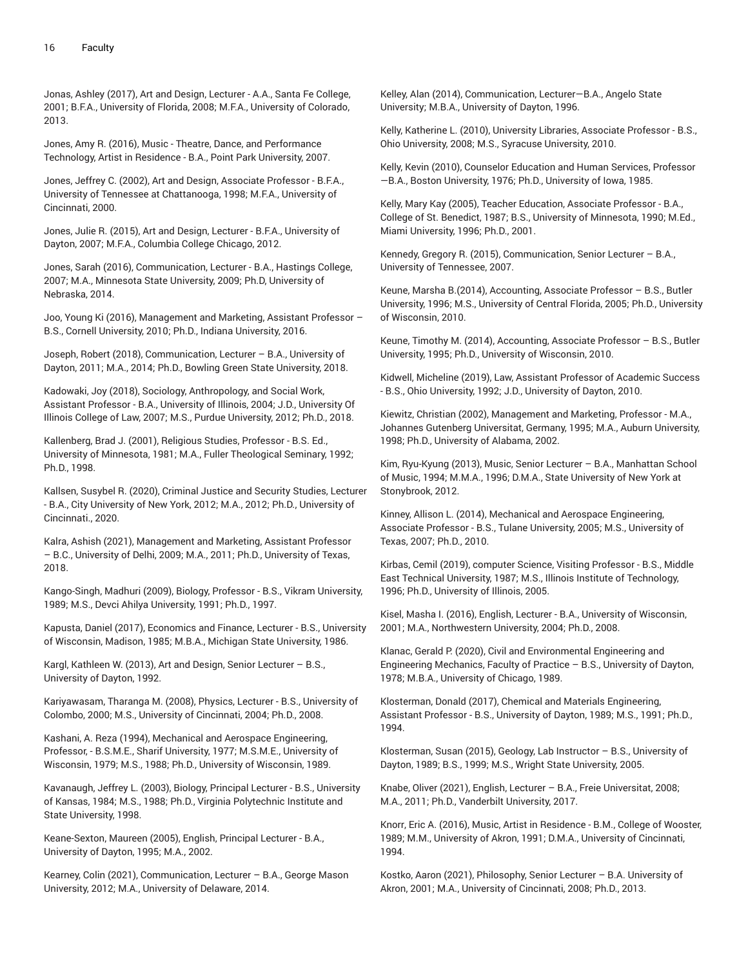Jonas, Ashley (2017), Art and Design, Lecturer - A.A., Santa Fe College, 2001; B.F.A., University of Florida, 2008; M.F.A., University of Colorado, 2013.

Jones, Amy R. (2016), Music - Theatre, Dance, and Performance Technology, Artist in Residence - B.A., Point Park University, 2007.

Jones, Jeffrey C. (2002), Art and Design, Associate Professor - B.F.A., University of Tennessee at Chattanooga, 1998; M.F.A., University of Cincinnati, 2000.

Jones, Julie R. (2015), Art and Design, Lecturer - B.F.A., University of Dayton, 2007; M.F.A., Columbia College Chicago, 2012.

Jones, Sarah (2016), Communication, Lecturer - B.A., Hastings College, 2007; M.A., Minnesota State University, 2009; Ph.D, University of Nebraska, 2014.

Joo, Young Ki (2016), Management and Marketing, Assistant Professor – B.S., Cornell University, 2010; Ph.D., Indiana University, 2016.

Joseph, Robert (2018), Communication, Lecturer – B.A., University of Dayton, 2011; M.A., 2014; Ph.D., Bowling Green State University, 2018.

Kadowaki, Joy (2018), Sociology, Anthropology, and Social Work, Assistant Professor - B.A., University of Illinois, 2004; J.D., University Of Illinois College of Law, 2007; M.S., Purdue University, 2012; Ph.D., 2018.

Kallenberg, Brad J. (2001), Religious Studies, Professor - B.S. Ed., University of Minnesota, 1981; M.A., Fuller Theological Seminary, 1992; Ph.D., 1998.

Kallsen, Susybel R. (2020), Criminal Justice and Security Studies, Lecturer - B.A., City University of New York, 2012; M.A., 2012; Ph.D., University of Cincinnati., 2020.

Kalra, Ashish (2021), Management and Marketing, Assistant Professor – B.C., University of Delhi, 2009; M.A., 2011; Ph.D., University of Texas, 2018.

Kango-Singh, Madhuri (2009), Biology, Professor - B.S., Vikram University, 1989; M.S., Devci Ahilya University, 1991; Ph.D., 1997.

Kapusta, Daniel (2017), Economics and Finance, Lecturer - B.S., University of Wisconsin, Madison, 1985; M.B.A., Michigan State University, 1986.

Kargl, Kathleen W. (2013), Art and Design, Senior Lecturer – B.S., University of Dayton, 1992.

Kariyawasam, Tharanga M. (2008), Physics, Lecturer - B.S., University of Colombo, 2000; M.S., University of Cincinnati, 2004; Ph.D., 2008.

Kashani, A. Reza (1994), Mechanical and Aerospace Engineering, Professor, - B.S.M.E., Sharif University, 1977; M.S.M.E., University of Wisconsin, 1979; M.S., 1988; Ph.D., University of Wisconsin, 1989.

Kavanaugh, Jeffrey L. (2003), Biology, Principal Lecturer - B.S., University of Kansas, 1984; M.S., 1988; Ph.D., Virginia Polytechnic Institute and State University, 1998.

Keane-Sexton, Maureen (2005), English, Principal Lecturer - B.A., University of Dayton, 1995; M.A., 2002.

Kearney, Colin (2021), Communication, Lecturer – B.A., George Mason University, 2012; M.A., University of Delaware, 2014.

Kelley, Alan (2014), Communication, Lecturer—B.A., Angelo State University; M.B.A., University of Dayton, 1996.

Kelly, Katherine L. (2010), University Libraries, Associate Professor - B.S., Ohio University, 2008; M.S., Syracuse University, 2010.

Kelly, Kevin (2010), Counselor Education and Human Services, Professor —B.A., Boston University, 1976; Ph.D., University of Iowa, 1985.

Kelly, Mary Kay (2005), Teacher Education, Associate Professor - B.A., College of St. Benedict, 1987; B.S., University of Minnesota, 1990; M.Ed., Miami University, 1996; Ph.D., 2001.

Kennedy, Gregory R. (2015), Communication, Senior Lecturer – B.A., University of Tennessee, 2007.

Keune, Marsha B.(2014), Accounting, Associate Professor – B.S., Butler University, 1996; M.S., University of Central Florida, 2005; Ph.D., University of Wisconsin, 2010.

Keune, Timothy M. (2014), Accounting, Associate Professor – B.S., Butler University, 1995; Ph.D., University of Wisconsin, 2010.

Kidwell, Micheline (2019), Law, Assistant Professor of Academic Success - B.S., Ohio University, 1992; J.D., University of Dayton, 2010.

Kiewitz, Christian (2002), Management and Marketing, Professor - M.A., Johannes Gutenberg Universitat, Germany, 1995; M.A., Auburn University, 1998; Ph.D., University of Alabama, 2002.

Kim, Ryu-Kyung (2013), Music, Senior Lecturer – B.A., Manhattan School of Music, 1994; M.M.A., 1996; D.M.A., State University of New York at Stonybrook, 2012.

Kinney, Allison L. (2014), Mechanical and Aerospace Engineering, Associate Professor - B.S., Tulane University, 2005; M.S., University of Texas, 2007; Ph.D., 2010.

Kirbas, Cemil (2019), computer Science, Visiting Professor - B.S., Middle East Technical University, 1987; M.S., Illinois Institute of Technology, 1996; Ph.D., University of Illinois, 2005.

Kisel, Masha I. (2016), English, Lecturer - B.A., University of Wisconsin, 2001; M.A., Northwestern University, 2004; Ph.D., 2008.

Klanac, Gerald P. (2020), Civil and Environmental Engineering and Engineering Mechanics, Faculty of Practice – B.S., University of Dayton, 1978; M.B.A., University of Chicago, 1989.

Klosterman, Donald (2017), Chemical and Materials Engineering, Assistant Professor - B.S., University of Dayton, 1989; M.S., 1991; Ph.D., 1994.

Klosterman, Susan (2015), Geology, Lab Instructor – B.S., University of Dayton, 1989; B.S., 1999; M.S., Wright State University, 2005.

Knabe, Oliver (2021), English, Lecturer – B.A., Freie Universitat, 2008; M.A., 2011; Ph.D., Vanderbilt University, 2017.

Knorr, Eric A. (2016), Music, Artist in Residence - B.M., College of Wooster, 1989; M.M., University of Akron, 1991; D.M.A., University of Cincinnati, 1994.

Kostko, Aaron (2021), Philosophy, Senior Lecturer – B.A. University of Akron, 2001; M.A., University of Cincinnati, 2008; Ph.D., 2013.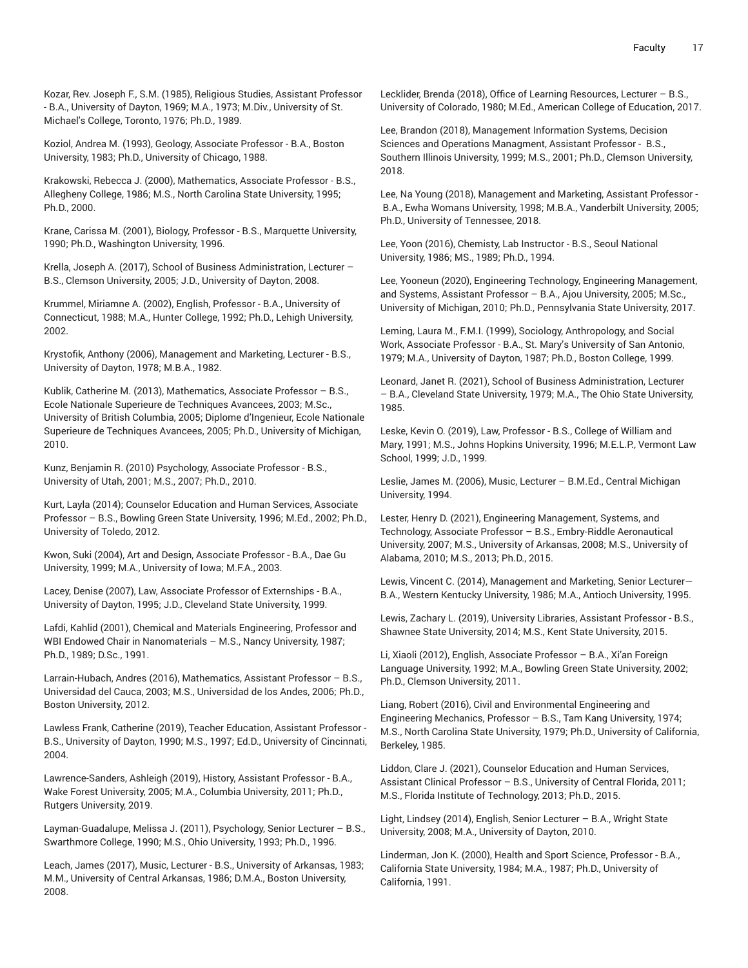Kozar, Rev. Joseph F., S.M. (1985), Religious Studies, Assistant Professor - B.A., University of Dayton, 1969; M.A., 1973; M.Div., University of St. Michael's College, Toronto, 1976; Ph.D., 1989.

Koziol, Andrea M. (1993), Geology, Associate Professor - B.A., Boston University, 1983; Ph.D., University of Chicago, 1988.

Krakowski, Rebecca J. (2000), Mathematics, Associate Professor - B.S., Allegheny College, 1986; M.S., North Carolina State University, 1995; Ph.D., 2000.

Krane, Carissa M. (2001), Biology, Professor - B.S., Marquette University, 1990; Ph.D., Washington University, 1996.

Krella, Joseph A. (2017), School of Business Administration, Lecturer – B.S., Clemson University, 2005; J.D., University of Dayton, 2008.

Krummel, Miriamne A. (2002), English, Professor - B.A., University of Connecticut, 1988; M.A., Hunter College, 1992; Ph.D., Lehigh University, 2002.

Krystofik, Anthony (2006), Management and Marketing, Lecturer - B.S., University of Dayton, 1978; M.B.A., 1982.

Kublik, Catherine M. (2013), Mathematics, Associate Professor – B.S., Ecole Nationale Superieure de Techniques Avancees, 2003; M.Sc., University of British Columbia, 2005; Diplome d'Ingenieur, Ecole Nationale Superieure de Techniques Avancees, 2005; Ph.D., University of Michigan, 2010.

Kunz, Benjamin R. (2010) Psychology, Associate Professor - B.S., University of Utah, 2001; M.S., 2007; Ph.D., 2010.

Kurt, Layla (2014); Counselor Education and Human Services, Associate Professor – B.S., Bowling Green State University, 1996; M.Ed., 2002; Ph.D., University of Toledo, 2012.

Kwon, Suki (2004), Art and Design, Associate Professor - B.A., Dae Gu University, 1999; M.A., University of Iowa; M.F.A., 2003.

Lacey, Denise (2007), Law, Associate Professor of Externships - B.A., University of Dayton, 1995; J.D., Cleveland State University, 1999.

Lafdi, Kahlid (2001), Chemical and Materials Engineering, Professor and WBI Endowed Chair in Nanomaterials – M.S., Nancy University, 1987; Ph.D., 1989; D.Sc., 1991.

Larrain-Hubach, Andres (2016), Mathematics, Assistant Professor – B.S., Universidad del Cauca, 2003; M.S., Universidad de los Andes, 2006; Ph.D., Boston University, 2012.

Lawless Frank, Catherine (2019), Teacher Education, Assistant Professor - B.S., University of Dayton, 1990; M.S., 1997; Ed.D., University of Cincinnati, 2004.

Lawrence-Sanders, Ashleigh (2019), History, Assistant Professor - B.A., Wake Forest University, 2005; M.A., Columbia University, 2011; Ph.D., Rutgers University, 2019.

Layman-Guadalupe, Melissa J. (2011), Psychology, Senior Lecturer – B.S., Swarthmore College, 1990; M.S., Ohio University, 1993; Ph.D., 1996.

Leach, James (2017), Music, Lecturer - B.S., University of Arkansas, 1983; M.M., University of Central Arkansas, 1986; D.M.A., Boston University, 2008.

Lecklider, Brenda (2018), Office of Learning Resources, Lecturer – B.S., University of Colorado, 1980; M.Ed., American College of Education, 2017.

Lee, Brandon (2018), Management Information Systems, Decision Sciences and Operations Managment, Assistant Professor - B.S., Southern Illinois University, 1999; M.S., 2001; Ph.D., Clemson University, 2018.

Lee, Na Young (2018), Management and Marketing, Assistant Professor - B.A., Ewha Womans University, 1998; M.B.A., Vanderbilt University, 2005; Ph.D., University of Tennessee, 2018.

Lee, Yoon (2016), Chemisty, Lab Instructor - B.S., Seoul National University, 1986; MS., 1989; Ph.D., 1994.

Lee, Yooneun (2020), Engineering Technology, Engineering Management, and Systems, Assistant Professor – B.A., Ajou University, 2005; M.Sc., University of Michigan, 2010; Ph.D., Pennsylvania State University, 2017.

Leming, Laura M., F.M.I. (1999), Sociology, Anthropology, and Social Work, Associate Professor - B.A., St. Mary's University of San Antonio, 1979; M.A., University of Dayton, 1987; Ph.D., Boston College, 1999.

Leonard, Janet R. (2021), School of Business Administration, Lecturer – B.A., Cleveland State University, 1979; M.A., The Ohio State University, 1985.

Leske, Kevin O. (2019), Law, Professor - B.S., College of William and Mary, 1991; M.S., Johns Hopkins University, 1996; M.E.L.P., Vermont Law School, 1999; J.D., 1999.

Leslie, James M. (2006), Music, Lecturer – B.M.Ed., Central Michigan University, 1994.

Lester, Henry D. (2021), Engineering Management, Systems, and Technology, Associate Professor – B.S., Embry-Riddle Aeronautical University, 2007; M.S., University of Arkansas, 2008; M.S., University of Alabama, 2010; M.S., 2013; Ph.D., 2015.

Lewis, Vincent C. (2014), Management and Marketing, Senior Lecturer— B.A., Western Kentucky University, 1986; M.A., Antioch University, 1995.

Lewis, Zachary L. (2019), University Libraries, Assistant Professor - B.S., Shawnee State University, 2014; M.S., Kent State University, 2015.

Li, Xiaoli (2012), English, Associate Professor – B.A., Xi'an Foreign Language University, 1992; M.A., Bowling Green State University, 2002; Ph.D., Clemson University, 2011.

Liang, Robert (2016), Civil and Environmental Engineering and Engineering Mechanics, Professor – B.S., Tam Kang University, 1974; M.S., North Carolina State University, 1979; Ph.D., University of California, Berkeley, 1985.

Liddon, Clare J. (2021), Counselor Education and Human Services, Assistant Clinical Professor – B.S., University of Central Florida, 2011; M.S., Florida Institute of Technology, 2013; Ph.D., 2015.

Light, Lindsey (2014), English, Senior Lecturer – B.A., Wright State University, 2008; M.A., University of Dayton, 2010.

Linderman, Jon K. (2000), Health and Sport Science, Professor - B.A., California State University, 1984; M.A., 1987; Ph.D., University of California, 1991.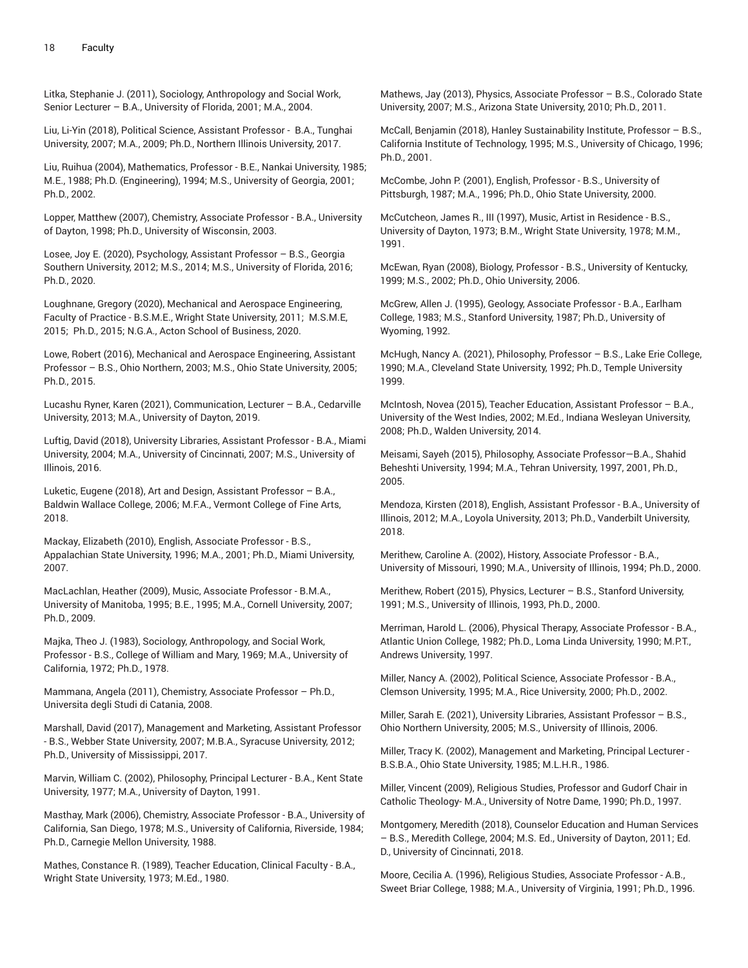Litka, Stephanie J. (2011), Sociology, Anthropology and Social Work, Senior Lecturer – B.A., University of Florida, 2001; M.A., 2004.

Liu, Li-Yin (2018), Political Science, Assistant Professor - B.A., Tunghai University, 2007; M.A., 2009; Ph.D., Northern Illinois University, 2017.

Liu, Ruihua (2004), Mathematics, Professor - B.E., Nankai University, 1985; M.E., 1988; Ph.D. (Engineering), 1994; M.S., University of Georgia, 2001; Ph.D., 2002.

Lopper, Matthew (2007), Chemistry, Associate Professor - B.A., University of Dayton, 1998; Ph.D., University of Wisconsin, 2003.

Losee, Joy E. (2020), Psychology, Assistant Professor – B.S., Georgia Southern University, 2012; M.S., 2014; M.S., University of Florida, 2016; Ph.D., 2020.

Loughnane, Gregory (2020), Mechanical and Aerospace Engineering, Faculty of Practice - B.S.M.E., Wright State University, 2011; M.S.M.E, 2015; Ph.D., 2015; N.G.A., Acton School of Business, 2020.

Lowe, Robert (2016), Mechanical and Aerospace Engineering, Assistant Professor – B.S., Ohio Northern, 2003; M.S., Ohio State University, 2005; Ph.D., 2015.

Lucashu Ryner, Karen (2021), Communication, Lecturer – B.A., Cedarville University, 2013; M.A., University of Dayton, 2019.

Luftig, David (2018), University Libraries, Assistant Professor - B.A., Miami University, 2004; M.A., University of Cincinnati, 2007; M.S., University of Illinois, 2016.

Luketic, Eugene (2018), Art and Design, Assistant Professor – B.A., Baldwin Wallace College, 2006; M.F.A., Vermont College of Fine Arts, 2018.

Mackay, Elizabeth (2010), English, Associate Professor - B.S., Appalachian State University, 1996; M.A., 2001; Ph.D., Miami University, 2007.

MacLachlan, Heather (2009), Music, Associate Professor - B.M.A., University of Manitoba, 1995; B.E., 1995; M.A., Cornell University, 2007; Ph.D., 2009.

Majka, Theo J. (1983), Sociology, Anthropology, and Social Work, Professor - B.S., College of William and Mary, 1969; M.A., University of California, 1972; Ph.D., 1978.

Mammana, Angela (2011), Chemistry, Associate Professor – Ph.D., Universita degli Studi di Catania, 2008.

Marshall, David (2017), Management and Marketing, Assistant Professor - B.S., Webber State University, 2007; M.B.A., Syracuse University, 2012; Ph.D., University of Mississippi, 2017.

Marvin, William C. (2002), Philosophy, Principal Lecturer - B.A., Kent State University, 1977; M.A., University of Dayton, 1991.

Masthay, Mark (2006), Chemistry, Associate Professor - B.A., University of California, San Diego, 1978; M.S., University of California, Riverside, 1984; Ph.D., Carnegie Mellon University, 1988.

Mathes, Constance R. (1989), Teacher Education, Clinical Faculty - B.A., Wright State University, 1973; M.Ed., 1980.

Mathews, Jay (2013), Physics, Associate Professor – B.S., Colorado State University, 2007; M.S., Arizona State University, 2010; Ph.D., 2011.

McCall, Benjamin (2018), Hanley Sustainability Institute, Professor – B.S., California Institute of Technology, 1995; M.S., University of Chicago, 1996; Ph.D., 2001.

McCombe, John P. (2001), English, Professor - B.S., University of Pittsburgh, 1987; M.A., 1996; Ph.D., Ohio State University, 2000.

McCutcheon, James R., III (1997), Music, Artist in Residence - B.S., University of Dayton, 1973; B.M., Wright State University, 1978; M.M., 1991.

McEwan, Ryan (2008), Biology, Professor - B.S., University of Kentucky, 1999; M.S., 2002; Ph.D., Ohio University, 2006.

McGrew, Allen J. (1995), Geology, Associate Professor - B.A., Earlham College, 1983; M.S., Stanford University, 1987; Ph.D., University of Wyoming, 1992.

McHugh, Nancy A. (2021), Philosophy, Professor – B.S., Lake Erie College, 1990; M.A., Cleveland State University, 1992; Ph.D., Temple University 1999.

McIntosh, Novea (2015), Teacher Education, Assistant Professor – B.A., University of the West Indies, 2002; M.Ed., Indiana Wesleyan University, 2008; Ph.D., Walden University, 2014.

Meisami, Sayeh (2015), Philosophy, Associate Professor—B.A., Shahid Beheshti University, 1994; M.A., Tehran University, 1997, 2001, Ph.D., 2005.

Mendoza, Kirsten (2018), English, Assistant Professor - B.A., University of Illinois, 2012; M.A., Loyola University, 2013; Ph.D., Vanderbilt University, 2018.

Merithew, Caroline A. (2002), History, Associate Professor - B.A., University of Missouri, 1990; M.A., University of Illinois, 1994; Ph.D., 2000.

Merithew, Robert (2015), Physics, Lecturer – B.S., Stanford University, 1991; M.S., University of Illinois, 1993, Ph.D., 2000.

Merriman, Harold L. (2006), Physical Therapy, Associate Professor - B.A., Atlantic Union College, 1982; Ph.D., Loma Linda University, 1990; M.P.T., Andrews University, 1997.

Miller, Nancy A. (2002), Political Science, Associate Professor - B.A., Clemson University, 1995; M.A., Rice University, 2000; Ph.D., 2002.

Miller, Sarah E. (2021), University Libraries, Assistant Professor – B.S., Ohio Northern University, 2005; M.S., University of Illinois, 2006.

Miller, Tracy K. (2002), Management and Marketing, Principal Lecturer - B.S.B.A., Ohio State University, 1985; M.L.H.R., 1986.

Miller, Vincent (2009), Religious Studies, Professor and Gudorf Chair in Catholic Theology- M.A., University of Notre Dame, 1990; Ph.D., 1997.

Montgomery, Meredith (2018), Counselor Education and Human Services – B.S., Meredith College, 2004; M.S. Ed., University of Dayton, 2011; Ed. D., University of Cincinnati, 2018.

Moore, Cecilia A. (1996), Religious Studies, Associate Professor - A.B., Sweet Briar College, 1988; M.A., University of Virginia, 1991; Ph.D., 1996.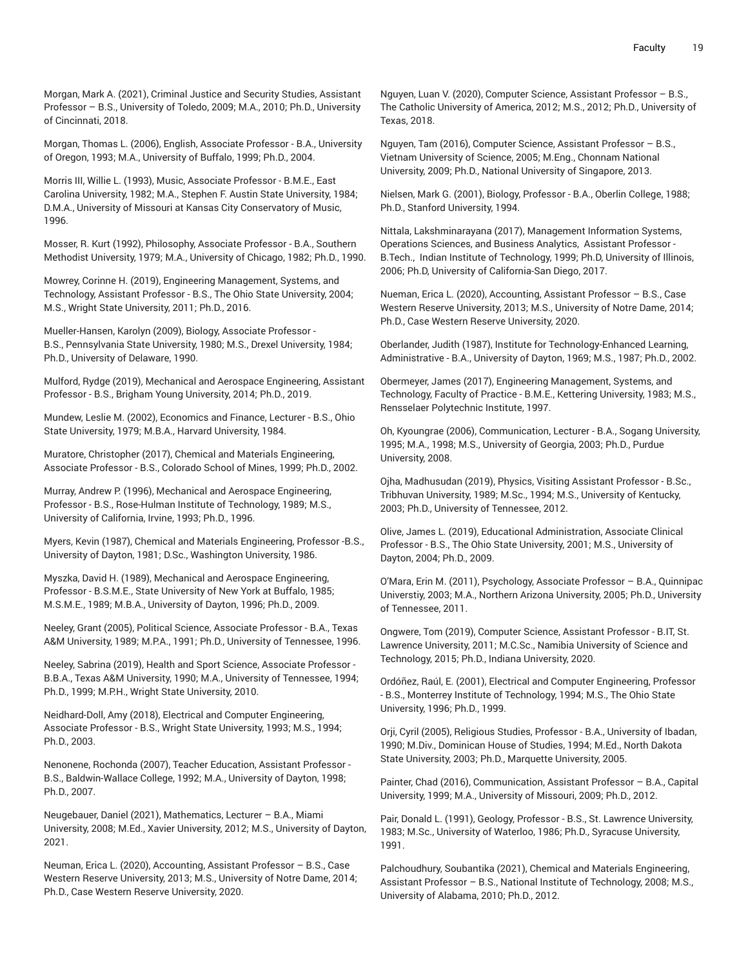Morgan, Mark A. (2021), Criminal Justice and Security Studies, Assistant Professor – B.S., University of Toledo, 2009; M.A., 2010; Ph.D., University of Cincinnati, 2018.

Morgan, Thomas L. (2006), English, Associate Professor - B.A., University of Oregon, 1993; M.A., University of Buffalo, 1999; Ph.D., 2004.

Morris III, Willie L. (1993), Music, Associate Professor - B.M.E., East Carolina University, 1982; M.A., Stephen F. Austin State University, 1984; D.M.A., University of Missouri at Kansas City Conservatory of Music, 1996.

Mosser, R. Kurt (1992), Philosophy, Associate Professor - B.A., Southern Methodist University, 1979; M.A., University of Chicago, 1982; Ph.D., 1990.

Mowrey, Corinne H. (2019), Engineering Management, Systems, and Technology, Assistant Professor - B.S., The Ohio State University, 2004; M.S., Wright State University, 2011; Ph.D., 2016.

Mueller-Hansen, Karolyn (2009), Biology, Associate Professor - B.S., Pennsylvania State University, 1980; M.S., Drexel University, 1984; Ph.D., University of Delaware, 1990.

Mulford, Rydge (2019), Mechanical and Aerospace Engineering, Assistant Professor - B.S., Brigham Young University, 2014; Ph.D., 2019.

Mundew, Leslie M. (2002), Economics and Finance, Lecturer - B.S., Ohio State University, 1979; M.B.A., Harvard University, 1984.

Muratore, Christopher (2017), Chemical and Materials Engineering, Associate Professor - B.S., Colorado School of Mines, 1999; Ph.D., 2002.

Murray, Andrew P. (1996), Mechanical and Aerospace Engineering, Professor - B.S., Rose-Hulman Institute of Technology, 1989; M.S., University of California, Irvine, 1993; Ph.D., 1996.

Myers, Kevin (1987), Chemical and Materials Engineering, Professor -B.S., University of Dayton, 1981; D.Sc., Washington University, 1986.

Myszka, David H. (1989), Mechanical and Aerospace Engineering, Professor - B.S.M.E., State University of New York at Buffalo, 1985; M.S.M.E., 1989; M.B.A., University of Dayton, 1996; Ph.D., 2009.

Neeley, Grant (2005), Political Science, Associate Professor - B.A., Texas A&M University, 1989; M.P.A., 1991; Ph.D., University of Tennessee, 1996.

Neeley, Sabrina (2019), Health and Sport Science, Associate Professor - B.B.A., Texas A&M University, 1990; M.A., University of Tennessee, 1994; Ph.D., 1999; M.P.H., Wright State University, 2010.

Neidhard-Doll, Amy (2018), Electrical and Computer Engineering, Associate Professor - B.S., Wright State University, 1993; M.S., 1994; Ph.D., 2003.

Nenonene, Rochonda (2007), Teacher Education, Assistant Professor - B.S., Baldwin-Wallace College, 1992; M.A., University of Dayton, 1998; Ph.D., 2007.

Neugebauer, Daniel (2021), Mathematics, Lecturer – B.A., Miami University, 2008; M.Ed., Xavier University, 2012; M.S., University of Dayton, 2021.

Neuman, Erica L. (2020), Accounting, Assistant Professor – B.S., Case Western Reserve University, 2013; M.S., University of Notre Dame, 2014; Ph.D., Case Western Reserve University, 2020.

Nguyen, Luan V. (2020), Computer Science, Assistant Professor – B.S., The Catholic University of America, 2012; M.S., 2012; Ph.D., University of Texas, 2018.

Nguyen, Tam (2016), Computer Science, Assistant Professor – B.S., Vietnam University of Science, 2005; M.Eng., Chonnam National University, 2009; Ph.D., National University of Singapore, 2013.

Nielsen, Mark G. (2001), Biology, Professor - B.A., Oberlin College, 1988; Ph.D., Stanford University, 1994.

Nittala, Lakshminarayana (2017), Management Information Systems, Operations Sciences, and Business Analytics, Assistant Professor - B.Tech., Indian Institute of Technology, 1999; Ph.D, University of Illinois, 2006; Ph.D, University of California-San Diego, 2017.

Nueman, Erica L. (2020), Accounting, Assistant Professor – B.S., Case Western Reserve University, 2013; M.S., University of Notre Dame, 2014; Ph.D., Case Western Reserve University, 2020.

Oberlander, Judith (1987), Institute for Technology-Enhanced Learning, Administrative - B.A., University of Dayton, 1969; M.S., 1987; Ph.D., 2002.

Obermeyer, James (2017), Engineering Management, Systems, and Technology, Faculty of Practice - B.M.E., Kettering University, 1983; M.S., Rensselaer Polytechnic Institute, 1997.

Oh, Kyoungrae (2006), Communication, Lecturer - B.A., Sogang University, 1995; M.A., 1998; M.S., University of Georgia, 2003; Ph.D., Purdue University, 2008.

Ojha, Madhusudan (2019), Physics, Visiting Assistant Professor - B.Sc., Tribhuvan University, 1989; M.Sc., 1994; M.S., University of Kentucky, 2003; Ph.D., University of Tennessee, 2012.

Olive, James L. (2019), Educational Administration, Associate Clinical Professor - B.S., The Ohio State University, 2001; M.S., University of Dayton, 2004; Ph.D., 2009.

O'Mara, Erin M. (2011), Psychology, Associate Professor – B.A., Quinnipac Universtiy, 2003; M.A., Northern Arizona University, 2005; Ph.D., University of Tennessee, 2011.

Ongwere, Tom (2019), Computer Science, Assistant Professor - B.IT, St. Lawrence University, 2011; M.C.Sc., Namibia University of Science and Technology, 2015; Ph.D., Indiana University, 2020.

Ordóñez, Raúl, E. (2001), Electrical and Computer Engineering, Professor - B.S., Monterrey Institute of Technology, 1994; M.S., The Ohio State University, 1996; Ph.D., 1999.

Orji, Cyril (2005), Religious Studies, Professor - B.A., University of Ibadan, 1990; M.Div., Dominican House of Studies, 1994; M.Ed., North Dakota State University, 2003; Ph.D., Marquette University, 2005.

Painter, Chad (2016), Communication, Assistant Professor – B.A., Capital University, 1999; M.A., University of Missouri, 2009; Ph.D., 2012.

Pair, Donald L. (1991), Geology, Professor - B.S., St. Lawrence University, 1983; M.Sc., University of Waterloo, 1986; Ph.D., Syracuse University, 1991.

Palchoudhury, Soubantika (2021), Chemical and Materials Engineering, Assistant Professor – B.S., National Institute of Technology, 2008; M.S., University of Alabama, 2010; Ph.D., 2012.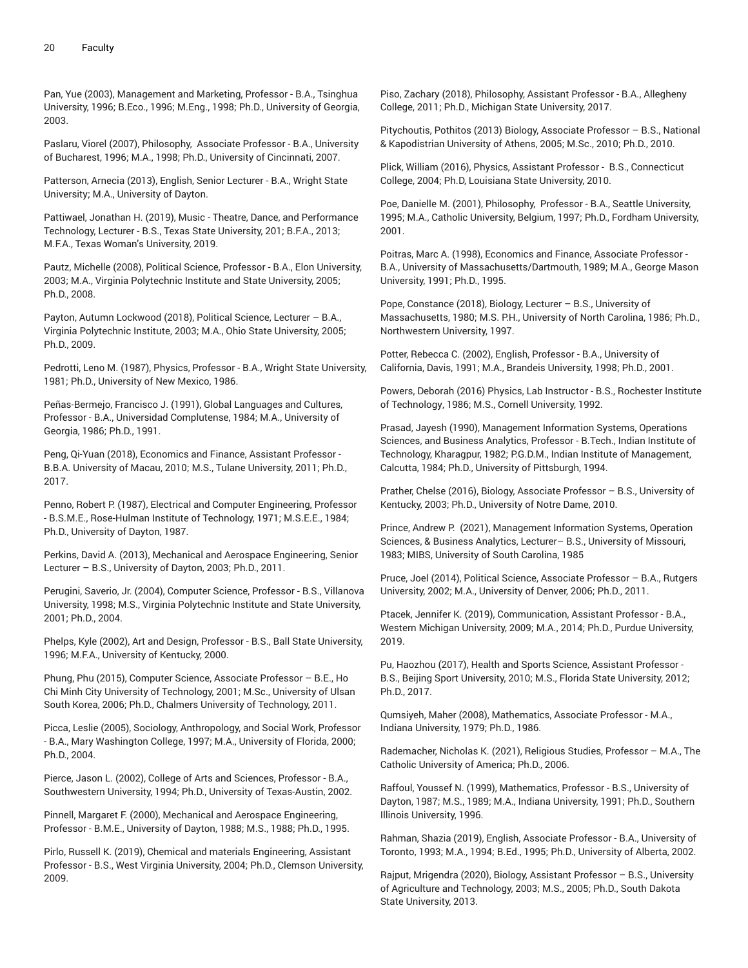Pan, Yue (2003), Management and Marketing, Professor - B.A., Tsinghua University, 1996; B.Eco., 1996; M.Eng., 1998; Ph.D., University of Georgia, 2003.

Paslaru, Viorel (2007), Philosophy, Associate Professor - B.A., University of Bucharest, 1996; M.A., 1998; Ph.D., University of Cincinnati, 2007.

Patterson, Arnecia (2013), English, Senior Lecturer - B.A., Wright State University; M.A., University of Dayton.

Pattiwael, Jonathan H. (2019), Music - Theatre, Dance, and Performance Technology, Lecturer - B.S., Texas State University, 201; B.F.A., 2013; M.F.A., Texas Woman's University, 2019.

Pautz, Michelle (2008), Political Science, Professor - B.A., Elon University, 2003; M.A., Virginia Polytechnic Institute and State University, 2005; Ph.D., 2008.

Payton, Autumn Lockwood (2018), Political Science, Lecturer – B.A., Virginia Polytechnic Institute, 2003; M.A., Ohio State University, 2005; Ph.D., 2009.

Pedrotti, Leno M. (1987), Physics, Professor - B.A., Wright State University, 1981; Ph.D., University of New Mexico, 1986.

Peñas-Bermejo, Francisco J. (1991), Global Languages and Cultures, Professor - B.A., Universidad Complutense, 1984; M.A., University of Georgia, 1986; Ph.D., 1991.

Peng, Qi-Yuan (2018), Economics and Finance, Assistant Professor - B.B.A. University of Macau, 2010; M.S., Tulane University, 2011; Ph.D., 2017.

Penno, Robert P. (1987), Electrical and Computer Engineering, Professor - B.S.M.E., Rose-Hulman Institute of Technology, 1971; M.S.E.E., 1984; Ph.D., University of Dayton, 1987.

Perkins, David A. (2013), Mechanical and Aerospace Engineering, Senior Lecturer – B.S., University of Dayton, 2003; Ph.D., 2011.

Perugini, Saverio, Jr. (2004), Computer Science, Professor - B.S., Villanova University, 1998; M.S., Virginia Polytechnic Institute and State University, 2001; Ph.D., 2004.

Phelps, Kyle (2002), Art and Design, Professor - B.S., Ball State University, 1996; M.F.A., University of Kentucky, 2000.

Phung, Phu (2015), Computer Science, Associate Professor – B.E., Ho Chi Minh City University of Technology, 2001; M.Sc., University of Ulsan South Korea, 2006; Ph.D., Chalmers University of Technology, 2011.

Picca, Leslie (2005), Sociology, Anthropology, and Social Work, Professor - B.A., Mary Washington College, 1997; M.A., University of Florida, 2000; Ph.D., 2004.

Pierce, Jason L. (2002), College of Arts and Sciences, Professor - B.A., Southwestern University, 1994; Ph.D., University of Texas-Austin, 2002.

Pinnell, Margaret F. (2000), Mechanical and Aerospace Engineering, Professor - B.M.E., University of Dayton, 1988; M.S., 1988; Ph.D., 1995.

Pirlo, Russell K. (2019), Chemical and materials Engineering, Assistant Professor - B.S., West Virginia University, 2004; Ph.D., Clemson University, 2009.

Piso, Zachary (2018), Philosophy, Assistant Professor - B.A., Allegheny College, 2011; Ph.D., Michigan State University, 2017.

Pitychoutis, Pothitos (2013) Biology, Associate Professor – B.S., National & Kapodistrian University of Athens, 2005; M.Sc., 2010; Ph.D., 2010.

Plick, William (2016), Physics, Assistant Professor - B.S., Connecticut College, 2004; Ph.D, Louisiana State University, 2010.

Poe, Danielle M. (2001), Philosophy, Professor - B.A., Seattle University, 1995; M.A., Catholic University, Belgium, 1997; Ph.D., Fordham University, 2001.

Poitras, Marc A. (1998), Economics and Finance, Associate Professor - B.A., University of Massachusetts/Dartmouth, 1989; M.A., George Mason University, 1991; Ph.D., 1995.

Pope, Constance (2018), Biology, Lecturer – B.S., University of Massachusetts, 1980; M.S. P.H., University of North Carolina, 1986; Ph.D., Northwestern University, 1997.

Potter, Rebecca C. (2002), English, Professor - B.A., University of California, Davis, 1991; M.A., Brandeis University, 1998; Ph.D., 2001.

Powers, Deborah (2016) Physics, Lab Instructor - B.S., Rochester Institute of Technology, 1986; M.S., Cornell University, 1992.

Prasad, Jayesh (1990), Management Information Systems, Operations Sciences, and Business Analytics, Professor - B.Tech., Indian Institute of Technology, Kharagpur, 1982; P.G.D.M., Indian Institute of Management, Calcutta, 1984; Ph.D., University of Pittsburgh, 1994.

Prather, Chelse (2016), Biology, Associate Professor – B.S., University of Kentucky, 2003; Ph.D., University of Notre Dame, 2010.

Prince, Andrew P. (2021), Management Information Systems, Operation Sciences, & Business Analytics, Lecturer– B.S., University of Missouri, 1983; MIBS, University of South Carolina, 1985

Pruce, Joel (2014), Political Science, Associate Professor – B.A., Rutgers University, 2002; M.A., University of Denver, 2006; Ph.D., 2011.

Ptacek, Jennifer K. (2019), Communication, Assistant Professor - B.A., Western Michigan University, 2009; M.A., 2014; Ph.D., Purdue University, 2019.

Pu, Haozhou (2017), Health and Sports Science, Assistant Professor - B.S., Beijing Sport University, 2010; M.S., Florida State University, 2012; Ph.D., 2017.

Qumsiyeh, Maher (2008), Mathematics, Associate Professor - M.A., Indiana University, 1979; Ph.D., 1986.

Rademacher, Nicholas K. (2021), Religious Studies, Professor – M.A., The Catholic University of America; Ph.D., 2006.

Raffoul, Youssef N. (1999), Mathematics, Professor - B.S., University of Dayton, 1987; M.S., 1989; M.A., Indiana University, 1991; Ph.D., Southern Illinois University, 1996.

Rahman, Shazia (2019), English, Associate Professor - B.A., University of Toronto, 1993; M.A., 1994; B.Ed., 1995; Ph.D., University of Alberta, 2002.

Rajput, Mrigendra (2020), Biology, Assistant Professor – B.S., University of Agriculture and Technology, 2003; M.S., 2005; Ph.D., South Dakota State University, 2013.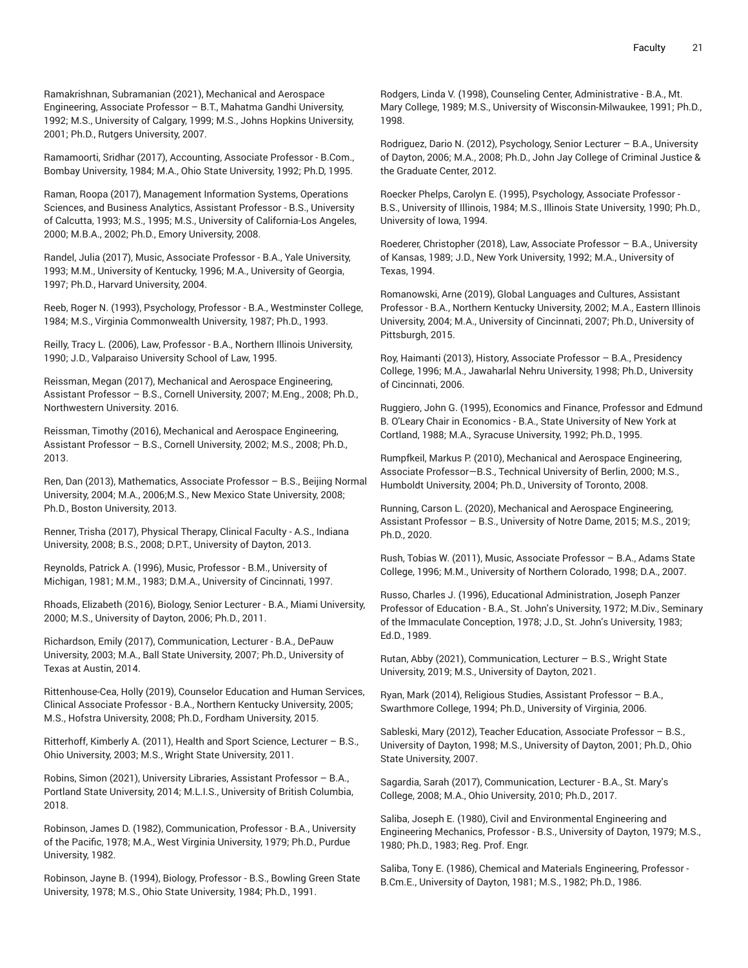Ramakrishnan, Subramanian (2021), Mechanical and Aerospace Engineering, Associate Professor – B.T., Mahatma Gandhi University, 1992; M.S., University of Calgary, 1999; M.S., Johns Hopkins University, 2001; Ph.D., Rutgers University, 2007.

Ramamoorti, Sridhar (2017), Accounting, Associate Professor - B.Com., Bombay University, 1984; M.A., Ohio State University, 1992; Ph.D, 1995.

Raman, Roopa (2017), Management Information Systems, Operations Sciences, and Business Analytics, Assistant Professor - B.S., University of Calcutta, 1993; M.S., 1995; M.S., University of California-Los Angeles, 2000; M.B.A., 2002; Ph.D., Emory University, 2008.

Randel, Julia (2017), Music, Associate Professor - B.A., Yale University, 1993; M.M., University of Kentucky, 1996; M.A., University of Georgia, 1997; Ph.D., Harvard University, 2004.

Reeb, Roger N. (1993), Psychology, Professor - B.A., Westminster College, 1984; M.S., Virginia Commonwealth University, 1987; Ph.D., 1993.

Reilly, Tracy L. (2006), Law, Professor - B.A., Northern Illinois University, 1990; J.D., Valparaiso University School of Law, 1995.

Reissman, Megan (2017), Mechanical and Aerospace Engineering, Assistant Professor – B.S., Cornell University, 2007; M.Eng., 2008; Ph.D., Northwestern University. 2016.

Reissman, Timothy (2016), Mechanical and Aerospace Engineering, Assistant Professor – B.S., Cornell University, 2002; M.S., 2008; Ph.D., 2013.

Ren, Dan (2013), Mathematics, Associate Professor – B.S., Beijing Normal University, 2004; M.A., 2006;M.S., New Mexico State University, 2008; Ph.D., Boston University, 2013.

Renner, Trisha (2017), Physical Therapy, Clinical Faculty - A.S., Indiana University, 2008; B.S., 2008; D.P.T., University of Dayton, 2013.

Reynolds, Patrick A. (1996), Music, Professor - B.M., University of Michigan, 1981; M.M., 1983; D.M.A., University of Cincinnati, 1997.

Rhoads, Elizabeth (2016), Biology, Senior Lecturer - B.A., Miami University, 2000; M.S., University of Dayton, 2006; Ph.D., 2011.

Richardson, Emily (2017), Communication, Lecturer - B.A., DePauw University, 2003; M.A., Ball State University, 2007; Ph.D., University of Texas at Austin, 2014.

Rittenhouse-Cea, Holly (2019), Counselor Education and Human Services, Clinical Associate Professor - B.A., Northern Kentucky University, 2005; M.S., Hofstra University, 2008; Ph.D., Fordham University, 2015.

Ritterhoff, Kimberly A. (2011), Health and Sport Science, Lecturer – B.S., Ohio University, 2003; M.S., Wright State University, 2011.

Robins, Simon (2021), University Libraries, Assistant Professor – B.A., Portland State University, 2014; M.L.I.S., University of British Columbia, 2018.

Robinson, James D. (1982), Communication, Professor - B.A., University of the Pacific, 1978; M.A., West Virginia University, 1979; Ph.D., Purdue University, 1982.

Robinson, Jayne B. (1994), Biology, Professor - B.S., Bowling Green State University, 1978; M.S., Ohio State University, 1984; Ph.D., 1991.

Rodgers, Linda V. (1998), Counseling Center, Administrative - B.A., Mt. Mary College, 1989; M.S., University of Wisconsin-Milwaukee, 1991; Ph.D., 1998.

Rodriguez, Dario N. (2012), Psychology, Senior Lecturer – B.A., University of Dayton, 2006; M.A., 2008; Ph.D., John Jay College of Criminal Justice & the Graduate Center, 2012.

Roecker Phelps, Carolyn E. (1995), Psychology, Associate Professor - B.S., University of Illinois, 1984; M.S., Illinois State University, 1990; Ph.D., University of Iowa, 1994.

Roederer, Christopher (2018), Law, Associate Professor – B.A., University of Kansas, 1989; J.D., New York University, 1992; M.A., University of Texas, 1994.

Romanowski, Arne (2019), Global Languages and Cultures, Assistant Professor - B.A., Northern Kentucky University, 2002; M.A., Eastern Illinois University, 2004; M.A., University of Cincinnati, 2007; Ph.D., University of Pittsburgh, 2015.

Roy, Haimanti (2013), History, Associate Professor – B.A., Presidency College, 1996; M.A., Jawaharlal Nehru University, 1998; Ph.D., University of Cincinnati, 2006.

Ruggiero, John G. (1995), Economics and Finance, Professor and Edmund B. O'Leary Chair in Economics - B.A., State University of New York at Cortland, 1988; M.A., Syracuse University, 1992; Ph.D., 1995.

Rumpfkeil, Markus P. (2010), Mechanical and Aerospace Engineering, Associate Professor—B.S., Technical University of Berlin, 2000; M.S., Humboldt University, 2004; Ph.D., University of Toronto, 2008.

Running, Carson L. (2020), Mechanical and Aerospace Engineering, Assistant Professor – B.S., University of Notre Dame, 2015; M.S., 2019; Ph.D., 2020.

Rush, Tobias W. (2011), Music, Associate Professor – B.A., Adams State College, 1996; M.M., University of Northern Colorado, 1998; D.A., 2007.

Russo, Charles J. (1996), Educational Administration, Joseph Panzer Professor of Education - B.A., St. John's University, 1972; M.Div., Seminary of the Immaculate Conception, 1978; J.D., St. John's University, 1983; Ed.D., 1989.

Rutan, Abby (2021), Communication, Lecturer – B.S., Wright State University, 2019; M.S., University of Dayton, 2021.

Ryan, Mark (2014), Religious Studies, Assistant Professor – B.A., Swarthmore College, 1994; Ph.D., University of Virginia, 2006.

Sableski, Mary (2012), Teacher Education, Associate Professor – B.S., University of Dayton, 1998; M.S., University of Dayton, 2001; Ph.D., Ohio State University, 2007.

Sagardia, Sarah (2017), Communication, Lecturer - B.A., St. Mary's College, 2008; M.A., Ohio University, 2010; Ph.D., 2017.

Saliba, Joseph E. (1980), Civil and Environmental Engineering and Engineering Mechanics, Professor - B.S., University of Dayton, 1979; M.S., 1980; Ph.D., 1983; Reg. Prof. Engr.

Saliba, Tony E. (1986), Chemical and Materials Engineering, Professor - B.Cm.E., University of Dayton, 1981; M.S., 1982; Ph.D., 1986.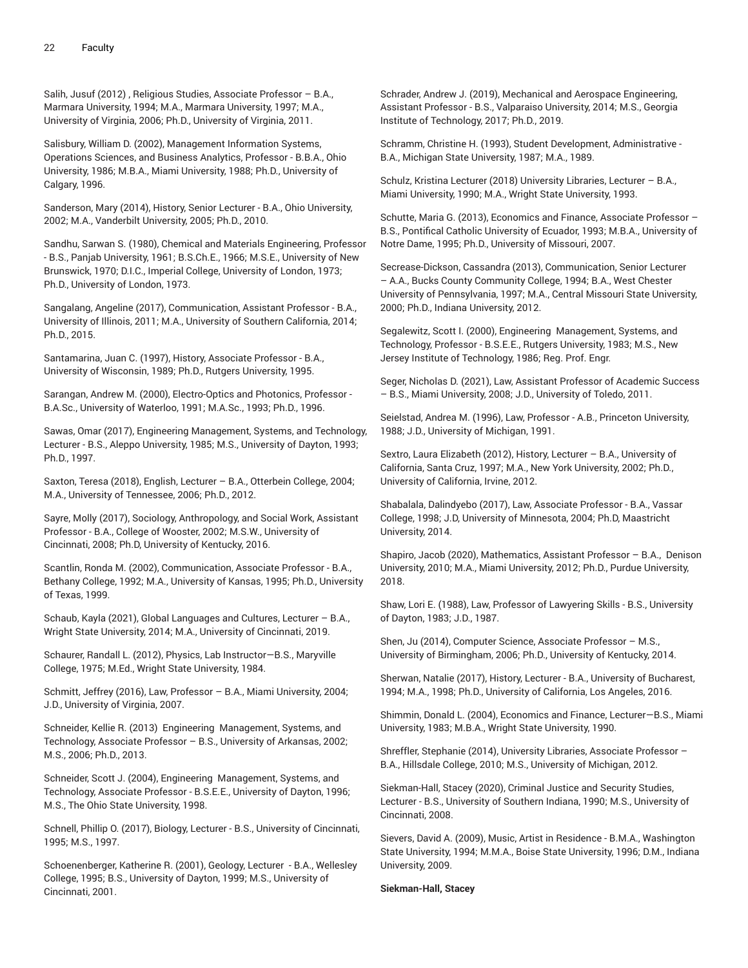Salih, Jusuf (2012) , Religious Studies, Associate Professor – B.A., Marmara University, 1994; M.A., Marmara University, 1997; M.A., University of Virginia, 2006; Ph.D., University of Virginia, 2011.

Salisbury, William D. (2002), Management Information Systems, Operations Sciences, and Business Analytics, Professor - B.B.A., Ohio University, 1986; M.B.A., Miami University, 1988; Ph.D., University of Calgary, 1996.

Sanderson, Mary (2014), History, Senior Lecturer - B.A., Ohio University, 2002; M.A., Vanderbilt University, 2005; Ph.D., 2010.

Sandhu, Sarwan S. (1980), Chemical and Materials Engineering, Professor - B.S., Panjab University, 1961; B.S.Ch.E., 1966; M.S.E., University of New Brunswick, 1970; D.I.C., Imperial College, University of London, 1973; Ph.D., University of London, 1973.

Sangalang, Angeline (2017), Communication, Assistant Professor - B.A., University of Illinois, 2011; M.A., University of Southern California, 2014; Ph.D., 2015.

Santamarina, Juan C. (1997), History, Associate Professor - B.A., University of Wisconsin, 1989; Ph.D., Rutgers University, 1995.

Sarangan, Andrew M. (2000), Electro-Optics and Photonics, Professor - B.A.Sc., University of Waterloo, 1991; M.A.Sc., 1993; Ph.D., 1996.

Sawas, Omar (2017), Engineering Management, Systems, and Technology, Lecturer - B.S., Aleppo University, 1985; M.S., University of Dayton, 1993; Ph.D., 1997.

Saxton, Teresa (2018), English, Lecturer – B.A., Otterbein College, 2004; M.A., University of Tennessee, 2006; Ph.D., 2012.

Sayre, Molly (2017), Sociology, Anthropology, and Social Work, Assistant Professor - B.A., College of Wooster, 2002; M.S.W., University of Cincinnati, 2008; Ph.D, University of Kentucky, 2016.

Scantlin, Ronda M. (2002), Communication, Associate Professor - B.A., Bethany College, 1992; M.A., University of Kansas, 1995; Ph.D., University of Texas, 1999.

Schaub, Kayla (2021), Global Languages and Cultures, Lecturer – B.A., Wright State University, 2014; M.A., University of Cincinnati, 2019.

Schaurer, Randall L. (2012), Physics, Lab Instructor—B.S., Maryville College, 1975; M.Ed., Wright State University, 1984.

Schmitt, Jeffrey (2016), Law, Professor – B.A., Miami University, 2004; J.D., University of Virginia, 2007.

Schneider, Kellie R. (2013) Engineering Management, Systems, and Technology, Associate Professor – B.S., University of Arkansas, 2002; M.S., 2006; Ph.D., 2013.

Schneider, Scott J. (2004), Engineering Management, Systems, and Technology, Associate Professor - B.S.E.E., University of Dayton, 1996; M.S., The Ohio State University, 1998.

Schnell, Phillip O. (2017), Biology, Lecturer - B.S., University of Cincinnati, 1995; M.S., 1997.

Schoenenberger, Katherine R. (2001), Geology, Lecturer - B.A., Wellesley College, 1995; B.S., University of Dayton, 1999; M.S., University of Cincinnati, 2001.

Schrader, Andrew J. (2019), Mechanical and Aerospace Engineering, Assistant Professor - B.S., Valparaiso University, 2014; M.S., Georgia Institute of Technology, 2017; Ph.D., 2019.

Schramm, Christine H. (1993), Student Development, Administrative - B.A., Michigan State University, 1987; M.A., 1989.

Schulz, Kristina Lecturer (2018) University Libraries, Lecturer – B.A., Miami University, 1990; M.A., Wright State University, 1993.

Schutte, Maria G. (2013), Economics and Finance, Associate Professor – B.S., Pontifical Catholic University of Ecuador, 1993; M.B.A., University of Notre Dame, 1995; Ph.D., University of Missouri, 2007.

Secrease-Dickson, Cassandra (2013), Communication, Senior Lecturer – A.A., Bucks County Community College, 1994; B.A., West Chester University of Pennsylvania, 1997; M.A., Central Missouri State University, 2000; Ph.D., Indiana University, 2012.

Segalewitz, Scott I. (2000), Engineering Management, Systems, and Technology, Professor - B.S.E.E., Rutgers University, 1983; M.S., New Jersey Institute of Technology, 1986; Reg. Prof. Engr.

Seger, Nicholas D. (2021), Law, Assistant Professor of Academic Success – B.S., Miami University, 2008; J.D., University of Toledo, 2011.

Seielstad, Andrea M. (1996), Law, Professor - A.B., Princeton University, 1988; J.D., University of Michigan, 1991.

Sextro, Laura Elizabeth (2012), History, Lecturer – B.A., University of California, Santa Cruz, 1997; M.A., New York University, 2002; Ph.D., University of California, Irvine, 2012.

Shabalala, Dalindyebo (2017), Law, Associate Professor - B.A., Vassar College, 1998; J.D, University of Minnesota, 2004; Ph.D, Maastricht University, 2014.

Shapiro, Jacob (2020), Mathematics, Assistant Professor – B.A., Denison University, 2010; M.A., Miami University, 2012; Ph.D., Purdue University, 2018.

Shaw, Lori E. (1988), Law, Professor of Lawyering Skills - B.S., University of Dayton, 1983; J.D., 1987.

Shen, Ju (2014), Computer Science, Associate Professor – M.S., University of Birmingham, 2006; Ph.D., University of Kentucky, 2014.

Sherwan, Natalie (2017), History, Lecturer - B.A., University of Bucharest, 1994; M.A., 1998; Ph.D., University of California, Los Angeles, 2016.

Shimmin, Donald L. (2004), Economics and Finance, Lecturer—B.S., Miami University, 1983; M.B.A., Wright State University, 1990.

Shreffler, Stephanie (2014), University Libraries, Associate Professor – B.A., Hillsdale College, 2010; M.S., University of Michigan, 2012.

Siekman-Hall, Stacey (2020), Criminal Justice and Security Studies, Lecturer - B.S., University of Southern Indiana, 1990; M.S., University of Cincinnati, 2008.

Sievers, David A. (2009), Music, Artist in Residence - B.M.A., Washington State University, 1994; M.M.A., Boise State University, 1996; D.M., Indiana University, 2009.

**Siekman-Hall, Stacey**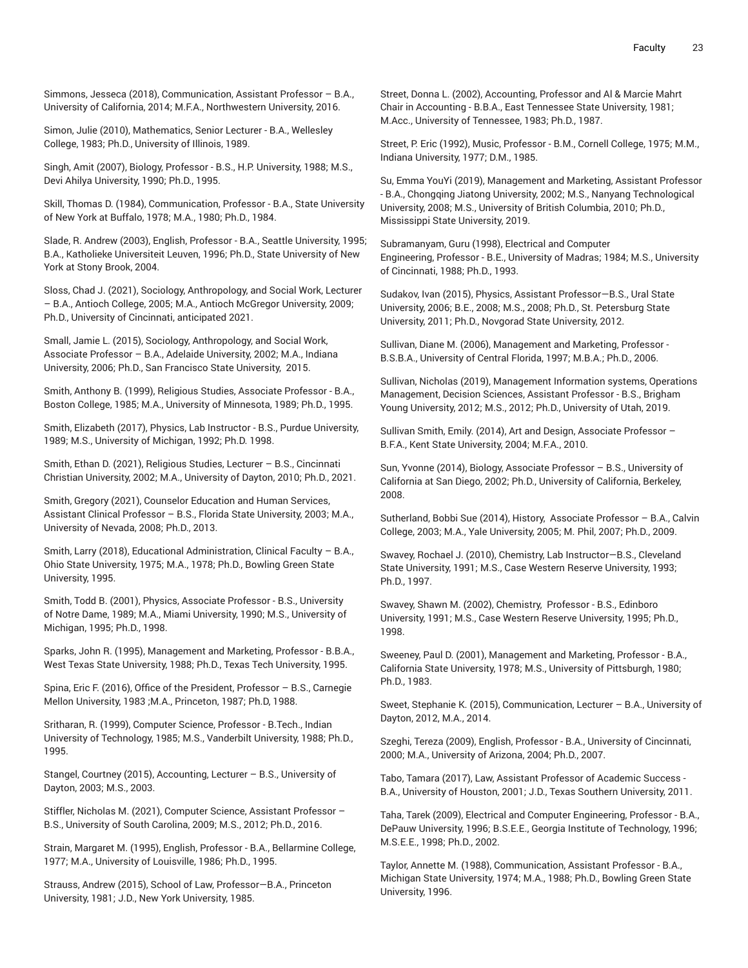Simmons, Jesseca (2018), Communication, Assistant Professor – B.A., University of California, 2014; M.F.A., Northwestern University, 2016.

Simon, Julie (2010), Mathematics, Senior Lecturer - B.A., Wellesley College, 1983; Ph.D., University of Illinois, 1989.

Singh, Amit (2007), Biology, Professor - B.S., H.P. University, 1988; M.S., Devi Ahilya University, 1990; Ph.D., 1995.

Skill, Thomas D. (1984), Communication, Professor - B.A., State University of New York at Buffalo, 1978; M.A., 1980; Ph.D., 1984.

Slade, R. Andrew (2003), English, Professor - B.A., Seattle University, 1995; B.A., Katholieke Universiteit Leuven, 1996; Ph.D., State University of New York at Stony Brook, 2004.

Sloss, Chad J. (2021), Sociology, Anthropology, and Social Work, Lecturer – B.A., Antioch College, 2005; M.A., Antioch McGregor University, 2009; Ph.D., University of Cincinnati, anticipated 2021.

Small, Jamie L. (2015), Sociology, Anthropology, and Social Work, Associate Professor – B.A., Adelaide University, 2002; M.A., Indiana University, 2006; Ph.D., San Francisco State University, 2015.

Smith, Anthony B. (1999), Religious Studies, Associate Professor - B.A., Boston College, 1985; M.A., University of Minnesota, 1989; Ph.D., 1995.

Smith, Elizabeth (2017), Physics, Lab Instructor - B.S., Purdue University, 1989; M.S., University of Michigan, 1992; Ph.D. 1998.

Smith, Ethan D. (2021), Religious Studies, Lecturer – B.S., Cincinnati Christian University, 2002; M.A., University of Dayton, 2010; Ph.D., 2021.

Smith, Gregory (2021), Counselor Education and Human Services, Assistant Clinical Professor – B.S., Florida State University, 2003; M.A., University of Nevada, 2008; Ph.D., 2013.

Smith, Larry (2018), Educational Administration, Clinical Faculty – B.A., Ohio State University, 1975; M.A., 1978; Ph.D., Bowling Green State University, 1995.

Smith, Todd B. (2001), Physics, Associate Professor - B.S., University of Notre Dame, 1989; M.A., Miami University, 1990; M.S., University of Michigan, 1995; Ph.D., 1998.

Sparks, John R. (1995), Management and Marketing, Professor - B.B.A., West Texas State University, 1988; Ph.D., Texas Tech University, 1995.

Spina, Eric F. (2016), Office of the President, Professor – B.S., Carnegie Mellon University, 1983 ;M.A., Princeton, 1987; Ph.D, 1988.

Sritharan, R. (1999), Computer Science, Professor - B.Tech., Indian University of Technology, 1985; M.S., Vanderbilt University, 1988; Ph.D., 1995.

Stangel, Courtney (2015), Accounting, Lecturer – B.S., University of Dayton, 2003; M.S., 2003.

Stiffler, Nicholas M. (2021), Computer Science, Assistant Professor – B.S., University of South Carolina, 2009; M.S., 2012; Ph.D., 2016.

Strain, Margaret M. (1995), English, Professor - B.A., Bellarmine College, 1977; M.A., University of Louisville, 1986; Ph.D., 1995.

Strauss, Andrew (2015), School of Law, Professor—B.A., Princeton University, 1981; J.D., New York University, 1985.

Street, Donna L. (2002), Accounting, Professor and Al & Marcie Mahrt Chair in Accounting - B.B.A., East Tennessee State University, 1981; M.Acc., University of Tennessee, 1983; Ph.D., 1987.

Street, P. Eric (1992), Music, Professor - B.M., Cornell College, 1975; M.M., Indiana University, 1977; D.M., 1985.

Su, Emma YouYi (2019), Management and Marketing, Assistant Professor - B.A., Chongqing Jiatong University, 2002; M.S., Nanyang Technological University, 2008; M.S., University of British Columbia, 2010; Ph.D., Mississippi State University, 2019.

Subramanyam, Guru (1998), Electrical and Computer Engineering, Professor - B.E., University of Madras; 1984; M.S., University of Cincinnati, 1988; Ph.D., 1993.

Sudakov, Ivan (2015), Physics, Assistant Professor—B.S., Ural State University, 2006; B.E., 2008; M.S., 2008; Ph.D., St. Petersburg State University, 2011; Ph.D., Novgorad State University, 2012.

Sullivan, Diane M. (2006), Management and Marketing, Professor - B.S.B.A., University of Central Florida, 1997; M.B.A.; Ph.D., 2006.

Sullivan, Nicholas (2019), Management Information systems, Operations Management, Decision Sciences, Assistant Professor - B.S., Brigham Young University, 2012; M.S., 2012; Ph.D., University of Utah, 2019.

Sullivan Smith, Emily. (2014), Art and Design, Associate Professor – B.F.A., Kent State University, 2004; M.F.A., 2010.

Sun, Yvonne (2014), Biology, Associate Professor – B.S., University of California at San Diego, 2002; Ph.D., University of California, Berkeley, 2008.

Sutherland, Bobbi Sue (2014), History, Associate Professor – B.A., Calvin College, 2003; M.A., Yale University, 2005; M. Phil, 2007; Ph.D., 2009.

Swavey, Rochael J. (2010), Chemistry, Lab Instructor—B.S., Cleveland State University, 1991; M.S., Case Western Reserve University, 1993; Ph.D., 1997.

Swavey, Shawn M. (2002), Chemistry, Professor - B.S., Edinboro University, 1991; M.S., Case Western Reserve University, 1995; Ph.D., 1998.

Sweeney, Paul D. (2001), Management and Marketing, Professor - B.A., California State University, 1978; M.S., University of Pittsburgh, 1980; Ph.D., 1983.

Sweet, Stephanie K. (2015), Communication, Lecturer – B.A., University of Dayton, 2012, M.A., 2014.

Szeghi, Tereza (2009), English, Professor - B.A., University of Cincinnati, 2000; M.A., University of Arizona, 2004; Ph.D., 2007.

Tabo, Tamara (2017), Law, Assistant Professor of Academic Success - B.A., University of Houston, 2001; J.D., Texas Southern University, 2011.

Taha, Tarek (2009), Electrical and Computer Engineering, Professor - B.A., DePauw University, 1996; B.S.E.E., Georgia Institute of Technology, 1996; M.S.E.E., 1998; Ph.D., 2002.

Taylor, Annette M. (1988), Communication, Assistant Professor - B.A., Michigan State University, 1974; M.A., 1988; Ph.D., Bowling Green State University, 1996.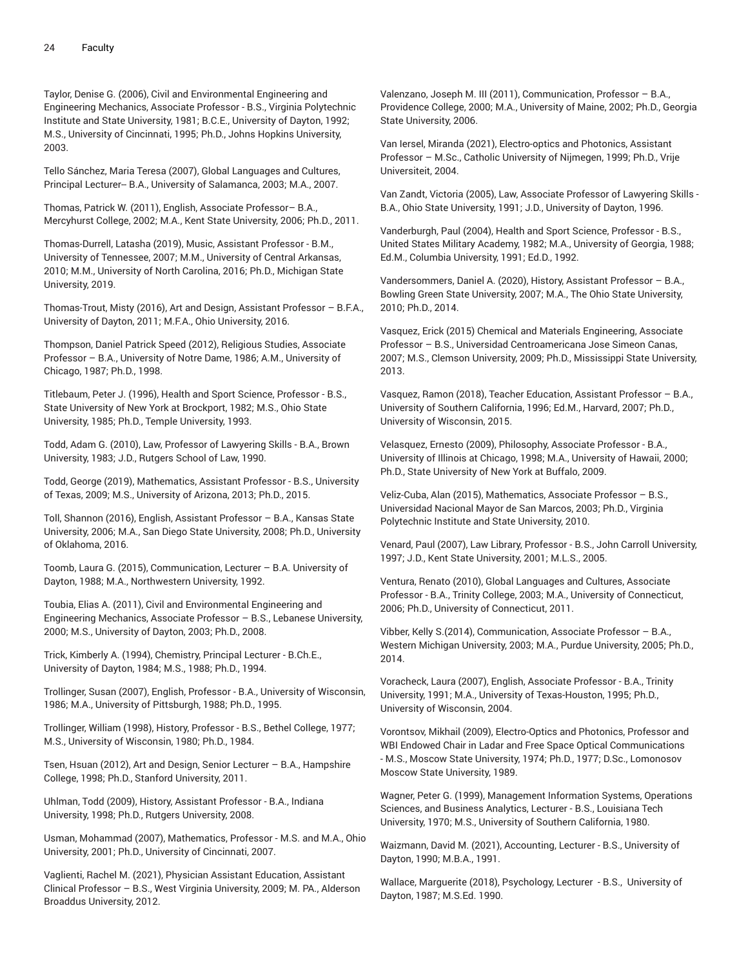Taylor, Denise G. (2006), Civil and Environmental Engineering and Engineering Mechanics, Associate Professor - B.S., Virginia Polytechnic Institute and State University, 1981; B.C.E., University of Dayton, 1992; M.S., University of Cincinnati, 1995; Ph.D., Johns Hopkins University, 2003.

Tello Sánchez, Maria Teresa (2007), Global Languages and Cultures, Principal Lecturer-- B.A., University of Salamanca, 2003; M.A., 2007.

Thomas, Patrick W. (2011), English, Associate Professor– B.A., Mercyhurst College, 2002; M.A., Kent State University, 2006; Ph.D., 2011.

Thomas-Durrell, Latasha (2019), Music, Assistant Professor - B.M., University of Tennessee, 2007; M.M., University of Central Arkansas, 2010; M.M., University of North Carolina, 2016; Ph.D., Michigan State University, 2019.

Thomas-Trout, Misty (2016), Art and Design, Assistant Professor – B.F.A., University of Dayton, 2011; M.F.A., Ohio University, 2016.

Thompson, Daniel Patrick Speed (2012), Religious Studies, Associate Professor – B.A., University of Notre Dame, 1986; A.M., University of Chicago, 1987; Ph.D., 1998.

Titlebaum, Peter J. (1996), Health and Sport Science, Professor - B.S., State University of New York at Brockport, 1982; M.S., Ohio State University, 1985; Ph.D., Temple University, 1993.

Todd, Adam G. (2010), Law, Professor of Lawyering Skills - B.A., Brown University, 1983; J.D., Rutgers School of Law, 1990.

Todd, George (2019), Mathematics, Assistant Professor - B.S., University of Texas, 2009; M.S., University of Arizona, 2013; Ph.D., 2015.

Toll, Shannon (2016), English, Assistant Professor – B.A., Kansas State University, 2006; M.A., San Diego State University, 2008; Ph.D., University of Oklahoma, 2016.

Toomb, Laura G. (2015), Communication, Lecturer – B.A. University of Dayton, 1988; M.A., Northwestern University, 1992.

Toubia, Elias A. (2011), Civil and Environmental Engineering and Engineering Mechanics, Associate Professor – B.S., Lebanese University, 2000; M.S., University of Dayton, 2003; Ph.D., 2008.

Trick, Kimberly A. (1994), Chemistry, Principal Lecturer - B.Ch.E., University of Dayton, 1984; M.S., 1988; Ph.D., 1994.

Trollinger, Susan (2007), English, Professor - B.A., University of Wisconsin, 1986; M.A., University of Pittsburgh, 1988; Ph.D., 1995.

Trollinger, William (1998), History, Professor - B.S., Bethel College, 1977; M.S., University of Wisconsin, 1980; Ph.D., 1984.

Tsen, Hsuan (2012), Art and Design, Senior Lecturer – B.A., Hampshire College, 1998; Ph.D., Stanford University, 2011.

Uhlman, Todd (2009), History, Assistant Professor - B.A., Indiana University, 1998; Ph.D., Rutgers University, 2008.

Usman, Mohammad (2007), Mathematics, Professor - M.S. and M.A., Ohio University, 2001; Ph.D., University of Cincinnati, 2007.

Vaglienti, Rachel M. (2021), Physician Assistant Education, Assistant Clinical Professor – B.S., West Virginia University, 2009; M. PA., Alderson Broaddus University, 2012.

Valenzano, Joseph M. III (2011), Communication, Professor – B.A., Providence College, 2000; M.A., University of Maine, 2002; Ph.D., Georgia State University, 2006.

Van Iersel, Miranda (2021), Electro-optics and Photonics, Assistant Professor – M.Sc., Catholic University of Nijmegen, 1999; Ph.D., Vrije Universiteit, 2004.

Van Zandt, Victoria (2005), Law, Associate Professor of Lawyering Skills - B.A., Ohio State University, 1991; J.D., University of Dayton, 1996.

Vanderburgh, Paul (2004), Health and Sport Science, Professor - B.S., United States Military Academy, 1982; M.A., University of Georgia, 1988; Ed.M., Columbia University, 1991; Ed.D., 1992.

Vandersommers, Daniel A. (2020), History, Assistant Professor – B.A., Bowling Green State University, 2007; M.A., The Ohio State University, 2010; Ph.D., 2014.

Vasquez, Erick (2015) Chemical and Materials Engineering, Associate Professor – B.S., Universidad Centroamericana Jose Simeon Canas, 2007; M.S., Clemson University, 2009; Ph.D., Mississippi State University, 2013.

Vasquez, Ramon (2018), Teacher Education, Assistant Professor – B.A., University of Southern California, 1996; Ed.M., Harvard, 2007; Ph.D., University of Wisconsin, 2015.

Velasquez, Ernesto (2009), Philosophy, Associate Professor - B.A., University of Illinois at Chicago, 1998; M.A., University of Hawaii, 2000; Ph.D., State University of New York at Buffalo, 2009.

Veliz-Cuba, Alan (2015), Mathematics, Associate Professor – B.S., Universidad Nacional Mayor de San Marcos, 2003; Ph.D., Virginia Polytechnic Institute and State University, 2010.

Venard, Paul (2007), Law Library, Professor - B.S., John Carroll University, 1997; J.D., Kent State University, 2001; M.L.S., 2005.

Ventura, Renato (2010), Global Languages and Cultures, Associate Professor - B.A., Trinity College, 2003; M.A., University of Connecticut, 2006; Ph.D., University of Connecticut, 2011.

Vibber, Kelly S.(2014), Communication, Associate Professor – B.A., Western Michigan University, 2003; M.A., Purdue University, 2005; Ph.D., 2014.

Voracheck, Laura (2007), English, Associate Professor - B.A., Trinity University, 1991; M.A., University of Texas-Houston, 1995; Ph.D., University of Wisconsin, 2004.

Vorontsov, Mikhail (2009), Electro-Optics and Photonics, Professor and WBI Endowed Chair in Ladar and Free Space Optical Communications - M.S., Moscow State University, 1974; Ph.D., 1977; D.Sc., Lomonosov Moscow State University, 1989.

Wagner, Peter G. (1999), Management Information Systems, Operations Sciences, and Business Analytics, Lecturer - B.S., Louisiana Tech University, 1970; M.S., University of Southern California, 1980.

Waizmann, David M. (2021), Accounting, Lecturer - B.S., University of Dayton, 1990; M.B.A., 1991.

Wallace, Marguerite (2018), Psychology, Lecturer - B.S., University of Dayton, 1987; M.S.Ed. 1990.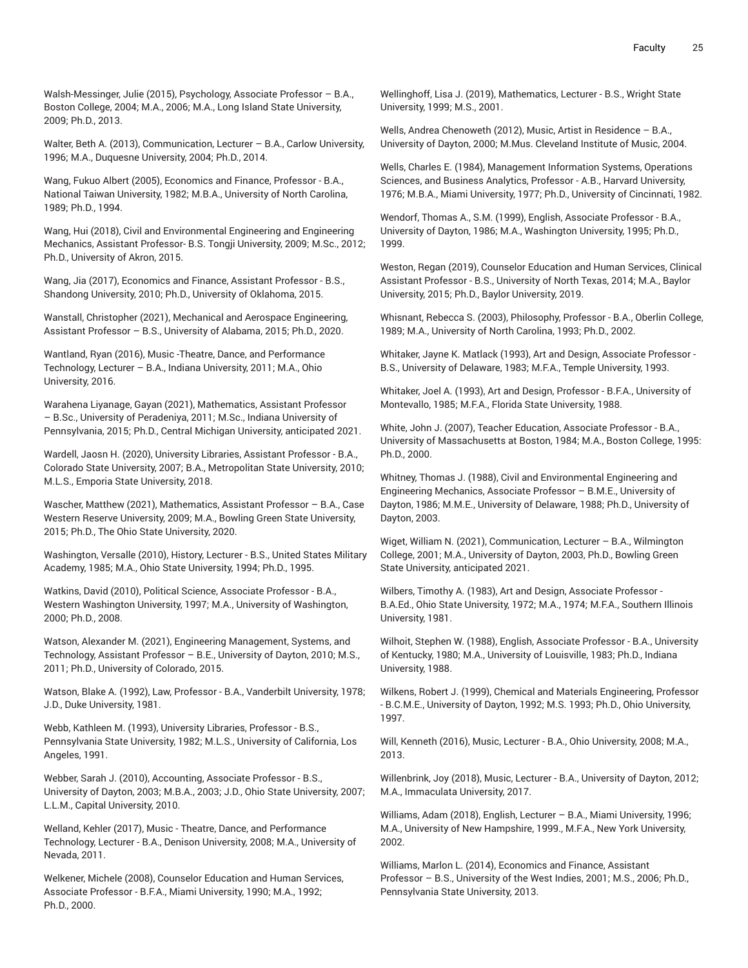Walsh-Messinger, Julie (2015), Psychology, Associate Professor – B.A., Boston College, 2004; M.A., 2006; M.A., Long Island State University, 2009; Ph.D., 2013.

Walter, Beth A. (2013), Communication, Lecturer – B.A., Carlow University, 1996; M.A., Duquesne University, 2004; Ph.D., 2014.

Wang, Fukuo Albert (2005), Economics and Finance, Professor - B.A., National Taiwan University, 1982; M.B.A., University of North Carolina, 1989; Ph.D., 1994.

Wang, Hui (2018), Civil and Environmental Engineering and Engineering Mechanics, Assistant Professor- B.S. Tongji University, 2009; M.Sc., 2012; Ph.D., University of Akron, 2015.

Wang, Jia (2017), Economics and Finance, Assistant Professor - B.S., Shandong University, 2010; Ph.D., University of Oklahoma, 2015.

Wanstall, Christopher (2021), Mechanical and Aerospace Engineering, Assistant Professor – B.S., University of Alabama, 2015; Ph.D., 2020.

Wantland, Ryan (2016), Music -Theatre, Dance, and Performance Technology, Lecturer – B.A., Indiana University, 2011; M.A., Ohio University, 2016.

Warahena Liyanage, Gayan (2021), Mathematics, Assistant Professor – B.Sc., University of Peradeniya, 2011; M.Sc., Indiana University of Pennsylvania, 2015; Ph.D., Central Michigan University, anticipated 2021.

Wardell, Jaosn H. (2020), University Libraries, Assistant Professor - B.A., Colorado State University, 2007; B.A., Metropolitan State University, 2010; M.L.S., Emporia State University, 2018.

Wascher, Matthew (2021), Mathematics, Assistant Professor – B.A., Case Western Reserve University, 2009; M.A., Bowling Green State University, 2015; Ph.D., The Ohio State University, 2020.

Washington, Versalle (2010), History, Lecturer - B.S., United States Military Academy, 1985; M.A., Ohio State University, 1994; Ph.D., 1995.

Watkins, David (2010), Political Science, Associate Professor - B.A., Western Washington University, 1997; M.A., University of Washington, 2000; Ph.D., 2008.

Watson, Alexander M. (2021), Engineering Management, Systems, and Technology, Assistant Professor – B.E., University of Dayton, 2010; M.S., 2011; Ph.D., University of Colorado, 2015.

Watson, Blake A. (1992), Law, Professor - B.A., Vanderbilt University, 1978; J.D., Duke University, 1981.

Webb, Kathleen M. (1993), University Libraries, Professor - B.S., Pennsylvania State University, 1982; M.L.S., University of California, Los Angeles, 1991.

Webber, Sarah J. (2010), Accounting, Associate Professor - B.S., University of Dayton, 2003; M.B.A., 2003; J.D., Ohio State University, 2007; L.L.M., Capital University, 2010.

Welland, Kehler (2017), Music - Theatre, Dance, and Performance Technology, Lecturer - B.A., Denison University, 2008; M.A., University of Nevada, 2011.

Welkener, Michele (2008), Counselor Education and Human Services, Associate Professor - B.F.A., Miami University, 1990; M.A., 1992; Ph.D., 2000.

Wellinghoff, Lisa J. (2019), Mathematics, Lecturer - B.S., Wright State University, 1999; M.S., 2001.

Wells, Andrea Chenoweth (2012), Music, Artist in Residence – B.A., University of Dayton, 2000; M.Mus. Cleveland Institute of Music, 2004.

Wells, Charles E. (1984), Management Information Systems, Operations Sciences, and Business Analytics, Professor - A.B., Harvard University, 1976; M.B.A., Miami University, 1977; Ph.D., University of Cincinnati, 1982.

Wendorf, Thomas A., S.M. (1999), English, Associate Professor - B.A., University of Dayton, 1986; M.A., Washington University, 1995; Ph.D., 1999.

Weston, Regan (2019), Counselor Education and Human Services, Clinical Assistant Professor - B.S., University of North Texas, 2014; M.A., Baylor University, 2015; Ph.D., Baylor University, 2019.

Whisnant, Rebecca S. (2003), Philosophy, Professor - B.A., Oberlin College, 1989; M.A., University of North Carolina, 1993; Ph.D., 2002.

Whitaker, Jayne K. Matlack (1993), Art and Design, Associate Professor - B.S., University of Delaware, 1983; M.F.A., Temple University, 1993.

Whitaker, Joel A. (1993), Art and Design, Professor - B.F.A., University of Montevallo, 1985; M.F.A., Florida State University, 1988.

White, John J. (2007), Teacher Education, Associate Professor - B.A., University of Massachusetts at Boston, 1984; M.A., Boston College, 1995: Ph.D., 2000.

Whitney, Thomas J. (1988), Civil and Environmental Engineering and Engineering Mechanics, Associate Professor – B.M.E., University of Dayton, 1986; M.M.E., University of Delaware, 1988; Ph.D., University of Dayton, 2003.

Wiget, William N. (2021), Communication, Lecturer – B.A., Wilmington College, 2001; M.A., University of Dayton, 2003, Ph.D., Bowling Green State University, anticipated 2021.

Wilbers, Timothy A. (1983), Art and Design, Associate Professor - B.A.Ed., Ohio State University, 1972; M.A., 1974; M.F.A., Southern Illinois University, 1981.

Wilhoit, Stephen W. (1988), English, Associate Professor - B.A., University of Kentucky, 1980; M.A., University of Louisville, 1983; Ph.D., Indiana University, 1988.

Wilkens, Robert J. (1999), Chemical and Materials Engineering, Professor - B.C.M.E., University of Dayton, 1992; M.S. 1993; Ph.D., Ohio University, 1997.

Will, Kenneth (2016), Music, Lecturer - B.A., Ohio University, 2008; M.A., 2013.

Willenbrink, Joy (2018), Music, Lecturer - B.A., University of Dayton, 2012; M.A., Immaculata University, 2017.

Williams, Adam (2018), English, Lecturer – B.A., Miami University, 1996; M.A., University of New Hampshire, 1999., M.F.A., New York University, 2002.

Williams, Marlon L. (2014), Economics and Finance, Assistant Professor – B.S., University of the West Indies, 2001; M.S., 2006; Ph.D., Pennsylvania State University, 2013.